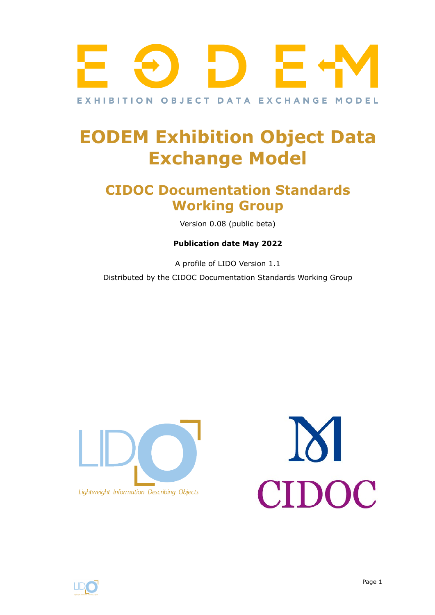

# **EODEM Exhibition Object Data Exchange Model**

# **CIDOC Documentation Standards Working Group**

Version 0.08 (public beta)

#### **Publication date May 2022**

A profile of LIDO Version 1.1 Distributed by the CIDOC Documentation Standards Working Group





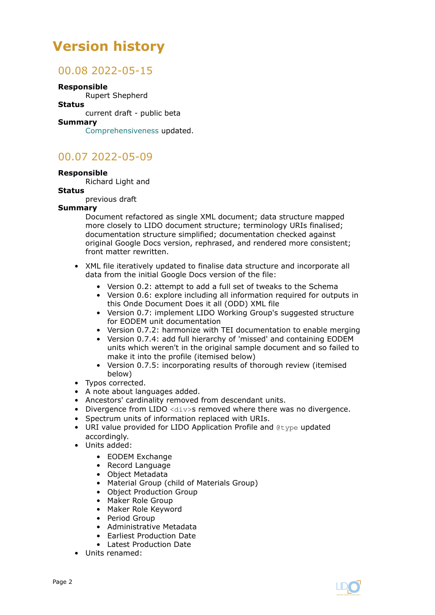# **Version history**

## 00.08 2022-05-15

#### **Responsible**

Rupert Shepherd

#### **Status**

current draft - public beta

#### **Summary**

[Comprehensiveness](#page-15-0) updated.

# 00.07 2022-05-09

#### **Responsible**

Richard Light and

#### **Status**

previous draft

#### **Summary**

Document refactored as single XML document; data structure mapped more closely to LIDO document structure; terminology URIs finalised; documentation structure simplified; documentation checked against original Google Docs version, rephrased, and rendered more consistent; front matter rewritten.

- XML file iteratively updated to finalise data structure and incorporate all data from the initial Google Docs version of the file:
	- Version 0.2: attempt to add a full set of tweaks to the Schema
	- Version 0.6: explore including all information required for outputs in this Onde Document Does it all (ODD) XML file
	- Version 0.7: implement LIDO Working Group's suggested structure for EODEM unit documentation
	- Version 0.7.2: harmonize with TEI documentation to enable merging
	- Version 0.7.4: add full hierarchy of 'missed' and containing EODEM units which weren't in the original sample document and so failed to make it into the profile (itemised below)
	- Version 0.7.5: incorporating results of thorough review (itemised below)
- Typos corrected.
- A note about languages added.
- Ancestors' cardinality removed from descendant units.
- Divergence from LIDO  $\langle \text{div} \rangle$ s removed where there was no divergence.
- Spectrum units of information replaced with URIs.
- URI value provided for LIDO Application Profile and @type updated accordingly.
- Units added:
	- EODEM Exchange
	- Record Language
	- Object Metadata
	- Material Group (child of Materials Group)
	- Object Production Group
	- Maker Role Group
	- Maker Role Keyword
	- Period Group
	- Administrative Metadata
	- Earliest Production Date
	- Latest Production Date
- Units renamed:



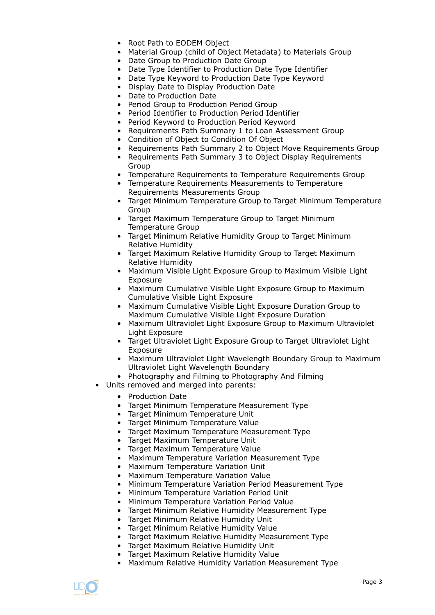- Root Path to EODEM Object
- Material Group (child of Object Metadata) to Materials Group
- Date Group to Production Date Group
- Date Type Identifier to Production Date Type Identifier
- Date Type Keyword to Production Date Type Keyword
- Display Date to Display Production Date
- Date to Production Date
- Period Group to Production Period Group
- Period Identifier to Production Period Identifier
- Period Keyword to Production Period Keyword
- Requirements Path Summary 1 to Loan Assessment Group
- Condition of Object to Condition Of Object
- Requirements Path Summary 2 to Object Move Requirements Group
- Requirements Path Summary 3 to Object Display Requirements Group
- Temperature Requirements to Temperature Requirements Group
- Temperature Requirements Measurements to Temperature Requirements Measurements Group
- Target Minimum Temperature Group to Target Minimum Temperature Group
- Target Maximum Temperature Group to Target Minimum Temperature Group
- Target Minimum Relative Humidity Group to Target Minimum Relative Humidity
- Target Maximum Relative Humidity Group to Target Maximum Relative Humidity
- Maximum Visible Light Exposure Group to Maximum Visible Light Exposure
- Maximum Cumulative Visible Light Exposure Group to Maximum Cumulative Visible Light Exposure
- Maximum Cumulative Visible Light Exposure Duration Group to Maximum Cumulative Visible Light Exposure Duration
- Maximum Ultraviolet Light Exposure Group to Maximum Ultraviolet Light Exposure
- Target Ultraviolet Light Exposure Group to Target Ultraviolet Light Exposure
- Maximum Ultraviolet Light Wavelength Boundary Group to Maximum Ultraviolet Light Wavelength Boundary
- Photography and Filming to Photography And Filming
- Units removed and merged into parents:
	- Production Date
	- Target Minimum Temperature Measurement Type
	- Target Minimum Temperature Unit
	- Target Minimum Temperature Value
	- Target Maximum Temperature Measurement Type
	- Target Maximum Temperature Unit
	- Target Maximum Temperature Value
	- Maximum Temperature Variation Measurement Type
	- Maximum Temperature Variation Unit
	- Maximum Temperature Variation Value
	- Minimum Temperature Variation Period Measurement Type
	- Minimum Temperature Variation Period Unit
	- Minimum Temperature Variation Period Value
	- Target Minimum Relative Humidity Measurement Type
	- Target Minimum Relative Humidity Unit
	- Target Minimum Relative Humidity Value
	- Target Maximum Relative Humidity Measurement Type
		- Target Maximum Relative Humidity Unit
		- Target Maximum Relative Humidity Value
		- Maximum Relative Humidity Variation Measurement Type

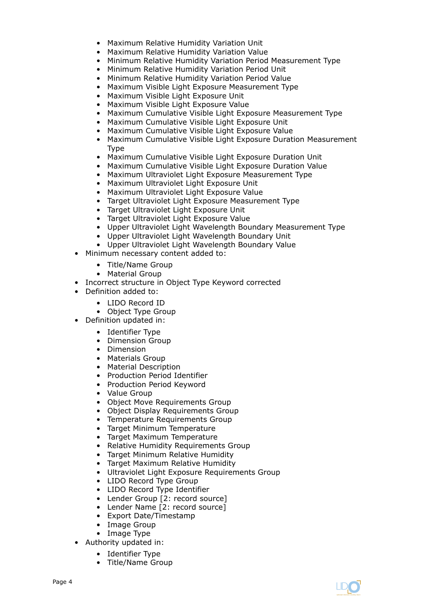- Maximum Relative Humidity Variation Unit
- Maximum Relative Humidity Variation Value
- Minimum Relative Humidity Variation Period Measurement Type
- Minimum Relative Humidity Variation Period Unit
- Minimum Relative Humidity Variation Period Value
- Maximum Visible Light Exposure Measurement Type
- Maximum Visible Light Exposure Unit
- Maximum Visible Light Exposure Value
- Maximum Cumulative Visible Light Exposure Measurement Type
- Maximum Cumulative Visible Light Exposure Unit
- Maximum Cumulative Visible Light Exposure Value
- Maximum Cumulative Visible Light Exposure Duration Measurement Type
- Maximum Cumulative Visible Light Exposure Duration Unit
- Maximum Cumulative Visible Light Exposure Duration Value
- Maximum Ultraviolet Light Exposure Measurement Type
- Maximum Ultraviolet Light Exposure Unit
- Maximum Ultraviolet Light Exposure Value
- Target Ultraviolet Light Exposure Measurement Type
- Target Ultraviolet Light Exposure Unit
- Target Ultraviolet Light Exposure Value
- Upper Ultraviolet Light Wavelength Boundary Measurement Type
- Upper Ultraviolet Light Wavelength Boundary Unit
- Upper Ultraviolet Light Wavelength Boundary Value
- Minimum necessary content added to:
	- Title/Name Group
	- Material Group
- Incorrect structure in Object Type Keyword corrected
- Definition added to:
	- LIDO Record ID
	- Object Type Group
	- Definition updated in:
		- Identifier Type
		- Dimension Group
		- Dimension
		- Materials Group
		- Material Description
		- Production Period Identifier
		- Production Period Keyword
		- Value Group
		- Object Move Requirements Group
		- Object Display Requirements Group
		- Temperature Requirements Group
		- Target Minimum Temperature
		- Target Maximum Temperature
		- Relative Humidity Requirements Group
		- Target Minimum Relative Humidity
		- Target Maximum Relative Humidity
		- Ultraviolet Light Exposure Requirements Group
		- LIDO Record Type Group
		- LIDO Record Type Identifier
		- Lender Group [2: record source]
		- Lender Name [2: record source]
		- Export Date/Timestamp
		- Image Group
		- Image Type
- Authority updated in:
	- Identifier Type
	- Title/Name Group

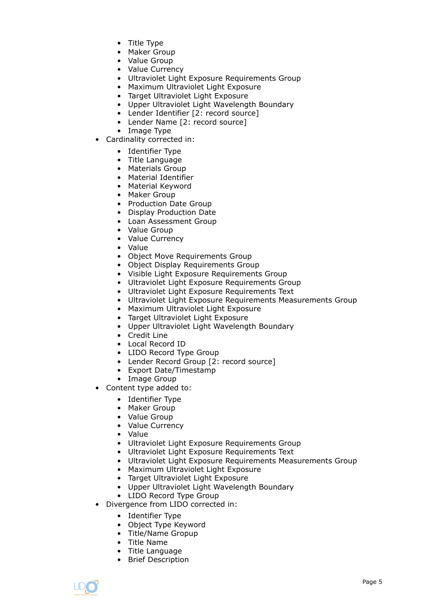- Title Type
- Maker Group
- Value Group
- Value Currency
- Ultraviolet Light Exposure Requirements Group
- Maximum Ultraviolet Light Exposure
- Target Ultraviolet Light Exposure
- Upper Ultraviolet Light Wavelength Boundary
- Lender Identifier [2: record source]
- Lender Name [2: record source]
- Image Type
- Cardinality corrected in:
	- Identifier Type
	- Title Language
	- Materials Group
	- Material Identifier
	- Material Keyword
	- Maker Group
	- Production Date Group
	- Display Production Date
	- Loan Assessment Group
	- Value Group
	- Value Currency
	- Value
	- Object Move Requirements Group
	- Object Display Requirements Group
	- Visible Light Exposure Requirements Group
	- Ultraviolet Light Exposure Requirements Group
	- Ultraviolet Light Exposure Requirements Text
	- Ultraviolet Light Exposure Requirements Measurements Group
	- Maximum Ultraviolet Light Exposure
	- Target Ultraviolet Light Exposure
	- Upper Ultraviolet Light Wavelength Boundary
	- Credit Line
	- Local Record ID
	- LIDO Record Type Group
	- Lender Record Group [2: record source]
	- Export Date/Timestamp
	- Image Group
- Content type added to:
	- Identifier Type
	- Maker Group
	- Value Group
	- Value Currency
	- Value
	- Ultraviolet Light Exposure Requirements Group
	- Ultraviolet Light Exposure Requirements Text
	- Ultraviolet Light Exposure Requirements Measurements Group
	- Maximum Ultraviolet Light Exposure
	- Target Ultraviolet Light Exposure
	- Upper Ultraviolet Light Wavelength Boundary
	- LIDO Record Type Group
- Divergence from LIDO corrected in:
	- Identifier Type
	- Object Type Keyword
	- Title/Name Gropup
	- Title Name
	- Title Language
	- Brief Description

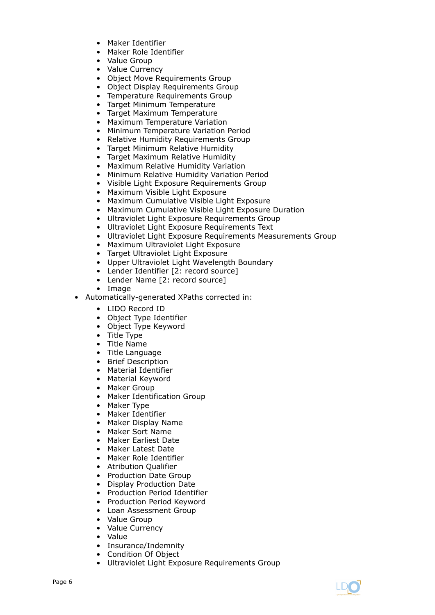- Maker Identifier
- Maker Role Identifier
- Value Group
- Value Currency
- Object Move Requirements Group
- Object Display Requirements Group
- Temperature Requirements Group
- Target Minimum Temperature
- Target Maximum Temperature
- Maximum Temperature Variation
- Minimum Temperature Variation Period
- Relative Humidity Requirements Group
- Target Minimum Relative Humidity
- Target Maximum Relative Humidity
- Maximum Relative Humidity Variation
- Minimum Relative Humidity Variation Period
- Visible Light Exposure Requirements Group
- Maximum Visible Light Exposure
- Maximum Cumulative Visible Light Exposure
- Maximum Cumulative Visible Light Exposure Duration
- Ultraviolet Light Exposure Requirements Group
- Ultraviolet Light Exposure Requirements Text
- Ultraviolet Light Exposure Requirements Measurements Group
- Maximum Ultraviolet Light Exposure
- Target Ultraviolet Light Exposure
- Upper Ultraviolet Light Wavelength Boundary
- Lender Identifier [2: record source]
- Lender Name [2: record source]
- Image
- Automatically-generated XPaths corrected in:
	- LIDO Record ID
	- Object Type Identifier
	- Object Type Keyword
	- Title Type
	- Title Name
	- Title Language
	- Brief Description
	- Material Identifier
	- Material Keyword
	- Maker Group
	- Maker Identification Group
	- Maker Type
	- Maker Identifier
	- Maker Display Name
	- Maker Sort Name
	- Maker Earliest Date
	- Maker Latest Date
	- Maker Role Identifier
	- Atribution Qualifier
	- Production Date Group
	- Display Production Date
	- Production Period Identifier
	- Production Period Keyword
	- Loan Assessment Group
	- Value Group
	- Value Currency
	- Value
	- Insurance/Indemnity
	- Condition Of Object
	- Ultraviolet Light Exposure Requirements Group

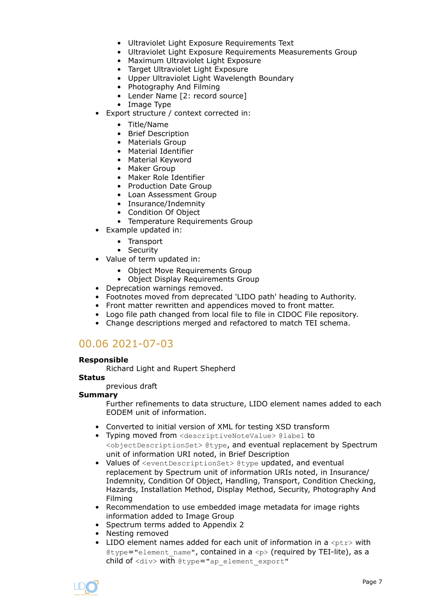- Ultraviolet Light Exposure Requirements Text
- Ultraviolet Light Exposure Requirements Measurements Group
- Maximum Ultraviolet Light Exposure
- Target Ultraviolet Light Exposure
- Upper Ultraviolet Light Wavelength Boundary
- Photography And Filming
- Lender Name [2: record source]
- Image Type
- Export structure / context corrected in:
	- Title/Name
	- Brief Description
	- Materials Group
	- Material Identifier
	- Material Keyword
	- Maker Group
	- Maker Role Identifier
	- Production Date Group
	- Loan Assessment Group
	- Insurance/Indemnity
	- Condition Of Object
	- Temperature Requirements Group
- Example updated in:
	- Transport
	- Security
- Value of term updated in:
	- Object Move Requirements Group
	- Object Display Requirements Group
- Deprecation warnings removed.
- Footnotes moved from deprecated 'LIDO path' heading to Authority.
- Front matter rewritten and appendices moved to front matter.
- Logo file path changed from local file to file in CIDOC File repository.
- Change descriptions merged and refactored to match TEI schema.

## 00.06 2021-07-03

#### **Responsible**

Richard Light and Rupert Shepherd

#### **Status**

previous draft

#### **Summary**

Further refinements to data structure, LIDO element names added to each EODEM unit of information.

- Converted to initial version of XML for testing XSD transform
- Typing moved from <descriptiveNoteValue> @label to <objectDescriptionSet> @type, and eventual replacement by Spectrum unit of information URI noted, in Brief Description
- Values of <eventDescriptionSet> @type updated, and eventual replacement by Spectrum unit of information URIs noted, in Insurance/ Indemnity, Condition Of Object, Handling, Transport, Condition Checking, Hazards, Installation Method, Display Method, Security, Photography And Filming
- Recommendation to use embedded image metadata for image rights information added to Image Group
- Spectrum terms added to Appendix 2
- Nesting removed
- LIDO element names added for each unit of information in a  $<sub>ptr</sub>$  with</sub> @type="element name", contained in a  $\langle p \rangle$  (required by TEI-lite), as a child of <div> with @type="ap\_element\_export"

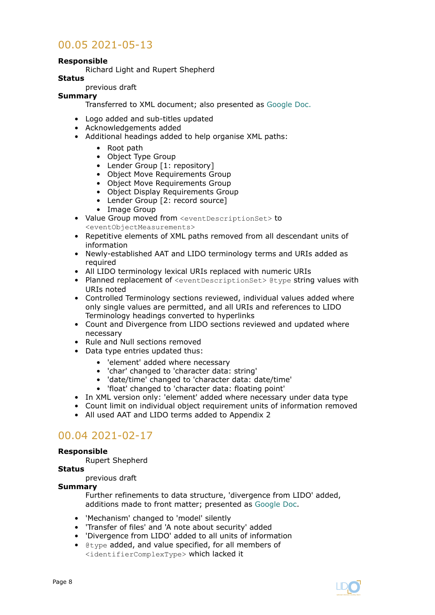# 00.05 2021-05-13

#### **Responsible**

Richard Light and Rupert Shepherd

#### **Status**

previous draft

#### **Summary**

Transferred to XML document; also presented as [Google Doc.](https://docs.google.com/document/d/1s9vV33aQb112Hr4lpbMVum0jAyxUEabXhDyAXyrA1Gc/edit?usp=sharing)

- Logo added and sub-titles updated
- Acknowledgements added
- Additional headings added to help organise XML paths:
	- Root path
		- Object Type Group
		- Lender Group [1: repository]
		- Object Move Requirements Group
		- Object Move Requirements Group
		- Object Display Requirements Group
		- Lender Group [2: record source]
		- Image Group
- Value Group moved from <eventDescriptionSet> to <eventObjectMeasurements>
- Repetitive elements of XML paths removed from all descendant units of information
- Newly-established AAT and LIDO terminology terms and URIs added as required
- All LIDO terminology lexical URIs replaced with numeric URIs
- Planned replacement of <eventDescriptionSet> @type string values with URIs noted
- Controlled Terminology sections reviewed, individual values added where only single values are permitted, and all URIs and references to LIDO Terminology headings converted to hyperlinks
- Count and Divergence from LIDO sections reviewed and updated where necessary
- Rule and Null sections removed
- Data type entries updated thus:
	- 'element' added where necessary
	- 'char' changed to 'character data: string'
	- 'date/time' changed to 'character data: date/time'
	- 'float' changed to 'character data: floating point'
- In XML version only: 'element' added where necessary under data type
- Count limit on individual object requirement units of information removed
- All used AAT and LIDO terms added to Appendix 2

# 00.04 2021-02-17

#### **Responsible**

Rupert Shepherd

#### **Status**

previous draft

#### **Summary**

Further refinements to data structure, 'divergence from LIDO' added, additions made to front matter; presented as [Google Doc](https://docs.google.com/document/d/1pSVcN8VFZT3gJXUX8GD4Tuo1vpx-u7FzWjpU1mfMpwo/edit?usp=sharing).

- 'Mechanism' changed to 'model' silently
- 'Transfer of files' and 'A note about security' added
- 'Divergence from LIDO' added to all units of information
- @type added, and value specified, for all members of <identifierComplexType> which lacked it

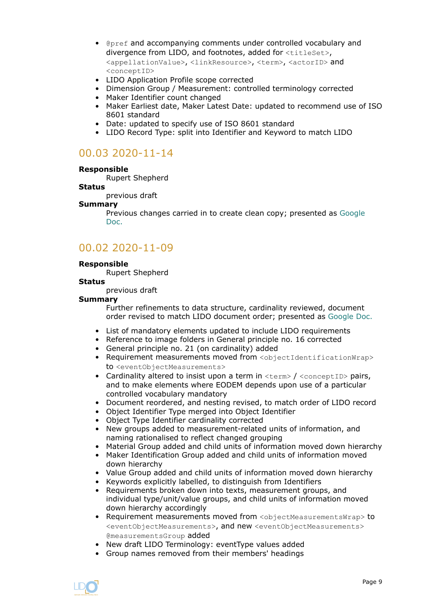- @pref and accompanying comments under controlled vocabulary and divergence from LIDO, and footnotes, added for <titleSet>, <appellationValue>, <linkResource>, <term>, <actorID> and <conceptID>
- LIDO Application Profile scope corrected
- Dimension Group / Measurement: controlled terminology corrected
- Maker Identifier count changed
- Maker Earliest date, Maker Latest Date: updated to recommend use of ISO 8601 standard
- Date: updated to specify use of ISO 8601 standard
- LIDO Record Type: split into Identifier and Keyword to match LIDO

# 00.03 2020-11-14

#### **Responsible**

Rupert Shepherd

**Status**

previous draft

#### **Summary**

Previous changes carried in to create clean copy; presented as [Google](https://docs.google.com/document/d/1y3Py_rbT5hAf8bSKT-zk-qYGM5vi-05yzyB3ZSKu_2w/edit?usp=sharing) [Doc.](https://docs.google.com/document/d/1y3Py_rbT5hAf8bSKT-zk-qYGM5vi-05yzyB3ZSKu_2w/edit?usp=sharing)

## 00.02 2020-11-09

#### **Responsible**

Rupert Shepherd

#### **Status**

previous draft

#### **Summary**

Further refinements to data structure, cardinality reviewed, document order revised to match LIDO document order; presented as [Google Doc.](https://docs.google.com/document/d/1sx8He3tsK-peXqCYz4Fmr34Gtf2xeI5lKxFixwjvCAc/edit?usp=sharing)

- List of mandatory elements updated to include LIDO requirements
- Reference to image folders in General principle no. 16 corrected
- General principle no. 21 (on cardinality) added
- Requirement measurements moved from <objectIdentificationWrap> to <eventObjectMeasurements>
- Cardinality altered to insist upon a term in  $\langle term \rangle / \langle conceptID \rangle$  pairs, and to make elements where EODEM depends upon use of a particular controlled vocabulary mandatory
- Document reordered, and nesting revised, to match order of LIDO record
- Object Identifier Type merged into Object Identifier
- Object Type Identifier cardinality corrected
- New groups added to measurement-related units of information, and naming rationalised to reflect changed grouping
- Material Group added and child units of information moved down hierarchy
- Maker Identification Group added and child units of information moved down hierarchy
- Value Group added and child units of information moved down hierarchy
- Keywords explicitly labelled, to distinguish from Identifiers
- Requirements broken down into texts, measurement groups, and individual type/unit/value groups, and child units of information moved down hierarchy accordingly
- Requirement measurements moved from <objectMeasurementsWrap> to <eventObjectMeasurements>, and new <eventObjectMeasurements> @measurementsGroup added
- New draft LIDO Terminology: eventType values added
- Group names removed from their members' headings

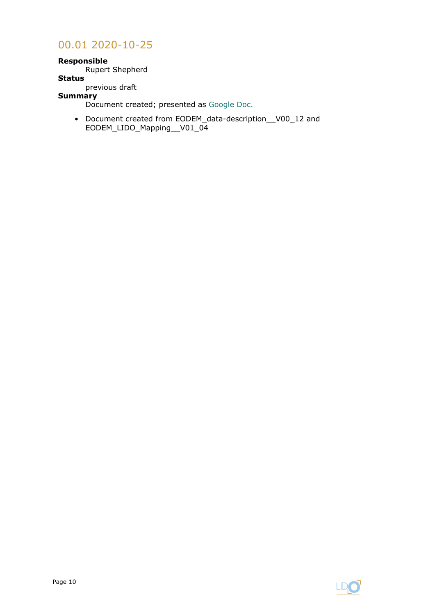## 00.01 2020-10-25

#### **Responsible**

Rupert Shepherd

#### **Status**

previous draft

## **Summary**

Document created; presented as [Google Doc.](https://docs.google.com/document/d/1mK7FcFCqiOeo10HXmPIUTekMo9fOf9qW1sYNPOB71jE/edit?usp=sharing)

• Document created from EODEM\_data-description\_\_V00\_12 and EODEM\_LIDO\_Mapping\_\_V01\_04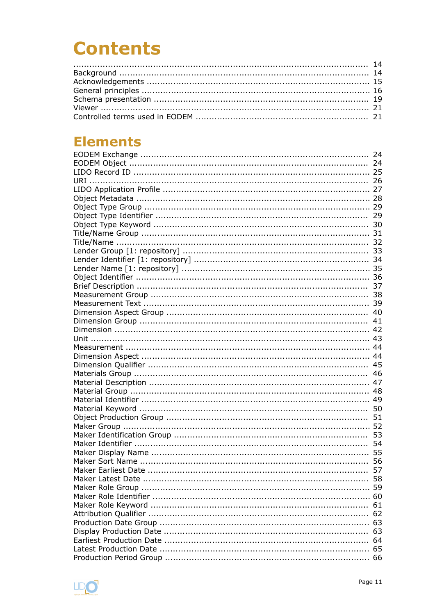# **Contents**

# **Elements**

|            | 24 |
|------------|----|
|            | 24 |
|            |    |
| <b>URI</b> |    |
|            |    |
|            |    |
|            |    |
|            |    |
|            |    |
|            |    |
|            |    |
|            |    |
|            |    |
|            |    |
|            |    |
|            |    |
|            |    |
|            |    |
|            |    |
|            | 41 |
|            |    |
|            |    |
|            |    |
|            |    |
|            | 45 |
|            | 46 |
|            |    |
|            |    |
|            |    |
|            |    |
|            |    |
|            |    |
|            |    |
|            | 54 |
|            |    |
|            |    |
|            | 57 |
|            | 58 |
|            |    |
|            |    |
|            |    |
|            |    |
|            |    |
|            |    |
|            |    |
|            |    |
|            |    |
|            |    |

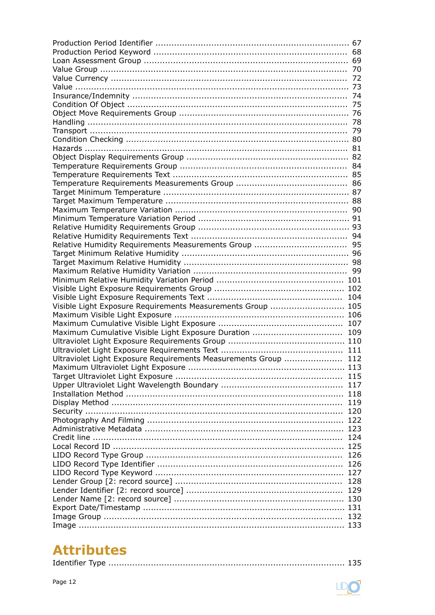| Visible Light Exposure Requirements Measurements Group  105     |  |
|-----------------------------------------------------------------|--|
|                                                                 |  |
|                                                                 |  |
| Maximum Cumulative Visible Light Exposure Duration  109         |  |
|                                                                 |  |
|                                                                 |  |
| Ultraviolet Light Exposure Requirements Measurements Group  112 |  |
|                                                                 |  |
|                                                                 |  |
|                                                                 |  |
|                                                                 |  |
|                                                                 |  |
|                                                                 |  |
|                                                                 |  |
|                                                                 |  |
|                                                                 |  |
|                                                                 |  |
|                                                                 |  |
|                                                                 |  |
|                                                                 |  |
|                                                                 |  |
|                                                                 |  |
|                                                                 |  |
|                                                                 |  |
|                                                                 |  |
|                                                                 |  |
|                                                                 |  |

# **Attributes**

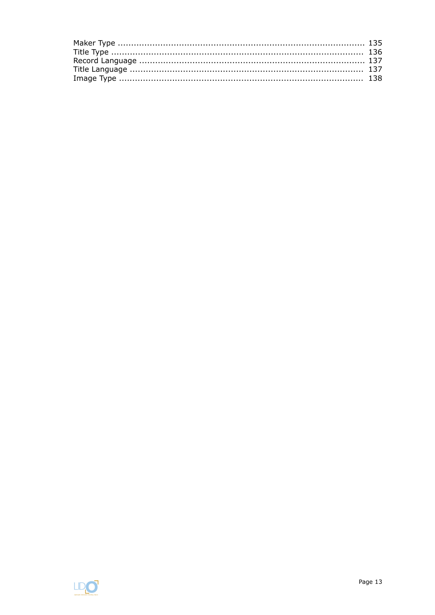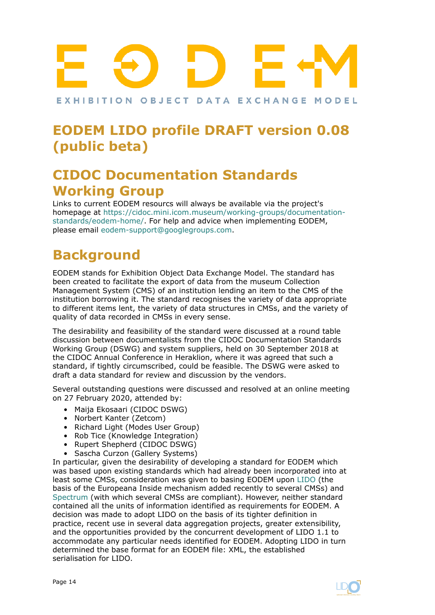# <span id="page-13-0"></span>EXHIBITION OBJECT DATA EXCHANGE MODEL

# **EODEM LIDO profile DRAFT version 0.08 (public beta)**

# **CIDOC Documentation Standards Working Group**

Links to current EODEM resourcs will always be available via the project's homepage at [https://cidoc.mini.icom.museum/working-groups/documentation](https://cidoc.mini.icom.museum/working-groups/documentation-standards/eodem-home/)[standards/eodem-home/](https://cidoc.mini.icom.museum/working-groups/documentation-standards/eodem-home/). For help and advice when implementing EODEM, please email [eodem-support@googlegroups.com](mailto:eodem-support@googlegroups.com).

# **Background**

EODEM stands for Exhibition Object Data Exchange Model. The standard has been created to facilitate the export of data from the museum Collection Management System (CMS) of an institution lending an item to the CMS of the institution borrowing it. The standard recognises the variety of data appropriate to different items lent, the variety of data structures in CMSs, and the variety of quality of data recorded in CMSs in every sense.

The desirability and feasibility of the standard were discussed at a round table discussion between documentalists from the CIDOC Documentation Standards Working Group (DSWG) and system suppliers, held on 30 September 2018 at the CIDOC Annual Conference in Heraklion, where it was agreed that such a standard, if tightly circumscribed, could be feasible. The DSWG were asked to draft a data standard for review and discussion by the vendors.

Several outstanding questions were discussed and resolved at an online meeting on 27 February 2020, attended by:

- Maija Ekosaari (CIDOC DSWG)
- Norbert Kanter (Zetcom)
- Richard Light (Modes User Group)
- Rob Tice (Knowledge Integration)
- Rupert Shepherd (CIDOC DSWG)
- Sascha Curzon (Gallery Systems)

In particular, given the desirability of developing a standard for EODEM which was based upon existing standards which had already been incorporated into at least some CMSs, consideration was given to basing EODEM upon [LIDO](http://network.icom.museum/cidoc/working-groups/lido/) (the basis of the Europeana Inside mechanism added recently to several CMSs) and [Spectrum](https://collectionstrust.org.uk/spectrum/) (with which several CMSs are compliant). However, neither standard contained all the units of information identified as requirements for EODEM. A decision was made to adopt LIDO on the basis of its tighter definition in practice, recent use in several data aggregation projects, greater extensibility, and the opportunities provided by the concurrent development of LIDO 1.1 to accommodate any particular needs identified for EODEM. Adopting LIDO in turn determined the base format for an EODEM file: XML, the established serialisation for LIDO.

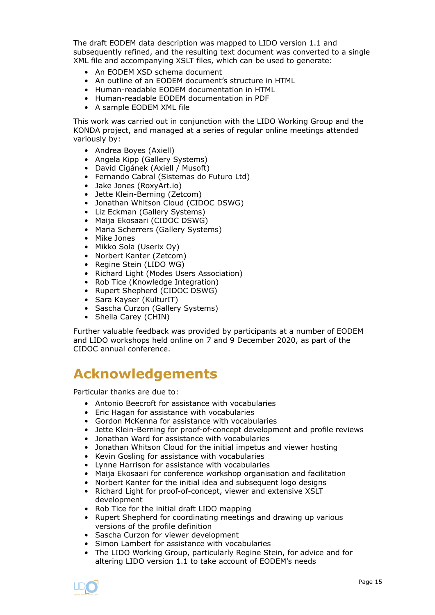<span id="page-14-0"></span>The draft EODEM data description was mapped to LIDO version 1.1 and subsequently refined, and the resulting text document was converted to a single XML file and accompanying XSLT files, which can be used to generate:

- An EODEM XSD schema document
- An outline of an EODEM document's structure in HTML
- Human-readable EODEM documentation in HTML
- Human-readable EODEM documentation in PDF
- A sample EODEM XML file

This work was carried out in conjunction with the LIDO Working Group and the KONDA project, and managed at a series of regular online meetings attended variously by:

- Andrea Boyes (Axiell)
- Angela Kipp (Gallery Systems)
- David Cigánek (Axiell / Musoft)
- Fernando Cabral (Sistemas do Futuro Ltd)
- Jake Jones (RoxyArt.io)
- Jette Klein-Berning (Zetcom)
- Jonathan Whitson Cloud (CIDOC DSWG)
- Liz Eckman (Gallery Systems)
- Maija Ekosaari (CIDOC DSWG)
- Maria Scherrers (Gallery Systems)
- Mike Jones
- Mikko Sola (Userix Oy)
- Norbert Kanter (Zetcom)
- Regine Stein (LIDO WG)
- Richard Light (Modes Users Association)
- Rob Tice (Knowledge Integration)
- Rupert Shepherd (CIDOC DSWG)
- Sara Kayser (KulturIT)
- Sascha Curzon (Gallery Systems)
- Sheila Carey (CHIN)

Further valuable feedback was provided by participants at a number of EODEM and LIDO workshops held online on 7 and 9 December 2020, as part of the CIDOC annual conference.

# **Acknowledgements**

Particular thanks are due to:

- Antonio Beecroft for assistance with vocabularies
- Eric Hagan for assistance with vocabularies
- Gordon McKenna for assistance with vocabularies
- Jette Klein-Berning for proof-of-concept development and profile reviews
- Jonathan Ward for assistance with vocabularies
- Jonathan Whitson Cloud for the initial impetus and viewer hosting
- Kevin Gosling for assistance with vocabularies
- Lynne Harrison for assistance with vocabularies
- Maija Ekosaari for conference workshop organisation and facilitation
- Norbert Kanter for the initial idea and subsequent logo designs
- Richard Light for proof-of-concept, viewer and extensive XSLT development
- Rob Tice for the initial draft LIDO mapping
- Rupert Shepherd for coordinating meetings and drawing up various versions of the profile definition
- Sascha Curzon for viewer development
- Simon Lambert for assistance with vocabularies
- The LIDO Working Group, particularly Regine Stein, for advice and for altering LIDO version 1.1 to take account of EODEM's needs

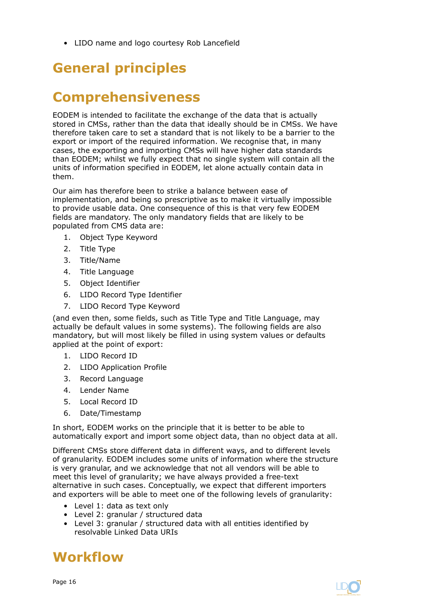<span id="page-15-0"></span>• LIDO name and logo courtesy Rob Lancefield

# **General principles**

# **Comprehensiveness**

EODEM is intended to facilitate the exchange of the data that is actually stored in CMSs, rather than the data that ideally should be in CMSs. We have therefore taken care to set a standard that is not likely to be a barrier to the export or import of the required information. We recognise that, in many cases, the exporting and importing CMSs will have higher data standards than EODEM; whilst we fully expect that no single system will contain all the units of information specified in EODEM, let alone actually contain data in them.

Our aim has therefore been to strike a balance between ease of implementation, and being so prescriptive as to make it virtually impossible to provide usable data. One consequence of this is that very few EODEM fields are mandatory. The only mandatory fields that are likely to be populated from CMS data are:

- 1. Object Type Keyword
- 2. Title Type
- 3. Title/Name
- 4. Title Language
- 5. Object Identifier
- 6. LIDO Record Type Identifier
- 7. LIDO Record Type Keyword

(and even then, some fields, such as Title Type and Title Language, may actually be default values in some systems). The following fields are also mandatory, but will most likely be filled in using system values or defaults applied at the point of export:

- 1. LIDO Record ID
- 2. LIDO Application Profile
- 3. Record Language
- 4. Lender Name
- 5. Local Record ID
- 6. Date/Timestamp

In short, EODEM works on the principle that it is better to be able to automatically export and import some object data, than no object data at all.

Different CMSs store different data in different ways, and to different levels of granularity. EODEM includes some units of information where the structure is very granular, and we acknowledge that not all vendors will be able to meet this level of granularity; we have always provided a free-text alternative in such cases. Conceptually, we expect that different importers and exporters will be able to meet one of the following levels of granularity:

- Level 1: data as text only
- Level 2: granular / structured data
- Level 3: granular / structured data with all entities identified by resolvable Linked Data URIs

# **Workflow**

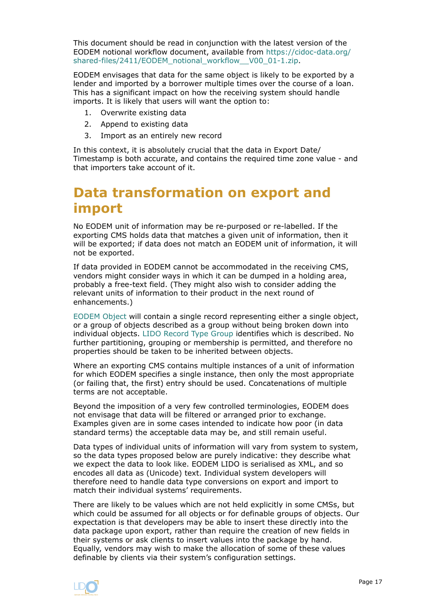This document should be read in conjunction with the latest version of the EODEM notional workflow document, available from [https://cidoc-data.org/](https://cidoc-data.org/shared-files/2411/EODEM_notional_workflow__V00_01-1.zip) shared-files/2411/EODEM\_notional\_workflow \_V00\_01-1.zip.

EODEM envisages that data for the same object is likely to be exported by a lender and imported by a borrower multiple times over the course of a loan. This has a significant impact on how the receiving system should handle imports. It is likely that users will want the option to:

- 1. Overwrite existing data
- 2. Append to existing data
- 3. Import as an entirely new record

In this context, it is absolutely crucial that the data in Export Date/ Timestamp is both accurate, and contains the required time zone value - and that importers take account of it.

# **Data transformation on export and import**

No EODEM unit of information may be re-purposed or re-labelled. If the exporting CMS holds data that matches a given unit of information, then it will be exported; if data does not match an EODEM unit of information, it will not be exported.

If data provided in EODEM cannot be accommodated in the receiving CMS, vendors might consider ways in which it can be dumped in a holding area, probably a free-text field. (They might also wish to consider adding the relevant units of information to their product in the next round of enhancements.)

[EODEM Object](#page-23-0) will contain a single record representing either a single object, or a group of objects described as a group without being broken down into individual objects. LIDO Record Type Group identifies which is described. No further partitioning, grouping or membership is permitted, and therefore no properties should be taken to be inherited between objects.

Where an exporting CMS contains multiple instances of a unit of information for which EODEM specifies a single instance, then only the most appropriate (or failing that, the first) entry should be used. Concatenations of multiple terms are not acceptable.

Beyond the imposition of a very few controlled terminologies, EODEM does not envisage that data will be filtered or arranged prior to exchange. Examples given are in some cases intended to indicate how poor (in data standard terms) the acceptable data may be, and still remain useful.

Data types of individual units of information will vary from system to system, so the data types proposed below are purely indicative: they describe what we expect the data to look like. EODEM LIDO is serialised as XML, and so encodes all data as (Unicode) text. Individual system developers will therefore need to handle data type conversions on export and import to match their individual systems' requirements.

There are likely to be values which are not held explicitly in some CMSs, but which could be assumed for all objects or for definable groups of objects. Our expectation is that developers may be able to insert these directly into the data package upon export, rather than require the creation of new fields in their systems or ask clients to insert values into the package by hand. Equally, vendors may wish to make the allocation of some of these values definable by clients via their system's configuration settings.

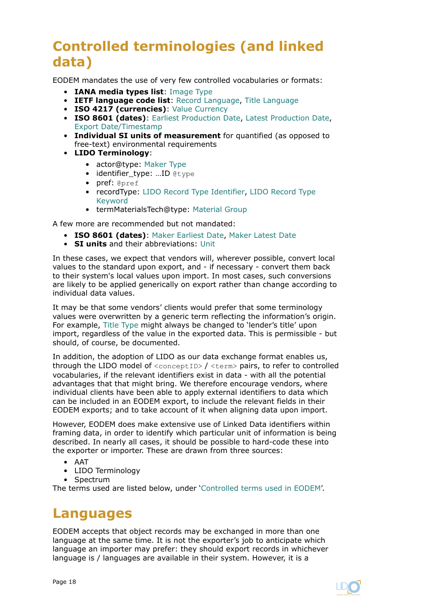# **Controlled terminologies (and linked data)**

EODEM mandates the use of very few controlled vocabularies or formats:

- **IANA media types list**: [Image Type](#page-137-0)
- **IETF language code list**: [Record Language, Title Language](#page-136-0)
- **ISO 4217 (currencies)**: [Value Currency](#page-71-0)
- **ISO 8601 (dates)**: [Earliest Production Date](#page-63-0), [Latest Production Date,](#page-64-0) [Export Date/Timestamp](#page-130-0)
- **Individual SI units of measurement** for quantified (as opposed to free-text) environmental requirements
- **LIDO Terminology**:
	- actor@type: [Maker Type](#page-134-0)
	- $\bullet$  identifier type: ...ID  $ext{letvee}$
	- pref: @pref
	- recordType: [LIDO Record Type Identifier,](#page-125-0) [LIDO Record Type](#page-126-0) [Keyword](#page-126-0)
	- termMaterialsTech@type: [Material Group](#page-47-0)

A few more are recommended but not mandated:

- **ISO 8601 (dates)**: [Maker Earliest Date](#page-56-0), [Maker Latest Date](#page-57-0)
- **SI units** and their abbreviations: [Unit](#page-42-0)

In these cases, we expect that vendors will, wherever possible, convert local values to the standard upon export, and - if necessary - convert them back to their system's local values upon import. In most cases, such conversions are likely to be applied generically on export rather than change according to individual data values.

It may be that some vendors' clients would prefer that some terminology values were overwritten by a generic term reflecting the information's origin. For example, [Title Type](#page-135-0) might always be changed to 'lender's title' upon import, regardless of the value in the exported data. This is permissible - but should, of course, be documented.

In addition, the adoption of LIDO as our data exchange format enables us, through the LIDO model of <conceptID> / <term> pairs, to refer to controlled vocabularies, if the relevant identifiers exist in data - with all the potential advantages that that might bring. We therefore encourage vendors, where individual clients have been able to apply external identifiers to data which can be included in an EODEM export, to include the relevant fields in their EODEM exports; and to take account of it when aligning data upon import.

However, EODEM does make extensive use of Linked Data identifiers within framing data, in order to identify which particular unit of information is being described. In nearly all cases, it should be possible to hard-code these into the exporter or importer. These are drawn from three sources:

- AAT
- LIDO Terminology
- Spectrum

The terms used are listed below, under ['Controlled terms used in EODEM](#page-20-0)'.

# **Languages**

EODEM accepts that object records may be exchanged in more than one language at the same time. It is not the exporter's job to anticipate which language an importer may prefer: they should export records in whichever language is / languages are available in their system. However, it is a

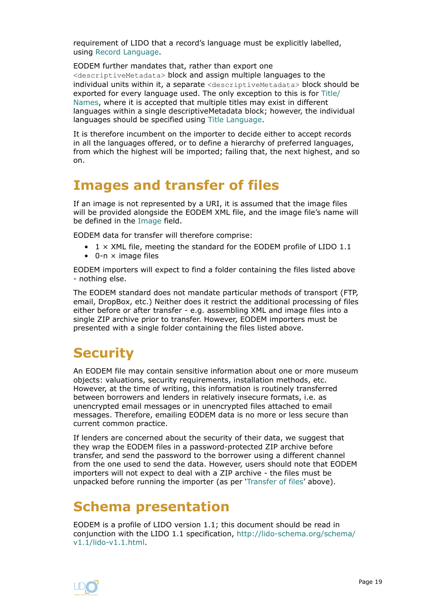<span id="page-18-0"></span>requirement of LIDO that a record's language must be explicitly labelled, using [Record Language](#page-136-0).

EODEM further mandates that, rather than export one <descriptiveMetadata> block and assign multiple languages to the individual units within it, a separate <descriptiveMetadata> block should be exported for every language used. The only exception to this is for [Title/](#page-31-0) [Names,](#page-31-0) where it is accepted that multiple titles may exist in different languages within a single descriptiveMetadata block; however, the individual languages should be specified using [Title Language](#page-136-0).

It is therefore incumbent on the importer to decide either to accept records in all the languages offered, or to define a hierarchy of preferred languages, from which the highest will be imported; failing that, the next highest, and so on.

# **Images and transfer of files**

If an image is not represented by a URI, it is assumed that the image files will be provided alongside the EODEM XML file, and the image file's name will be defined in the [Image](#page-132-0) field.

EODEM data for transfer will therefore comprise:

- $1 \times$  XML file, meeting the standard for the EODEM profile of LIDO  $1.1$
- $\bullet$  0-n  $\times$  image files

EODEM importers will expect to find a folder containing the files listed above - nothing else.

The EODEM standard does not mandate particular methods of transport (FTP, email, DropBox, etc.) Neither does it restrict the additional processing of files either before or after transfer - e.g. assembling XML and image files into a single ZIP archive prior to transfer. However, EODEM importers must be presented with a single folder containing the files listed above.

# **Security**

An EODEM file may contain sensitive information about one or more museum objects: valuations, security requirements, installation methods, etc. However, at the time of writing, this information is routinely transferred between borrowers and lenders in relatively insecure formats, i.e. as unencrypted email messages or in unencrypted files attached to email messages. Therefore, emailing EODEM data is no more or less secure than current common practice.

If lenders are concerned about the security of their data, we suggest that they wrap the EODEM files in a password-protected ZIP archive before transfer, and send the password to the borrower using a different channel from the one used to send the data. However, users should note that EODEM importers will not expect to deal with a ZIP archive - the files must be unpacked before running the importer (as per 'Transfer of files' above).

# **Schema presentation**

EODEM is a profile of LIDO version 1.1; this document should be read in conjunction with the LIDO 1.1 specification, [http://lido-schema.org/schema/](http://lido-schema.org/schema/v1.1/lido-v1.1.html) [v1.1/lido-v1.1.html.](http://lido-schema.org/schema/v1.1/lido-v1.1.html)

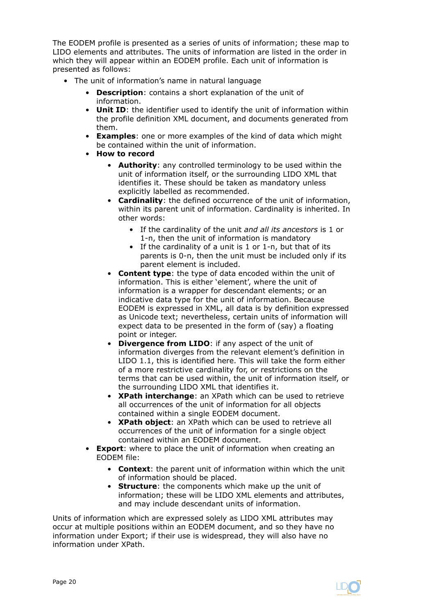The EODEM profile is presented as a series of units of information; these map to LIDO elements and attributes. The units of information are listed in the order in which they will appear within an EODEM profile. Each unit of information is presented as follows:

- The unit of information's name in natural language
	- **Description**: contains a short explanation of the unit of information.
	- **Unit ID**: the identifier used to identify the unit of information within the profile definition XML document, and documents generated from them.
	- **Examples**: one or more examples of the kind of data which might be contained within the unit of information.
	- **How to record**
		- **Authority**: any controlled terminology to be used within the unit of information itself, or the surrounding LIDO XML that identifies it. These should be taken as mandatory unless explicitly labelled as recommended.
		- **Cardinality**: the defined occurrence of the unit of information, within its parent unit of information. Cardinality is inherited. In other words:
			- If the cardinality of the unit *and all its ancestors* is 1 or 1-n, then the unit of information is mandatory
			- If the cardinality of a unit is 1 or 1-n, but that of its parents is 0-n, then the unit must be included only if its parent element is included.
		- **Content type**: the type of data encoded within the unit of information. This is either 'element', where the unit of information is a wrapper for descendant elements; or an indicative data type for the unit of information. Because EODEM is expressed in XML, all data is by definition expressed as Unicode text; nevertheless, certain units of information will expect data to be presented in the form of (say) a floating point or integer.
		- **Divergence from LIDO**: if any aspect of the unit of information diverges from the relevant element's definition in LIDO 1.1, this is identified here. This will take the form either of a more restrictive cardinality for, or restrictions on the terms that can be used within, the unit of information itself, or the surrounding LIDO XML that identifies it.
		- **XPath interchange**: an XPath which can be used to retrieve all occurrences of the unit of information for all objects contained within a single EODEM document.
		- **XPath object**: an XPath which can be used to retrieve all occurrences of the unit of information for a single object contained within an EODEM document.
	- **Export**: where to place the unit of information when creating an EODEM file:
		- **Context**: the parent unit of information within which the unit of information should be placed.
		- **Structure**: the components which make up the unit of information; these will be LIDO XML elements and attributes, and may include descendant units of information.

Units of information which are expressed solely as LIDO XML attributes may occur at multiple positions within an EODEM document, and so they have no information under Export; if their use is widespread, they will also have no information under XPath.

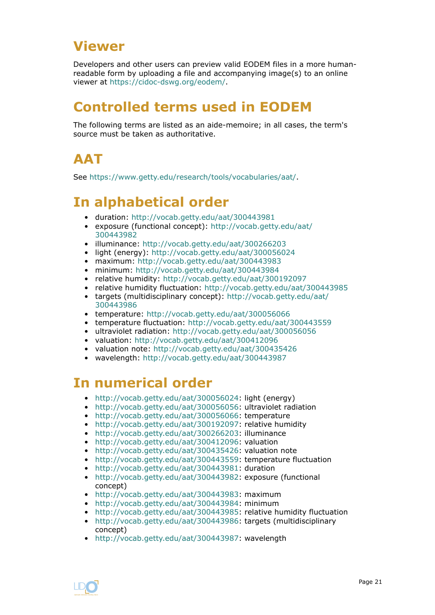# <span id="page-20-0"></span>**Viewer**

Developers and other users can preview valid EODEM files in a more humanreadable form by uploading a file and accompanying image(s) to an online viewer at [https://cidoc-dswg.org/eodem/.](https://cidoc-dswg.org/eodem/)

# **Controlled terms used in EODEM**

The following terms are listed as an aide-memoire; in all cases, the term's source must be taken as authoritative.

# **AAT**

See <https://www.getty.edu/research/tools/vocabularies/aat/>.

# **In alphabetical order**

- duration:<http://vocab.getty.edu/aat/300443981>
- exposure (functional concept): [http://vocab.getty.edu/aat/](http://vocab.getty.edu/aat/300443982) [300443982](http://vocab.getty.edu/aat/300443982)
- illuminance:<http://vocab.getty.edu/aat/300266203>
- light (energy): <http://vocab.getty.edu/aat/300056024>
- maximum: <http://vocab.getty.edu/aat/300443983>
- minimum: <http://vocab.getty.edu/aat/300443984>
- relative humidity:<http://vocab.getty.edu/aat/300192097>
- relative humidity fluctuation: <http://vocab.getty.edu/aat/300443985>
- targets (multidisciplinary concept): [http://vocab.getty.edu/aat/](http://vocab.getty.edu/aat/300443986) [300443986](http://vocab.getty.edu/aat/300443986)
- temperature: <http://vocab.getty.edu/aat/300056066>
- temperature fluctuation:<http://vocab.getty.edu/aat/300443559>
- ultraviolet radiation:<http://vocab.getty.edu/aat/300056056>
- valuation:<http://vocab.getty.edu/aat/300412096>
- valuation note:<http://vocab.getty.edu/aat/300435426>
- wavelength: <http://vocab.getty.edu/aat/300443987>

# **In numerical order**

- [http://vocab.getty.edu/aat/300056024:](http://vocab.getty.edu/aat/300056024) light (energy)
- [http://vocab.getty.edu/aat/300056056:](http://vocab.getty.edu/aat/300056056) ultraviolet radiation
- [http://vocab.getty.edu/aat/300056066:](http://vocab.getty.edu/aat/300056066) temperature
- [http://vocab.getty.edu/aat/300192097:](http://vocab.getty.edu/aat/300192097) relative humidity
- [http://vocab.getty.edu/aat/300266203:](http://vocab.getty.edu/aat/300266203) illuminance
- [http://vocab.getty.edu/aat/300412096:](http://vocab.getty.edu/aat/300412096) valuation
- [http://vocab.getty.edu/aat/300435426:](http://vocab.getty.edu/aat/300435426) valuation note
- [http://vocab.getty.edu/aat/300443559:](http://vocab.getty.edu/aat/300443559) temperature fluctuation
- [http://vocab.getty.edu/aat/300443981:](http://vocab.getty.edu/aat/300443981) duration
- [http://vocab.getty.edu/aat/300443982:](http://vocab.getty.edu/aat/300443982) exposure (functional concept)
- [http://vocab.getty.edu/aat/300443983:](http://vocab.getty.edu/aat/300443983) maximum
- [http://vocab.getty.edu/aat/300443984:](http://vocab.getty.edu/aat/300443984) minimum
- [http://vocab.getty.edu/aat/300443985:](http://vocab.getty.edu/aat/300443985) relative humidity fluctuation
- [http://vocab.getty.edu/aat/300443986:](http://vocab.getty.edu/aat/300443986) targets (multidisciplinary concept)
- [http://vocab.getty.edu/aat/300443987:](http://vocab.getty.edu/aat/300443987) wavelength

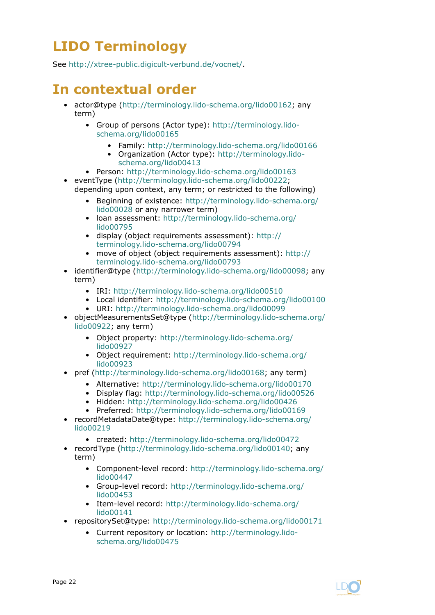# **LIDO Terminology**

See [http://xtree-public.digicult-verbund.de/vocnet/.](http://xtree-public.digicult-verbund.de/vocnet/)

# **In contextual order**

- actor@type (<http://terminology.lido-schema.org/lido00162>; any term)
	- Group of persons (Actor type): [http://terminology.lido](http://terminology.lido-schema.org/lido00165)[schema.org/lido00165](http://terminology.lido-schema.org/lido00165)
		- Family:<http://terminology.lido-schema.org/lido00166>
		- Organization (Actor type): [http://terminology.lido](http://terminology.lido-schema.org/lido00413)[schema.org/lido00413](http://terminology.lido-schema.org/lido00413)
	- Person: [http://terminology.lido-schema.org/lido00163](http://terminology.lido-schema.org/lido00163 )
- eventType [\(http://terminology.lido-schema.org/lido00222](http://terminology.lido-schema.org/lido00222); depending upon context, any term; or restricted to the following)
	- Beginning of existence: [http://terminology.lido-schema.org/](http://terminology.lido-schema.org/lido00028) [lido00028](http://terminology.lido-schema.org/lido00028) or any narrower term)
	- loan assessment: [http://terminology.lido-schema.org/](http://terminology.lido-schema.org/lido00795) [lido00795](http://terminology.lido-schema.org/lido00795)
	- display (object requirements assessment): [http://](http://terminology.lido-schema.org/lido00794) [terminology.lido-schema.org/lido00794](http://terminology.lido-schema.org/lido00794)
	- move of object (object requirements assessment): [http://](http://terminology.lido-schema.org/lido00793) [terminology.lido-schema.org/lido00793](http://terminology.lido-schema.org/lido00793)
- identifier@type [\(http://terminology.lido-schema.org/lido00098](http://terminology.lido-schema.org/lido00098); any term)
	- IRI: [http://terminology.lido-schema.org/lido00510](http://terminology.lido-schema.org/lido00510 )
	- Local identifier: [http://terminology.lido-schema.org/lido00100](http://terminology.lido-schema.org/lido00100 )
	- URI: [http://terminology.lido-schema.org/lido00099](http://terminology.lido-schema.org/lido00099 )
- objectMeasurementsSet@type ([http://terminology.lido-schema.org/](http://terminology.lido-schema.org/lido00922) [lido00922;](http://terminology.lido-schema.org/lido00922) any term)
	- Object property: [http://terminology.lido-schema.org/](http://terminology.lido-schema.org/lido00927) [lido00927](http://terminology.lido-schema.org/lido00927)
	- Object requirement: [http://terminology.lido-schema.org/](http://terminology.lido-schema.org/lido00923) [lido00923](http://terminology.lido-schema.org/lido00923)
- pref [\(http://terminology.lido-schema.org/lido00168;](http://terminology.lido-schema.org/lido00168) any term)
	- Alternative: [http://terminology.lido-schema.org/lido00170](http://terminology.lido-schema.org/lido00170 )
	- Display flag: [http://terminology.lido-schema.org/lido00526](http://terminology.lido-schema.org/lido00526 )
	- Hidden: [http://terminology.lido-schema.org/lido00426](http://terminology.lido-schema.org/lido00426 )
	- Preferred: [http://terminology.lido-schema.org/lido00169](http://terminology.lido-schema.org/lido00169 )
- recordMetadataDate@type: [http://terminology.lido-schema.org/](http://terminology.lido-schema.org/lido00219) [lido00219](http://terminology.lido-schema.org/lido00219)
	- created: [http://terminology.lido-schema.org/lido00472](http://terminology.lido-schema.org/lido00472 )
- recordType [\(http://terminology.lido-schema.org/lido00140](http://terminology.lido-schema.org/lido00140); any term)
	- Component-level record: [http://terminology.lido-schema.org/](http://terminology.lido-schema.org/lido00447 ) [lido00447](http://terminology.lido-schema.org/lido00447 )
	- Group-level record: [http://terminology.lido-schema.org/](http://terminology.lido-schema.org/lido00453 ) [lido00453](http://terminology.lido-schema.org/lido00453 )
	- Item-level record: [http://terminology.lido-schema.org/](http://terminology.lido-schema.org/lido00141 ) [lido00141](http://terminology.lido-schema.org/lido00141 )
- repositorySet@type:<http://terminology.lido-schema.org/lido00171>
	- Current repository or location: [http://terminology.lido](http://terminology.lido-schema.org/lido00475)[schema.org/lido00475](http://terminology.lido-schema.org/lido00475)

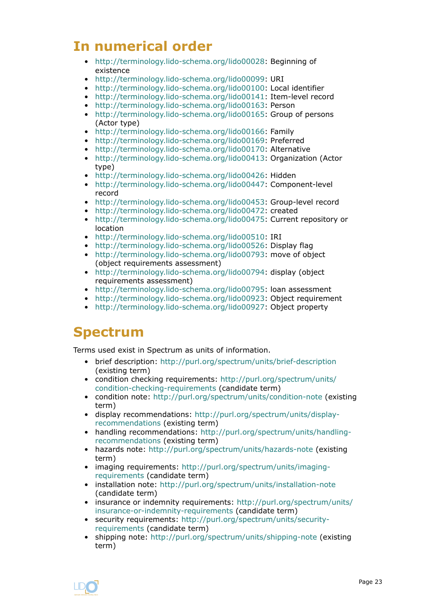# **In numerical order**

- <http://terminology.lido-schema.org/lido00028>: Beginning of existence
- <http://terminology.lido-schema.org/lido00099>: URI
- <http://terminology.lido-schema.org/lido00100>: Local identifier
- <http://terminology.lido-schema.org/lido00141>: Item-level record
- <http://terminology.lido-schema.org/lido00163>: Person
- <http://terminology.lido-schema.org/lido00165>: Group of persons (Actor type)
- <http://terminology.lido-schema.org/lido00166>: Family
- <http://terminology.lido-schema.org/lido00169>: Preferred
- <http://terminology.lido-schema.org/lido00170>: Alternative
- <http://terminology.lido-schema.org/lido00413>: Organization (Actor type)
- <http://terminology.lido-schema.org/lido00426>: Hidden
- <http://terminology.lido-schema.org/lido00447>: Component-level record
- <http://terminology.lido-schema.org/lido00453>: Group-level record
- <http://terminology.lido-schema.org/lido00472>: created
- <http://terminology.lido-schema.org/lido00475>: Current repository or location
- <http://terminology.lido-schema.org/lido00510>: IRI
- <http://terminology.lido-schema.org/lido00526>: Display flag
- <http://terminology.lido-schema.org/lido00793>: move of object (object requirements assessment)
- <http://terminology.lido-schema.org/lido00794>: display (object requirements assessment)
- <http://terminology.lido-schema.org/lido00795>: loan assessment
- <http://terminology.lido-schema.org/lido00923>: Object requirement
- <http://terminology.lido-schema.org/lido00927>: Object property

# **Spectrum**

Terms used exist in Spectrum as units of information.

- brief description: <http://purl.org/spectrum/units/brief-description> (existing term)
- condition checking requirements: [http://purl.org/spectrum/units/](http://purl.org/spectrum/units/condition-checking-requirements) [condition-checking-requirements](http://purl.org/spectrum/units/condition-checking-requirements) (candidate term)
- condition note: <http://purl.org/spectrum/units/condition-note> (existing term)
- display recommendations: [http://purl.org/spectrum/units/display](http://purl.org/spectrum/units/display-recommendations)[recommendations](http://purl.org/spectrum/units/display-recommendations) (existing term)
- handling recommendations: [http://purl.org/spectrum/units/handling](http://purl.org/spectrum/units/handling-recommendations)[recommendations](http://purl.org/spectrum/units/handling-recommendations) (existing term)
- hazards note: <http://purl.org/spectrum/units/hazards-note>(existing term)
- imaging requirements: [http://purl.org/spectrum/units/imaging](http://purl.org/spectrum/units/imaging-requirements)[requirements](http://purl.org/spectrum/units/imaging-requirements) (candidate term)
- installation note:<http://purl.org/spectrum/units/installation-note> (candidate term)
- insurance or indemnity requirements: [http://purl.org/spectrum/units/](http://purl.org/spectrum/units/insurance-or-indemnity-requirements) [insurance-or-indemnity-requirements](http://purl.org/spectrum/units/insurance-or-indemnity-requirements) (candidate term)
- security requirements: [http://purl.org/spectrum/units/security](http://purl.org/spectrum/units/security-requirements)[requirements](http://purl.org/spectrum/units/security-requirements) (candidate term)
- shipping note:<http://purl.org/spectrum/units/shipping-note> (existing term)

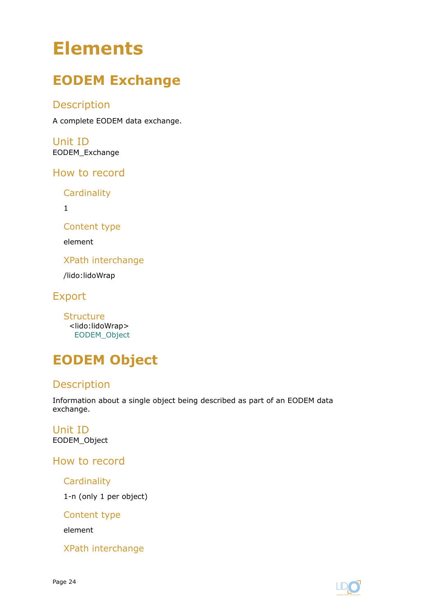# <span id="page-23-0"></span>**Elements**

# **EODEM Exchange**

## Description

A complete EODEM data exchange.

Unit ID EODEM\_Exchange

How to record

**Cardinality** 

1

Content type

element

XPath interchange

/lido:lidoWrap

Export

**Structure** <lido:lidoWrap> EODEM\_Object

# **EODEM Object**

# Description

Information about a single object being described as part of an EODEM data exchange.

Unit ID EODEM\_Object

How to record

**Cardinality** 

1-n (only 1 per object)

Content type

element

XPath interchange

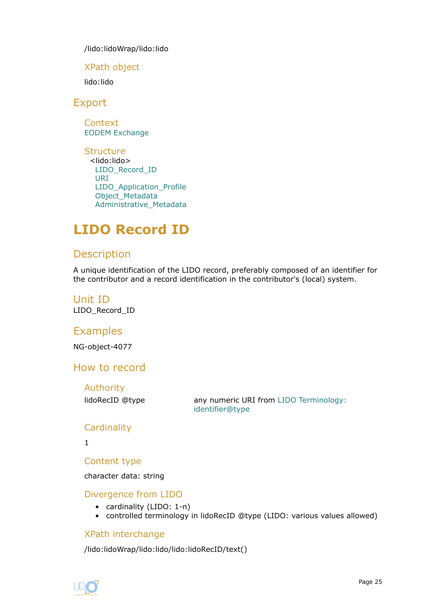<span id="page-24-0"></span>/lido:lidoWrap/lido:lido

XPath object

lido:lido

Export

**Context** [EODEM Exchange](#page-23-0)

**Structure** <lido:lido> LIDO\_Record\_ID [URI](#page-25-0) [LIDO\\_Application\\_Profile](#page-26-0) [Object\\_Metadata](#page-27-0) [Administrative\\_Metadata](#page-122-0)

# **LIDO Record ID**

## **Description**

A unique identification of the LIDO record, preferably composed of an identifier for the contributor and a record identification in the contributor's (local) system.

Unit ID LIDO\_Record\_ID

## **Examples**

NG-object-4077

How to record

Authority

lidoRecID @type any numeric URI from [LIDO Terminology:](http://terminology.lido-schema.org/lido00098) [identifier@type](http://terminology.lido-schema.org/lido00098)

#### **Cardinality**

1

Content type

character data: string

Divergence from LIDO

- cardinality (LIDO: 1-n)
- controlled terminology in lidoRecID @type (LIDO: various values allowed)

#### XPath interchange

/lido:lidoWrap/lido:lido/lido:lidoRecID/text()

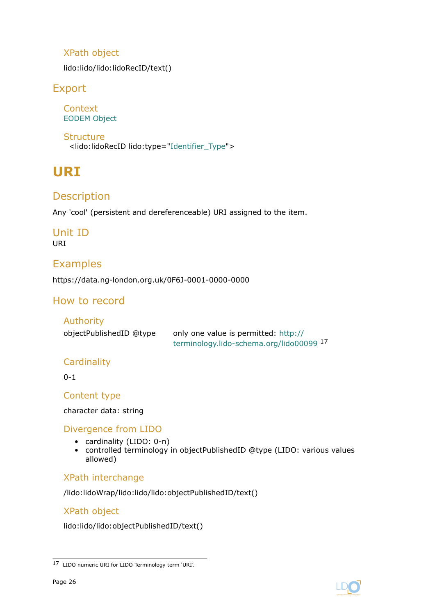## <span id="page-25-0"></span>XPath object

lido:lido/lido:lidoRecID/text()

## Export

**Context** [EODEM Object](#page-23-0)

**Structure** <lido:lidoRecID lido:type=["Identifier\\_Type"](#page-134-0)>

# **URI**

# **Description**

Any 'cool' (persistent and dereferenceable) URI assigned to the item.

# Unit ID

URI

## Examples

https://data.ng-london.org.uk/0F6J-0001-0000-0000

# How to record

#### Authority

| objectPublishedID @type | only one value is permitted: http://     |
|-------------------------|------------------------------------------|
|                         | terminology.lido-schema.org/lido00099 17 |

#### **Cardinality**

0-1

Content type

character data: string

#### Divergence from LIDO

- cardinality (LIDO: 0-n)
- controlled terminology in objectPublishedID @type (LIDO: various values allowed)

#### XPath interchange

/lido:lidoWrap/lido:lido/lido:objectPublishedID/text()

#### XPath object

lido:lido/lido:objectPublishedID/text()



<sup>17</sup> LIDO numeric URI for LIDO Terminology term 'URI'.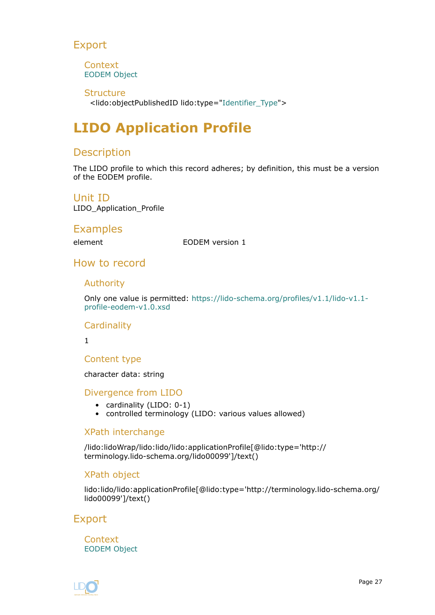## <span id="page-26-0"></span>Export

**Context** [EODEM Object](#page-23-0)

**Structure** <lido:objectPublishedID lido:type="[Identifier\\_Type](#page-134-0)">

# **LIDO Application Profile**

## Description

The LIDO profile to which this record adheres; by definition, this must be a version of the EODEM profile.

Unit ID

LIDO\_Application\_Profile

## Examples

element EODEM version 1

## How to record

#### Authority

Only one value is permitted: [https://lido-schema.org/profiles/v1.1/lido-v1.1](https://lido-schema.org/profiles/v1.1/lido-v1.1-profile-eodem-v1.0.xsd) [profile-eodem-v1.0.xsd](https://lido-schema.org/profiles/v1.1/lido-v1.1-profile-eodem-v1.0.xsd)

#### **Cardinality**

1

#### Content type

character data: string

#### Divergence from LIDO

- cardinality (LIDO: 0-1)
- controlled terminology (LIDO: various values allowed)

#### XPath interchange

/lido:lidoWrap/lido:lido/lido:applicationProfile[@lido:type='http:// terminology.lido-schema.org/lido00099']/text()

#### XPath object

lido:lido/lido:applicationProfile[@lido:type='http://terminology.lido-schema.org/ lido00099']/text()

## Export

**Context** [EODEM Object](#page-23-0)

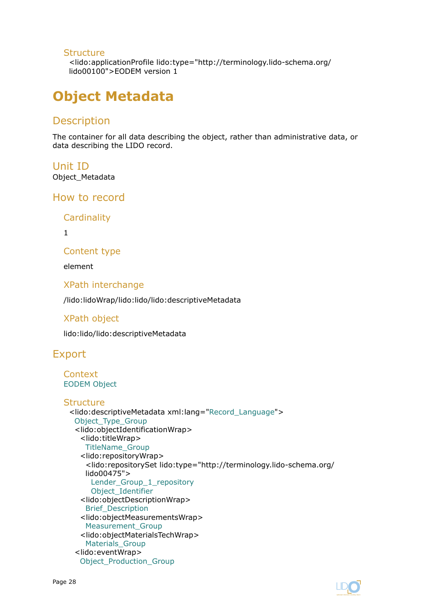#### <span id="page-27-0"></span>**Structure**

<lido:applicationProfile lido:type="http://terminology.lido-schema.org/ lido00100">EODEM version 1

# **Object Metadata**

## **Description**

The container for all data describing the object, rather than administrative data, or data describing the LIDO record.

Unit ID Object\_Metadata

#### How to record

**Cardinality** 

1

Content type

element

XPath interchange

/lido:lidoWrap/lido:lido/lido:descriptiveMetadata

#### XPath object

lido:lido/lido:descriptiveMetadata

## Export

```
Context
EODEM Object
```

```
Structure
 <lido:descriptiveMetadata xml:lang="Record_Language">
  Object Type Group
  <lido:objectIdentificationWrap>
    <lido:titleWrap>
     TitleName_Group
    <lido:repositoryWrap>
     <lido:repositorySet lido:type="http://terminology.lido-schema.org/
     lido00475">
      Lender_Group_1_repository
      Object_Identifier
    <lido:objectDescriptionWrap>
     Brief_Description
    <lido:objectMeasurementsWrap>
     Measurement_Group
    <lido:objectMaterialsTechWrap>
     Materials_Group
  <lido:eventWrap>
    Object_Production_Group
```
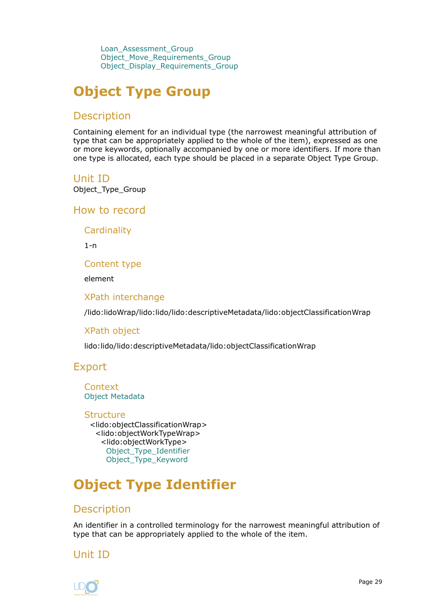<span id="page-28-0"></span>[Loan\\_Assessment\\_Group](#page-68-0) [Object\\_Move\\_Requirements\\_Group](#page-75-0) [Object\\_Display\\_Requirements\\_Group](#page-81-0)

# **Object Type Group**

## **Description**

Containing element for an individual type (the narrowest meaningful attribution of type that can be appropriately applied to the whole of the item), expressed as one or more keywords, optionally accompanied by one or more identifiers. If more than one type is allocated, each type should be placed in a separate Object Type Group.

#### Unit ID

Object\_Type\_Group

How to record

**Cardinality** 

 $1 - n$ 

Content type

element

XPath interchange

/lido:lidoWrap/lido:lido/lido:descriptiveMetadata/lido:objectClassificationWrap

#### XPath object

lido:lido/lido:descriptiveMetadata/lido:objectClassificationWrap

#### Export

**Context** [Object Metadata](#page-27-0)

**Structure** <lido:objectClassificationWrap> <lido:objectWorkTypeWrap> <lido:objectWorkType> Object\_Type\_Identifier [Object\\_Type\\_Keyword](#page-29-0)

# **Object Type Identifier**

## **Description**

An identifier in a controlled terminology for the narrowest meaningful attribution of type that can be appropriately applied to the whole of the item.

## Unit ID

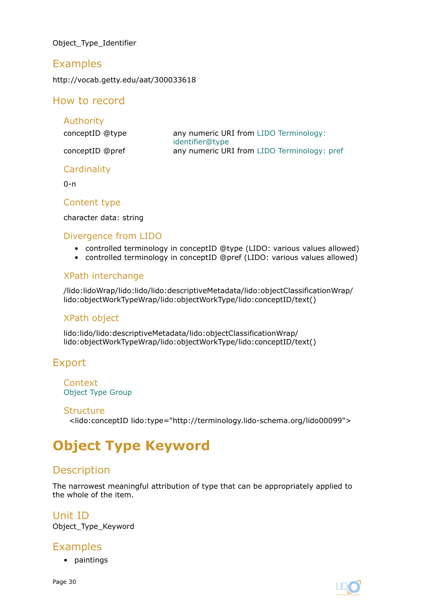<span id="page-29-0"></span>Object\_Type\_Identifier

## Examples

http://vocab.getty.edu/aat/300033618

## How to record

| <b>Authority</b> |                                                           |
|------------------|-----------------------------------------------------------|
| conceptID @type  | any numeric URI from LIDO Terminology:<br>identifier@type |
| conceptID @pref  | any numeric URI from LIDO Terminology: pref               |

#### **Cardinality**

 $0 - n$ 

#### Content type

character data: string

#### Divergence from LIDO

- controlled terminology in conceptID @type (LIDO: various values allowed)
- controlled terminology in conceptID @pref (LIDO: various values allowed)

#### XPath interchange

/lido:lidoWrap/lido:lido/lido:descriptiveMetadata/lido:objectClassificationWrap/ lido:objectWorkTypeWrap/lido:objectWorkType/lido:conceptID/text()

#### XPath object

lido:lido/lido:descriptiveMetadata/lido:objectClassificationWrap/ lido:objectWorkTypeWrap/lido:objectWorkType/lido:conceptID/text()

# Export

**Context** [Object Type Group](#page-28-0)

#### **Structure**

<lido:conceptID lido:type="http://terminology.lido-schema.org/lido00099">

# **Object Type Keyword**

## **Description**

The narrowest meaningful attribution of type that can be appropriately applied to the whole of the item.

## Unit ID

Object\_Type\_Keyword

## Examples

• paintings

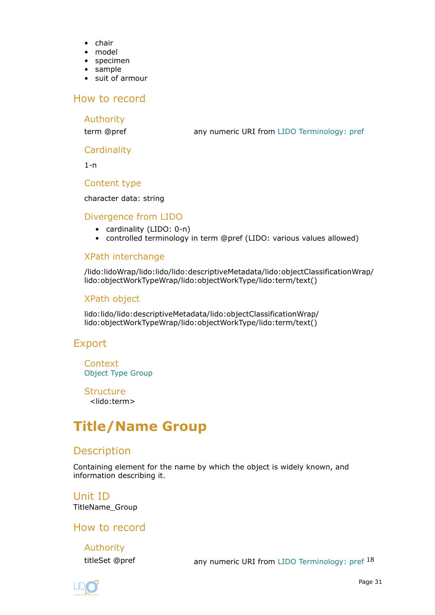- <span id="page-30-0"></span>• chair
- model
- specimen
- sample
- suit of armour

#### How to record

#### Authority

term @pref any numeric URI from [LIDO Terminology: pref](http://terminology.lido-schema.org/lido00168)

#### **Cardinality**

1-n

#### Content type

#### character data: string

#### Divergence from LIDO

- cardinality (LIDO: 0-n)
- controlled terminology in term @pref (LIDO: various values allowed)

#### XPath interchange

/lido:lidoWrap/lido:lido/lido:descriptiveMetadata/lido:objectClassificationWrap/ lido:objectWorkTypeWrap/lido:objectWorkType/lido:term/text()

#### XPath object

lido:lido/lido:descriptiveMetadata/lido:objectClassificationWrap/ lido:objectWorkTypeWrap/lido:objectWorkType/lido:term/text()

#### Export

**Context** [Object Type Group](#page-28-0)

**Structure** <lido:term>

# **Title/Name Group**

## **Description**

Containing element for the name by which the object is widely known, and information describing it.

Unit ID TitleName\_Group

How to record

Authority

titleSet @pref any numeric URI from [LIDO Terminology: pref](http://terminology.lido-schema.org/lido00168) 18

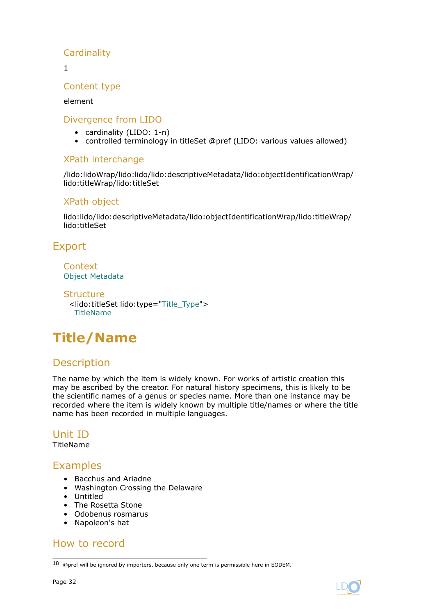## <span id="page-31-0"></span>**Cardinality**

1

### Content type

#### element

#### Divergence from LIDO

- cardinality (LIDO: 1-n)
- controlled terminology in titleSet @pref (LIDO: various values allowed)

#### XPath interchange

/lido:lidoWrap/lido:lido/lido:descriptiveMetadata/lido:objectIdentificationWrap/ lido:titleWrap/lido:titleSet

#### XPath object

lido:lido/lido:descriptiveMetadata/lido:objectIdentificationWrap/lido:titleWrap/ lido:titleSet

# Export

Context [Object Metadata](#page-27-0)

```
Structure
 <lido:titleSet lido:type="Title_Type">
  TitleName
```
# **Title/Name**

# **Description**

The name by which the item is widely known. For works of artistic creation this may be ascribed by the creator. For natural history specimens, this is likely to be the scientific names of a genus or species name. More than one instance may be recorded where the item is widely known by multiple title/names or where the title name has been recorded in multiple languages.

## Unit ID

TitleName

## Examples

- Bacchus and Ariadne
- Washington Crossing the Delaware
- Untitled
- The Rosetta Stone
- Odobenus rosmarus
- Napoleon's hat

## How to record

 $18$  @pref will be ignored by importers, because only one term is permissible here in EODEM.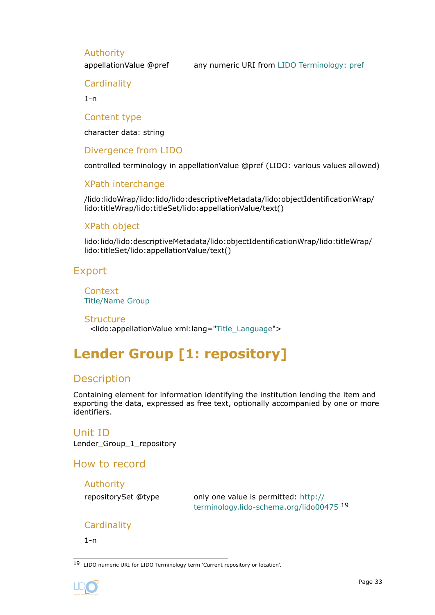#### <span id="page-32-0"></span>Authority

appellationValue @pref any numeric URI from [LIDO Terminology: pref](http://terminology.lido-schema.org/lido00168)

**Cardinality** 

 $1 - n$ 

Content type

character data: string

Divergence from LIDO

controlled terminology in appellationValue @pref (LIDO: various values allowed)

XPath interchange

/lido:lidoWrap/lido:lido/lido:descriptiveMetadata/lido:objectIdentificationWrap/ lido:titleWrap/lido:titleSet/lido:appellationValue/text()

#### XPath object

lido:lido/lido:descriptiveMetadata/lido:objectIdentificationWrap/lido:titleWrap/ lido:titleSet/lido:appellationValue/text()

## Export

**Context** [Title/Name Group](#page-30-0)

**Structure** <lido:appellationValue xml:lang=["Title\\_Language"](#page-136-0)>

# **Lender Group [1: repository]**

## Description

Containing element for information identifying the institution lending the item and exporting the data, expressed as free text, optionally accompanied by one or more identifiers.

# Unit ID

Lender Group 1 repository

How to record

Authority

repositorySet @type only one value is permitted: [http://](http://terminology.lido-schema.org/lido00475) [terminology.lido-schema.org/lido00475](http://terminology.lido-schema.org/lido00475) <sup>19</sup>

#### **Cardinality**

1-n

19 LIDO numeric URI for LIDO Terminology term 'Current repository or location'.

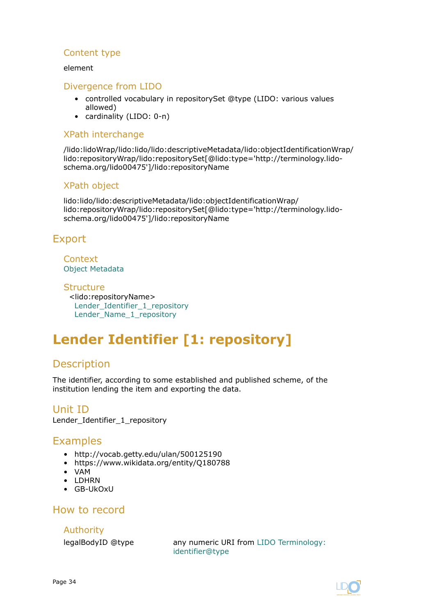#### <span id="page-33-0"></span>Content type

#### element

#### Divergence from LIDO

- controlled vocabulary in repositorySet @type (LIDO: various values allowed)
- cardinality (LIDO: 0-n)

#### XPath interchange

/lido:lidoWrap/lido:lido/lido:descriptiveMetadata/lido:objectIdentificationWrap/ lido:repositoryWrap/lido:repositorySet[@lido:type='http://terminology.lidoschema.org/lido00475']/lido:repositoryName

#### XPath object

lido:lido/lido:descriptiveMetadata/lido:objectIdentificationWrap/ lido:repositoryWrap/lido:repositorySet[@lido:type='http://terminology.lidoschema.org/lido00475']/lido:repositoryName

## Export

#### **Context** [Object Metadata](#page-27-0)

**Structure** <lido:repositoryName> Lender\_Identifier\_1\_repository [Lender\\_Name\\_1\\_repository](#page-34-0)

# **Lender Identifier [1: repository]**

## Description

The identifier, according to some established and published scheme, of the institution lending the item and exporting the data.

Unit ID Lender Identifier 1 repository

## Examples

- http://vocab.getty.edu/ulan/500125190
- https://www.wikidata.org/entity/Q180788
- VAM
- LDHRN
- GB-UkOxU

#### How to record

Authority

legalBodyID @type any numeric URI from [LIDO Terminology:](http://terminology.lido-schema.org/lido00098) [identifier@type](http://terminology.lido-schema.org/lido00098)

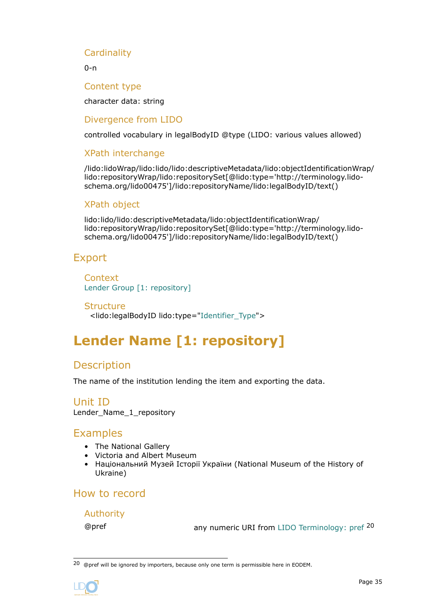#### <span id="page-34-0"></span>**Cardinality**

0-n

Content type

character data: string

Divergence from LIDO

controlled vocabulary in legalBodyID @type (LIDO: various values allowed)

#### XPath interchange

/lido:lidoWrap/lido:lido/lido:descriptiveMetadata/lido:objectIdentificationWrap/ lido:repositoryWrap/lido:repositorySet[@lido:type='http://terminology.lidoschema.org/lido00475']/lido:repositoryName/lido:legalBodyID/text()

#### XPath object

lido:lido/lido:descriptiveMetadata/lido:objectIdentificationWrap/ lido:repositoryWrap/lido:repositorySet[@lido:type='http://terminology.lidoschema.org/lido00475']/lido:repositoryName/lido:legalBodyID/text()

#### Export

**Context** [Lender Group \[1: repository\]](#page-32-0)

**Structure** <lido:legalBodyID lido:type="[Identifier\\_Type](#page-134-0)">

# **Lender Name [1: repository]**

## **Description**

The name of the institution lending the item and exporting the data.

Unit ID Lender Name 1 repository

## **Examples**

- The National Gallery
- Victoria and Albert Museum
- Національний Музей Історії України (National Museum of the History of Ukraine)

## How to record

#### Authority

@pref any numeric URI from [LIDO Terminology: pref](http://terminology.lido-schema.org/lido00168) <sup>20</sup>

<sup>20 @</sup>pref will be ignored by importers, because only one term is permissible here in EODEM.

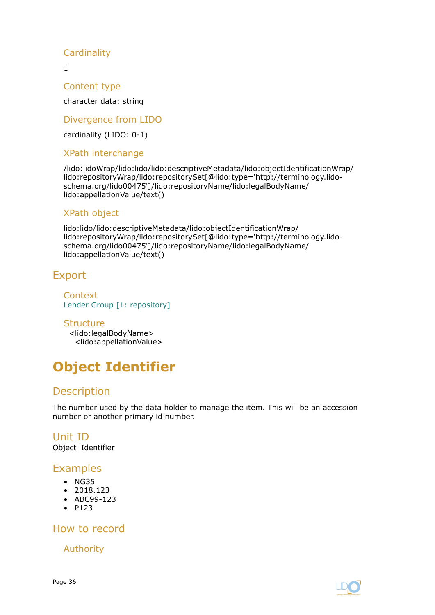## <span id="page-35-0"></span>**Cardinality**

1

Content type

character data: string

Divergence from LIDO

cardinality (LIDO: 0-1)

#### XPath interchange

/lido:lidoWrap/lido:lido/lido:descriptiveMetadata/lido:objectIdentificationWrap/ lido:repositoryWrap/lido:repositorySet[@lido:type='http://terminology.lidoschema.org/lido00475']/lido:repositoryName/lido:legalBodyName/ lido:appellationValue/text()

#### XPath object

lido:lido/lido:descriptiveMetadata/lido:objectIdentificationWrap/ lido:repositoryWrap/lido:repositorySet[@lido:type='http://terminology.lidoschema.org/lido00475']/lido:repositoryName/lido:legalBodyName/ lido:appellationValue/text()

## Export

**Context** [Lender Group \[1: repository\]](#page-32-0)

**Structure** <lido:legalBodyName> <lido:appellationValue>

# **Object Identifier**

## **Description**

The number used by the data holder to manage the item. This will be an accession number or another primary id number.

Unit ID Object\_Identifier

## Examples

- NG35
- 2018.123
- ABC99-123
- P123

How to record

Authority

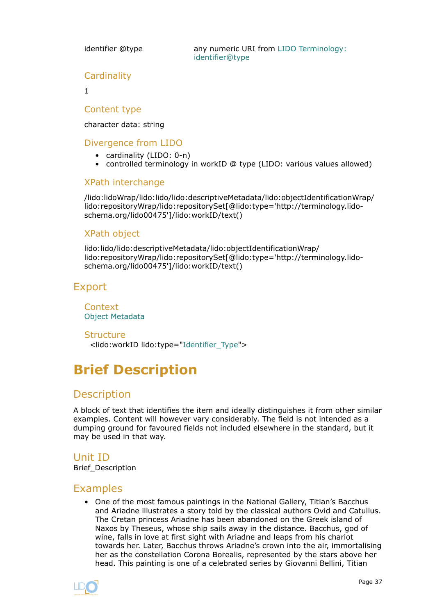identifier @type **any numeric URI from [LIDO Terminology:](http://terminology.lido-schema.org/lido00098)** [identifier@type](http://terminology.lido-schema.org/lido00098)

#### **Cardinality**

1

#### Content type

character data: string

### Divergence from LIDO

- cardinality (LIDO: 0-n)
- controlled terminology in workID @ type (LIDO: various values allowed)

#### XPath interchange

/lido:lidoWrap/lido:lido/lido:descriptiveMetadata/lido:objectIdentificationWrap/ lido:repositoryWrap/lido:repositorySet[@lido:type='http://terminology.lidoschema.org/lido00475']/lido:workID/text()

#### XPath object

lido:lido/lido:descriptiveMetadata/lido:objectIdentificationWrap/ lido:repositoryWrap/lido:repositorySet[@lido:type='http://terminology.lidoschema.org/lido00475']/lido:workID/text()

## Export

**Context** [Object Metadata](#page-27-0)

**Structure** <lido:workID lido:type=["Identifier\\_Type"](#page-134-0)>

# **Brief Description**

## **Description**

A block of text that identifies the item and ideally distinguishes it from other similar examples. Content will however vary considerably. The field is not intended as a dumping ground for favoured fields not included elsewhere in the standard, but it may be used in that way.

## Unit ID

Brief\_Description

## Examples

• One of the most famous paintings in the National Gallery, Titian's Bacchus and Ariadne illustrates a story told by the classical authors Ovid and Catullus. The Cretan princess Ariadne has been abandoned on the Greek island of Naxos by Theseus, whose ship sails away in the distance. Bacchus, god of wine, falls in love at first sight with Ariadne and leaps from his chariot towards her. Later, Bacchus throws Ariadne's crown into the air, immortalising her as the constellation Corona Borealis, represented by the stars above her head. This painting is one of a celebrated series by Giovanni Bellini, Titian

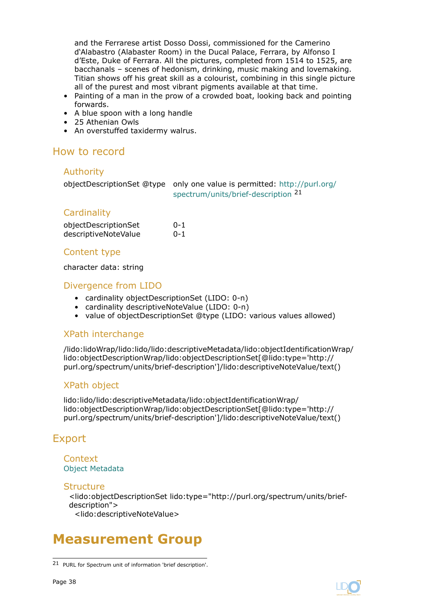<span id="page-37-0"></span>and the Ferrarese artist Dosso Dossi, commissioned for the Camerino d'Alabastro (Alabaster Room) in the Ducal Palace, Ferrara, by Alfonso I d'Este, Duke of Ferrara. All the pictures, completed from 1514 to 1525, are bacchanals – scenes of hedonism, drinking, music making and lovemaking. Titian shows off his great skill as a colourist, combining in this single picture all of the purest and most vibrant pigments available at that time.

- Painting of a man in the prow of a crowded boat, looking back and pointing forwards.
- A blue spoon with a long handle
- 25 Athenian Owls
- An overstuffed taxidermy walrus.

## How to record

#### Authority

objectDescriptionSet @type only one value is permitted: [http://purl.org/](http://purl.org/spectrum/units/brief-description) [spectrum/units/brief-description](http://purl.org/spectrum/units/brief-description) <sup>21</sup>

### **Cardinality**

| objectDescriptionSet | 0-1 |
|----------------------|-----|
| descriptiveNoteValue | 0-1 |

#### Content type

character data: string

### Divergence from LIDO

- cardinality objectDescriptionSet (LIDO: 0-n)
- cardinality descriptiveNoteValue (LIDO: 0-n)
- value of objectDescriptionSet @type (LIDO: various values allowed)

#### XPath interchange

/lido:lidoWrap/lido:lido/lido:descriptiveMetadata/lido:objectIdentificationWrap/ lido:objectDescriptionWrap/lido:objectDescriptionSet[@lido:type='http:// purl.org/spectrum/units/brief-description']/lido:descriptiveNoteValue/text()

#### XPath object

lido:lido/lido:descriptiveMetadata/lido:objectIdentificationWrap/ lido:objectDescriptionWrap/lido:objectDescriptionSet[@lido:type='http:// purl.org/spectrum/units/brief-description']/lido:descriptiveNoteValue/text()

# Export

#### Context [Object Metadata](#page-27-0)

#### **Structure**

<lido:objectDescriptionSet lido:type="http://purl.org/spectrum/units/briefdescription"> <lido:descriptiveNoteValue>

# **Measurement Group**



<sup>21</sup> PURL for Spectrum unit of information 'brief description'.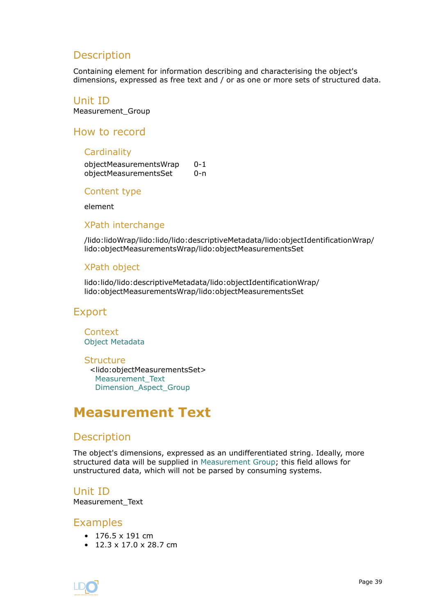# <span id="page-38-0"></span>**Description**

Containing element for information describing and characterising the object's dimensions, expressed as free text and / or as one or more sets of structured data.

Unit ID

Measurement\_Group

How to record

#### **Cardinality**

objectMeasurementsWrap 0-1 objectMeasurementsSet 0-n

Content type

element

#### XPath interchange

/lido:lidoWrap/lido:lido/lido:descriptiveMetadata/lido:objectIdentificationWrap/ lido:objectMeasurementsWrap/lido:objectMeasurementsSet

#### XPath object

lido:lido/lido:descriptiveMetadata/lido:objectIdentificationWrap/ lido:objectMeasurementsWrap/lido:objectMeasurementsSet

## Export

**Context** [Object Metadata](#page-27-0)

**Structure** <lido:objectMeasurementsSet> Measurement\_Text [Dimension\\_Aspect\\_Group](#page-39-0)

# **Measurement Text**

## **Description**

The object's dimensions, expressed as an undifferentiated string. Ideally, more structured data will be supplied in [Measurement Group;](#page-37-0) this field allows for unstructured data, which will not be parsed by consuming systems.

Unit ID Measurement\_Text

#### Examples

- 176.5 x 191 cm
- $\cdot$  12.3 x 17.0 x 28.7 cm

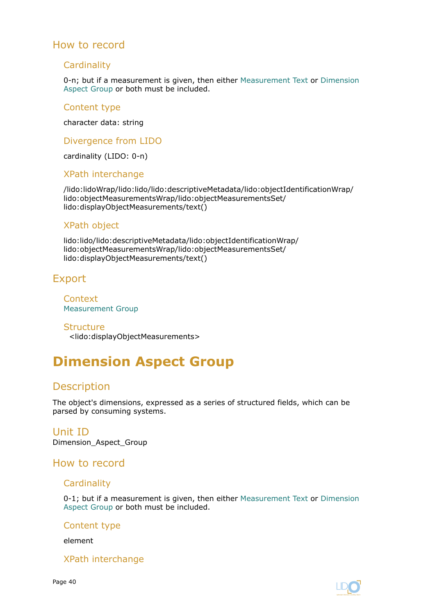#### <span id="page-39-0"></span>**Cardinality**

0-n; but if a measurement is given, then either [Measurement Text](#page-38-0) or Dimension Aspect Group or both must be included.

#### Content type

character data: string

Divergence from LIDO

cardinality (LIDO: 0-n)

#### XPath interchange

/lido:lidoWrap/lido:lido/lido:descriptiveMetadata/lido:objectIdentificationWrap/ lido:objectMeasurementsWrap/lido:objectMeasurementsSet/ lido:displayObjectMeasurements/text()

#### XPath object

lido:lido/lido:descriptiveMetadata/lido:objectIdentificationWrap/ lido:objectMeasurementsWrap/lido:objectMeasurementsSet/ lido:displayObjectMeasurements/text()

## Export

**Context** [Measurement Group](#page-37-0)

**Structure** <lido:displayObjectMeasurements>

# **Dimension Aspect Group**

# **Description**

The object's dimensions, expressed as a series of structured fields, which can be parsed by consuming systems.

#### Unit ID Dimension\_Aspect\_Group

#### How to record

#### **Cardinality**

0-1; but if a measurement is given, then either [Measurement Text](#page-38-0) or Dimension Aspect Group or both must be included.

#### Content type

element

#### XPath interchange

Page 40

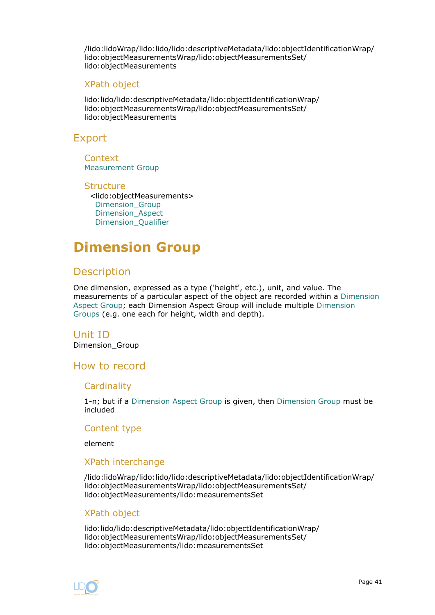<span id="page-40-0"></span>/lido:lidoWrap/lido:lido/lido:descriptiveMetadata/lido:objectIdentificationWrap/ lido:objectMeasurementsWrap/lido:objectMeasurementsSet/ lido:objectMeasurements

#### XPath object

lido:lido/lido:descriptiveMetadata/lido:objectIdentificationWrap/ lido:objectMeasurementsWrap/lido:objectMeasurementsSet/ lido:objectMeasurements

## Export

**Context** [Measurement Group](#page-37-0)

**Structure** <lido:objectMeasurements> Dimension\_Group [Dimension\\_Aspect](#page-43-0) [Dimension\\_Qualifier](#page-44-0)

# **Dimension Group**

## **Description**

One dimension, expressed as a type ('height', etc.), unit, and value. The measurements of a particular aspect of the object are recorded within a [Dimension](#page-39-0) [Aspect Group;](#page-39-0) each Dimension Aspect Group will include multiple Dimension Groups (e.g. one each for height, width and depth).

#### Unit ID

Dimension\_Group

## How to record

#### **Cardinality**

1-n; but if a [Dimension Aspect Group](#page-39-0) is given, then Dimension Group must be included

#### Content type

element

#### XPath interchange

/lido:lidoWrap/lido:lido/lido:descriptiveMetadata/lido:objectIdentificationWrap/ lido:objectMeasurementsWrap/lido:objectMeasurementsSet/ lido:objectMeasurements/lido:measurementsSet

#### XPath object

lido:lido/lido:descriptiveMetadata/lido:objectIdentificationWrap/ lido:objectMeasurementsWrap/lido:objectMeasurementsSet/ lido:objectMeasurements/lido:measurementsSet

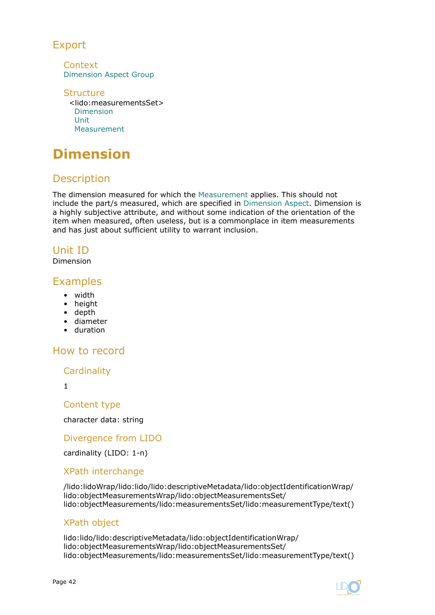# Export

**Context** [Dimension Aspect Group](#page-39-0)

**Structure** <lido:measurementsSet> Dimension [Unit](#page-42-0) [Measurement](#page-43-0)

# **Dimension**

# **Description**

The dimension measured for which the [Measurement](#page-43-0) applies. This should not include the part/s measured, which are specified in [Dimension Aspect](#page-43-0). Dimension is a highly subjective attribute, and without some indication of the orientation of the item when measured, often useless, but is a commonplace in item measurements and has just about sufficient utility to warrant inclusion.

# Unit ID

Dimension

# Examples

- width
- height
- depth
- diameter
- duration

# How to record

**Cardinality** 

1

Content type

character data: string

## Divergence from LIDO

cardinality (LIDO: 1-n)

## XPath interchange

/lido:lidoWrap/lido:lido/lido:descriptiveMetadata/lido:objectIdentificationWrap/ lido:objectMeasurementsWrap/lido:objectMeasurementsSet/ lido:objectMeasurements/lido:measurementsSet/lido:measurementType/text()

## XPath object

lido:lido/lido:descriptiveMetadata/lido:objectIdentificationWrap/ lido:objectMeasurementsWrap/lido:objectMeasurementsSet/ lido:objectMeasurements/lido:measurementsSet/lido:measurementType/text()

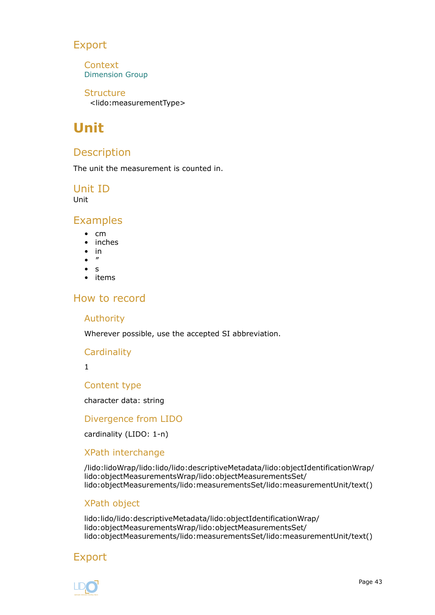# <span id="page-42-0"></span>Export

**Context** [Dimension Group](#page-40-0)

**Structure** <lido:measurementType>

# **Unit**

# Description

The unit the measurement is counted in.

Unit ID

Unit

## **Examples**

- cm
- inches
- in
- ″
- s
- items

# How to record

#### Authority

Wherever possible, use the accepted SI abbreviation.

#### **Cardinality**

1

Content type

character data: string

Divergence from LIDO

cardinality (LIDO: 1-n)

## XPath interchange

/lido:lidoWrap/lido:lido/lido:descriptiveMetadata/lido:objectIdentificationWrap/ lido:objectMeasurementsWrap/lido:objectMeasurementsSet/ lido:objectMeasurements/lido:measurementsSet/lido:measurementUnit/text()

## XPath object

lido:lido/lido:descriptiveMetadata/lido:objectIdentificationWrap/ lido:objectMeasurementsWrap/lido:objectMeasurementsSet/ lido:objectMeasurements/lido:measurementsSet/lido:measurementUnit/text()

# Export

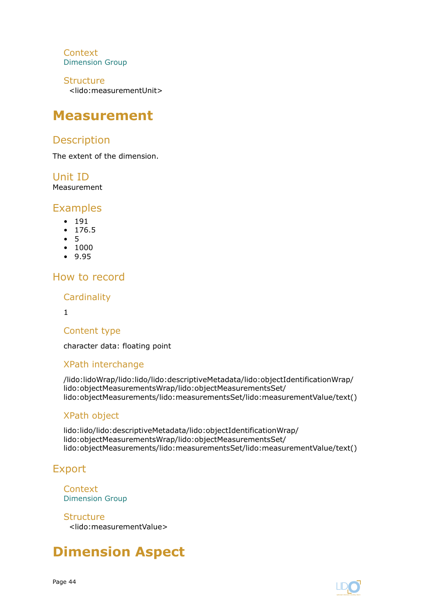<span id="page-43-0"></span>**Context** [Dimension Group](#page-40-0)

**Structure** <lido:measurementUnit>

# **Measurement**

# Description

The extent of the dimension.

Unit ID

Measurement

# Examples

- 191
- 176.5
- 5
- 1000
- 9.95

# How to record

**Cardinality** 

1

## Content type

character data: floating point

# XPath interchange

/lido:lidoWrap/lido:lido/lido:descriptiveMetadata/lido:objectIdentificationWrap/ lido:objectMeasurementsWrap/lido:objectMeasurementsSet/ lido:objectMeasurements/lido:measurementsSet/lido:measurementValue/text()

# XPath object

lido:lido/lido:descriptiveMetadata/lido:objectIdentificationWrap/ lido:objectMeasurementsWrap/lido:objectMeasurementsSet/ lido:objectMeasurements/lido:measurementsSet/lido:measurementValue/text()

# Export

**Context** [Dimension Group](#page-40-0)

**Structure** <lido:measurementValue>

# **Dimension Aspect**

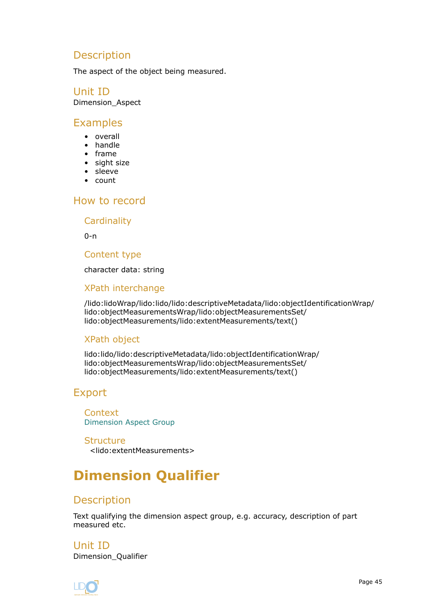# <span id="page-44-0"></span>Description

The aspect of the object being measured.

#### Unit ID Dimension\_Aspect

## Examples

- overall
- handle
- frame
- sight size
- sleeve
- count

# How to record

**Cardinality** 

 $0 - n$ 

Content type

character data: string

## XPath interchange

/lido:lidoWrap/lido:lido/lido:descriptiveMetadata/lido:objectIdentificationWrap/ lido:objectMeasurementsWrap/lido:objectMeasurementsSet/ lido:objectMeasurements/lido:extentMeasurements/text()

## XPath object

lido:lido/lido:descriptiveMetadata/lido:objectIdentificationWrap/ lido:objectMeasurementsWrap/lido:objectMeasurementsSet/ lido:objectMeasurements/lido:extentMeasurements/text()

# Export

**Context** [Dimension Aspect Group](#page-39-0)

**Structure** <lido:extentMeasurements>

# **Dimension Qualifier**

# **Description**

Text qualifying the dimension aspect group, e.g. accuracy, description of part measured etc.

Unit ID Dimension\_Qualifier

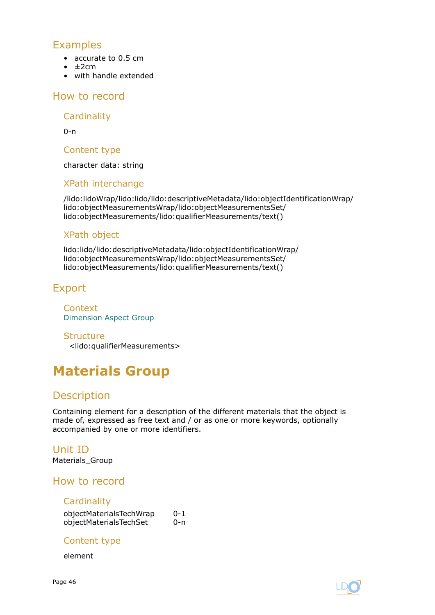# <span id="page-45-0"></span>Examples

- accurate to 0.5 cm
- $\cdot$   $\pm$ 2cm
- with handle extended

### How to record

**Cardinality** 

 $0 - n$ 

Content type

character data: string

#### XPath interchange

/lido:lidoWrap/lido:lido/lido:descriptiveMetadata/lido:objectIdentificationWrap/ lido:objectMeasurementsWrap/lido:objectMeasurementsSet/ lido:objectMeasurements/lido:qualifierMeasurements/text()

### XPath object

lido:lido/lido:descriptiveMetadata/lido:objectIdentificationWrap/ lido:objectMeasurementsWrap/lido:objectMeasurementsSet/ lido:objectMeasurements/lido:qualifierMeasurements/text()

# Export

**Context** [Dimension Aspect Group](#page-39-0)

**Structure** <lido:qualifierMeasurements>

# **Materials Group**

# **Description**

Containing element for a description of the different materials that the object is made of, expressed as free text and / or as one or more keywords, optionally accompanied by one or more identifiers.

## Unit ID

Materials\_Group

## How to record

#### **Cardinality**

objectMaterialsTechWrap 0-1 objectMaterialsTechSet 0-n

#### Content type

element

Page 46

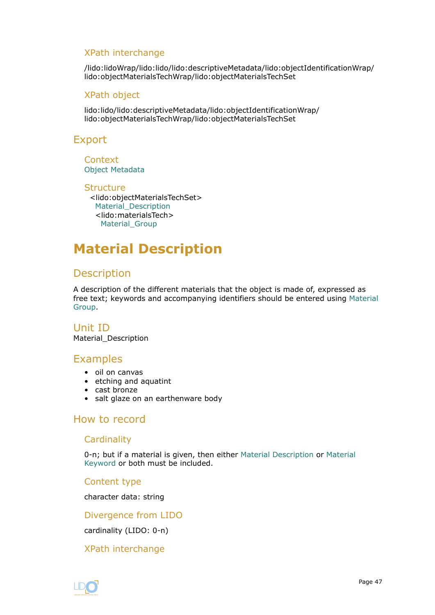### <span id="page-46-0"></span>XPath interchange

/lido:lidoWrap/lido:lido/lido:descriptiveMetadata/lido:objectIdentificationWrap/ lido:objectMaterialsTechWrap/lido:objectMaterialsTechSet

#### XPath object

lido:lido/lido:descriptiveMetadata/lido:objectIdentificationWrap/ lido:objectMaterialsTechWrap/lido:objectMaterialsTechSet

## Export

**Context** [Object Metadata](#page-27-0)

#### **Structure** <lido:objectMaterialsTechSet> Material\_Description <lido:materialsTech> [Material\\_Group](#page-47-0)

# **Material Description**

# **Description**

A description of the different materials that the object is made of, expressed as free text; keywords and accompanying identifiers should be entered using [Material](#page-47-0) [Group.](#page-47-0)

Unit ID Material\_Description

## Examples

- oil on canvas
- etching and aquatint
- cast bronze
- salt glaze on an earthenware body

# How to record

## **Cardinality**

0-n; but if a material is given, then either Material Description or [Material](#page-49-0) [Keyword](#page-49-0) or both must be included.

#### Content type

character data: string

#### Divergence from LIDO

cardinality (LIDO: 0-n)

#### XPath interchange

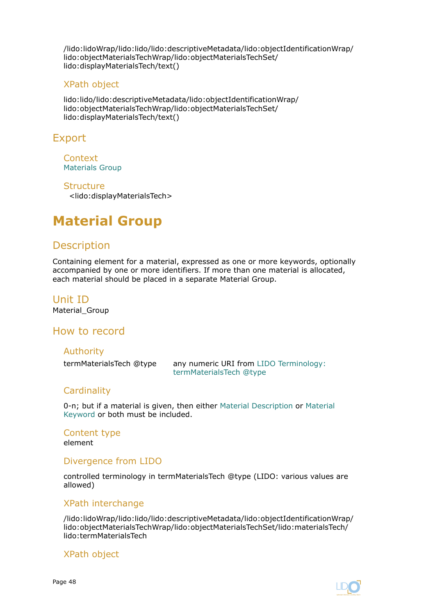<span id="page-47-0"></span>/lido:lidoWrap/lido:lido/lido:descriptiveMetadata/lido:objectIdentificationWrap/ lido:objectMaterialsTechWrap/lido:objectMaterialsTechSet/ lido:displayMaterialsTech/text()

#### XPath object

lido:lido/lido:descriptiveMetadata/lido:objectIdentificationWrap/ lido:objectMaterialsTechWrap/lido:objectMaterialsTechSet/ lido:displayMaterialsTech/text()

## Export

Context [Materials Group](#page-45-0)

#### **Structure**

<lido:displayMaterialsTech>

# **Material Group**

# **Description**

Containing element for a material, expressed as one or more keywords, optionally accompanied by one or more identifiers. If more than one material is allocated, each material should be placed in a separate Material Group.

Unit ID Material\_Group

#### How to record

#### Authority

termMaterialsTech @type any numeric URI from [LIDO Terminology:](http://terminology.lido-schema.org/lido00130) [termMaterialsTech @type](http://terminology.lido-schema.org/lido00130)

#### **Cardinality**

0-n; but if a material is given, then either [Material Description](#page-46-0) or [Material](#page-49-0) [Keyword](#page-49-0) or both must be included.

Content type element

#### Divergence from LIDO

controlled terminology in termMaterialsTech @type (LIDO: various values are allowed)

#### XPath interchange

/lido:lidoWrap/lido:lido/lido:descriptiveMetadata/lido:objectIdentificationWrap/ lido:objectMaterialsTechWrap/lido:objectMaterialsTechSet/lido:materialsTech/ lido:termMaterialsTech

#### XPath object

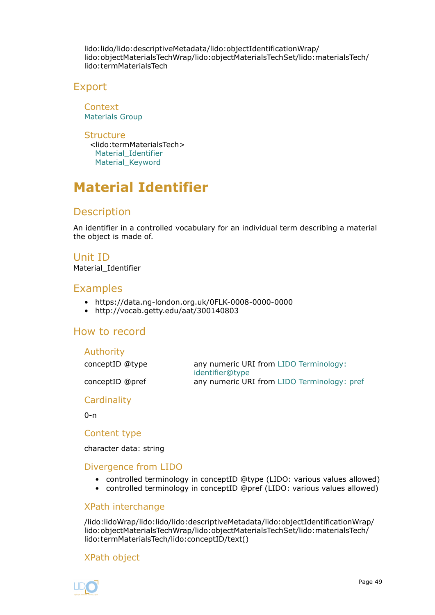lido:lido/lido:descriptiveMetadata/lido:objectIdentificationWrap/ lido:objectMaterialsTechWrap/lido:objectMaterialsTechSet/lido:materialsTech/ lido:termMaterialsTech

## Export

**Context** [Materials Group](#page-45-0)

**Structure** <lido:termMaterialsTech> Material Identifier [Material\\_Keyword](#page-49-0)

# **Material Identifier**

# **Description**

An identifier in a controlled vocabulary for an individual term describing a material the object is made of.

#### Unit ID

Material Identifier

## Examples

- https://data.ng-london.org.uk/0FLK-0008-0000-0000
- http://vocab.getty.edu/aat/300140803

# How to record

#### Authority

conceptID @type any numeric URI from [LIDO Terminology:](http://terminology.lido-schema.org/lido00098) [identifier@type](http://terminology.lido-schema.org/lido00098) conceptID @pref any numeric URI from [LIDO Terminology: pref](http://terminology.lido-schema.org/lido00168)

**Cardinality** 

0-n

#### Content type

character data: string

## Divergence from LIDO

- controlled terminology in conceptID @type (LIDO: various values allowed)
- controlled terminology in conceptID @pref (LIDO: various values allowed)

#### XPath interchange

/lido:lidoWrap/lido:lido/lido:descriptiveMetadata/lido:objectIdentificationWrap/ lido:objectMaterialsTechWrap/lido:objectMaterialsTechSet/lido:materialsTech/ lido:termMaterialsTech/lido:conceptID/text()

## XPath object

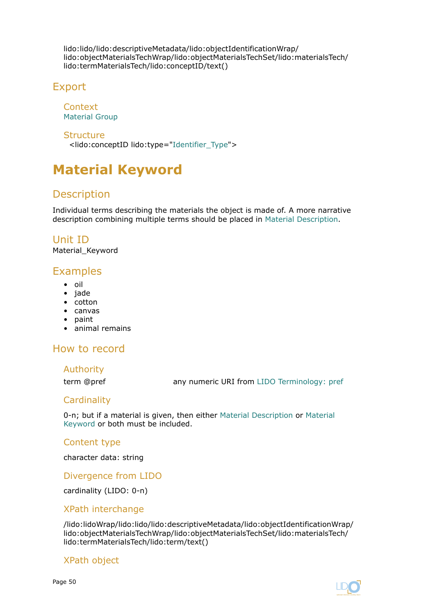<span id="page-49-0"></span>lido:lido/lido:descriptiveMetadata/lido:objectIdentificationWrap/ lido:objectMaterialsTechWrap/lido:objectMaterialsTechSet/lido:materialsTech/ lido:termMaterialsTech/lido:conceptID/text()

# Export

Context [Material Group](#page-47-0)

**Structure** 

<lido:conceptID lido:type=["Identifier\\_Type](#page-134-0)">

# **Material Keyword**

# **Description**

Individual terms describing the materials the object is made of. A more narrative description combining multiple terms should be placed in [Material Description.](#page-46-0)

Unit ID Material\_Keyword

# Examples

- oil
- jade
- cotton
- canvas
- paint
- animal remains

# How to record

#### Authority

term @pref any numeric URI from [LIDO Terminology: pref](http://terminology.lido-schema.org/lido00168)

## **Cardinality**

0-n; but if a material is given, then either [Material Description](#page-46-0) or Material Keyword or both must be included.

#### Content type

character data: string

Divergence from LIDO

cardinality (LIDO: 0-n)

#### XPath interchange

/lido:lidoWrap/lido:lido/lido:descriptiveMetadata/lido:objectIdentificationWrap/ lido:objectMaterialsTechWrap/lido:objectMaterialsTechSet/lido:materialsTech/ lido:termMaterialsTech/lido:term/text()

#### XPath object

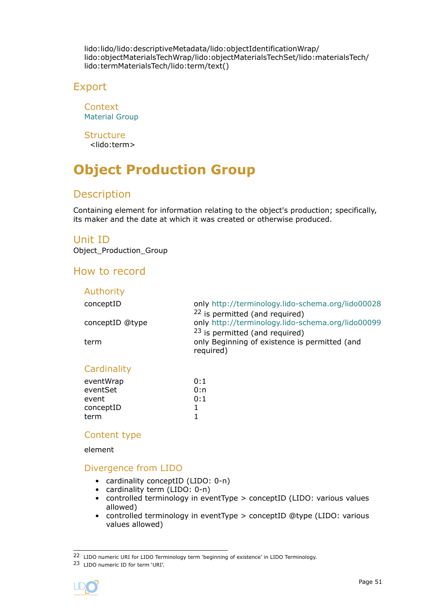<span id="page-50-0"></span>lido:lido/lido:descriptiveMetadata/lido:objectIdentificationWrap/ lido:objectMaterialsTechWrap/lido:objectMaterialsTechSet/lido:materialsTech/ lido:termMaterialsTech/lido:term/text()

# Export

**Context** [Material Group](#page-47-0)

**Structure** <lido:term>

# **Object Production Group**

# Description

Containing element for information relating to the object's production; specifically, its maker and the date at which it was created or otherwise produced.

## Unit ID

Object\_Production\_Group

# How to record

| Authority       |                                                                                                         |
|-----------------|---------------------------------------------------------------------------------------------------------|
| conceptID       | only http://terminology.lido-schema.org/lido00028<br><sup>22</sup> is permitted (and required)          |
| conceptID @type | only http://terminology.lido-schema.org/lido00099                                                       |
| term            | <sup>23</sup> is permitted (and required)<br>only Beginning of existence is permitted (and<br>required) |
| Cardinality     |                                                                                                         |

| eventWrap | 0:1 |
|-----------|-----|
| eventSet  | 0:n |
| event     | 0:1 |
| conceptID |     |
| term      |     |

#### Content type

element

## Divergence from LIDO

- cardinality conceptID (LIDO: 0-n)
- cardinality term (LIDO: 0-n)
- controlled terminology in eventType > conceptID (LIDO: various values allowed)
- controlled terminology in eventType > conceptID @type (LIDO: various values allowed)

<sup>23</sup> LIDO numeric ID for term 'URI'.



<sup>22</sup> LIDO numeric URI for LIDO Terminology term 'beginning of existence' in LIDO Terminology.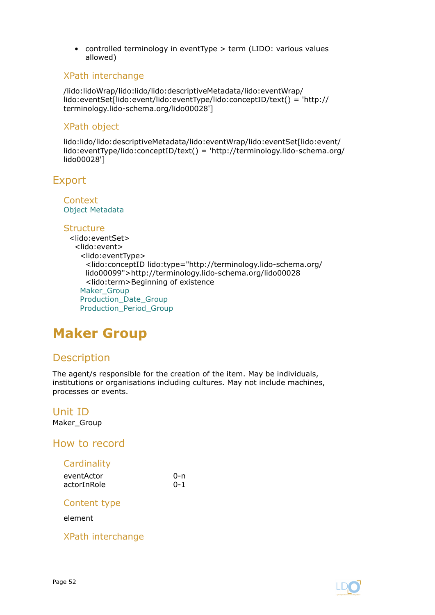<span id="page-51-0"></span>• controlled terminology in eventType > term (LIDO: various values allowed)

#### XPath interchange

/lido:lidoWrap/lido:lido/lido:descriptiveMetadata/lido:eventWrap/ lido:eventSet[lido:event/lido:eventType/lido:conceptID/text() = 'http:// terminology.lido-schema.org/lido00028']

#### XPath object

lido:lido/lido:descriptiveMetadata/lido:eventWrap/lido:eventSet[lido:event/ lido:eventType/lido:conceptID/text() = 'http://terminology.lido-schema.org/ lido00028']

# Export

**Context** [Object Metadata](#page-27-0)

#### Structure

<lido:eventSet> <lido:event> <lido:eventType> <lido:conceptID lido:type="http://terminology.lido-schema.org/ lido00099">http://terminology.lido-schema.org/lido00028 <lido:term>Beginning of existence Maker Group [Production\\_Date\\_Group](#page-62-0) [Production\\_Period\\_Group](#page-65-0)

# **Maker Group**

# Description

The agent/s responsible for the creation of the item. May be individuals, institutions or organisations including cultures. May not include machines, processes or events.

#### Unit ID Maker Group

#### How to record

## **Cardinality**

| eventActor  | 0-n     |
|-------------|---------|
| actorInRole | $0 - 1$ |

#### Content type

element

XPath interchange

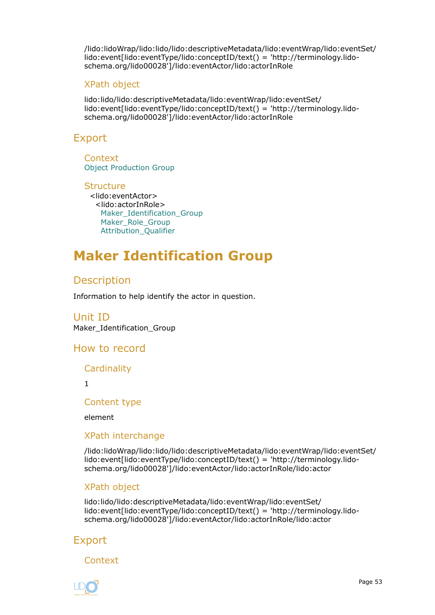<span id="page-52-0"></span>/lido:lidoWrap/lido:lido/lido:descriptiveMetadata/lido:eventWrap/lido:eventSet/ lido:event[lido:eventType/lido:conceptID/text() = 'http://terminology.lidoschema.org/lido00028']/lido:eventActor/lido:actorInRole

#### XPath object

lido:lido/lido:descriptiveMetadata/lido:eventWrap/lido:eventSet/ lido:event[lido:eventType/lido:conceptID/text() = 'http://terminology.lidoschema.org/lido00028']/lido:eventActor/lido:actorInRole

## Export

**Context** [Object Production Group](#page-50-0)

**Structure** <lido:eventActor> <lido:actorInRole> Maker\_Identification\_Group [Maker\\_Role\\_Group](#page-58-0) [Attribution\\_Qualifier](#page-61-0)

# **Maker Identification Group**

# **Description**

Information to help identify the actor in question.

Unit ID Maker\_Identification\_Group

## How to record

**Cardinality** 

1

Content type

element

#### XPath interchange

/lido:lidoWrap/lido:lido/lido:descriptiveMetadata/lido:eventWrap/lido:eventSet/ lido:event[lido:eventType/lido:conceptID/text() = 'http://terminology.lidoschema.org/lido00028']/lido:eventActor/lido:actorInRole/lido:actor

#### XPath object

lido:lido/lido:descriptiveMetadata/lido:eventWrap/lido:eventSet/ lido:event[lido:eventType/lido:conceptID/text() = 'http://terminology.lidoschema.org/lido00028']/lido:eventActor/lido:actorInRole/lido:actor

# Export

Context

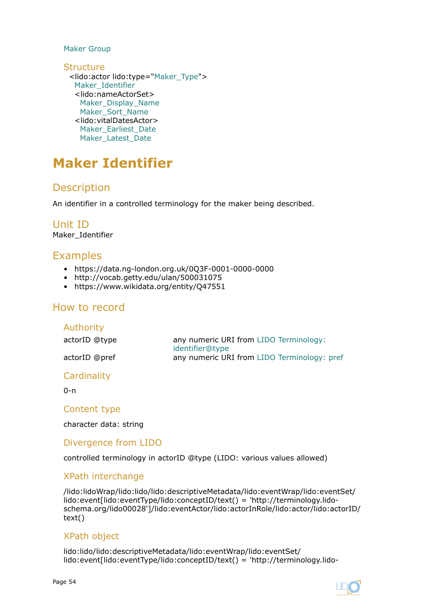#### [Maker Group](#page-51-0)

**Structure** <lido:actor lido:type=["Maker\\_Type](#page-134-0)"> Maker\_Identifier <lido:nameActorSet> [Maker\\_Display\\_Name](#page-54-0) [Maker\\_Sort\\_Name](#page-55-0) <lido:vitalDatesActor> [Maker\\_Earliest\\_Date](#page-56-0) [Maker\\_Latest\\_Date](#page-57-0)

# **Maker Identifier**

# **Description**

An identifier in a controlled terminology for the maker being described.

Unit ID Maker\_Identifier

## Examples

- https://data.ng-london.org.uk/0Q3F-0001-0000-0000
- http://vocab.getty.edu/ulan/500031075
- https://www.wikidata.org/entity/Q47551

## How to record

| any numeric URI from LIDO Terminology:<br>identifier@type |
|-----------------------------------------------------------|
| any numeric URI from LIDO Terminology: pref               |
|                                                           |

#### **Cardinality**

 $0 - n$ 

#### Content type

character data: string

#### Divergence from LIDO

controlled terminology in actorID @type (LIDO: various values allowed)

#### XPath interchange

/lido:lidoWrap/lido:lido/lido:descriptiveMetadata/lido:eventWrap/lido:eventSet/ lido:event[lido:eventType/lido:conceptID/text() = 'http://terminology.lidoschema.org/lido00028']/lido:eventActor/lido:actorInRole/lido:actor/lido:actorID/ text()

#### XPath object

lido:lido/lido:descriptiveMetadata/lido:eventWrap/lido:eventSet/ lido:event[lido:eventType/lido:conceptID/text() = 'http://terminology.lido-

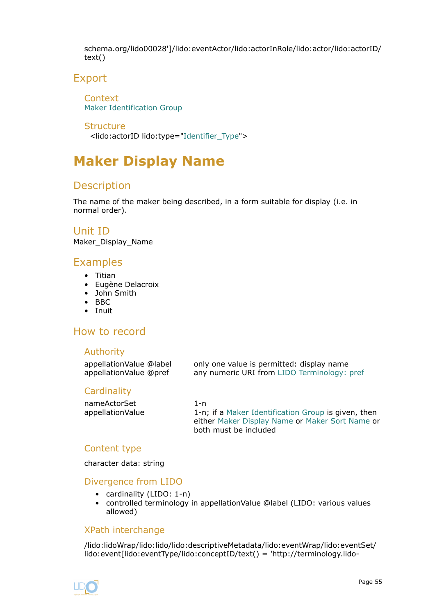<span id="page-54-0"></span>schema.org/lido00028']/lido:eventActor/lido:actorInRole/lido:actor/lido:actorID/ text()

# Export

**Context** [Maker Identification Group](#page-52-0)

**Structure** <lido:actorID lido:type=["Identifier\\_Type"](#page-134-0)>

# **Maker Display Name**

# Description

The name of the maker being described, in a form suitable for display (i.e. in normal order).

Unit ID

Maker\_Display\_Name

# Examples

- Titian
- Eugène Delacroix
- John Smith
- BBC
- Inuit

# How to record

#### Authority

| appellationValue @label | only one value is permitted: display name   |
|-------------------------|---------------------------------------------|
| appellationValue @pref  | any numeric URI from LIDO Terminology: pref |

#### **Cardinality**

| nameActorSet      | 1-n                                                 |
|-------------------|-----------------------------------------------------|
| appellation Value | 1-n; if a Maker Identification Group is given, then |
|                   | either Maker Display Name or Maker Sort Name or     |
|                   | both must be included                               |

#### Content type

character data: string

#### Divergence from LIDO

- cardinality (LIDO: 1-n)
- controlled terminology in appellationValue @label (LIDO: various values allowed)

#### XPath interchange

/lido:lidoWrap/lido:lido/lido:descriptiveMetadata/lido:eventWrap/lido:eventSet/ lido:event[lido:eventType/lido:conceptID/text() = 'http://terminology.lido-

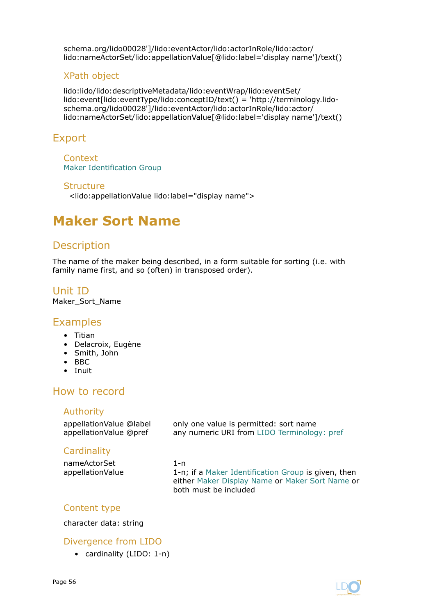<span id="page-55-0"></span>schema.org/lido00028']/lido:eventActor/lido:actorInRole/lido:actor/ lido:nameActorSet/lido:appellationValue[@lido:label='display name']/text()

#### XPath object

lido:lido/lido:descriptiveMetadata/lido:eventWrap/lido:eventSet/ lido:event[lido:eventType/lido:conceptID/text() = 'http://terminology.lidoschema.org/lido00028']/lido:eventActor/lido:actorInRole/lido:actor/ lido:nameActorSet/lido:appellationValue[@lido:label='display name']/text()

# Export

Context [Maker Identification Group](#page-52-0)

#### **Structure**

<lido:appellationValue lido:label="display name">

# **Maker Sort Name**

# **Description**

The name of the maker being described, in a form suitable for sorting (i.e. with family name first, and so (often) in transposed order).

Unit ID Maker\_Sort\_Name

## Examples

- Titian
- Delacroix, Eugène
- Smith, John
- BBC
- Inuit

# How to record

#### Authority

appellationValue @label only one value is permitted: sort name appellationValue @pref any numeric URI from [LIDO Terminology: pref](http://terminology.lido-schema.org/lido00168)

#### **Cardinality**

nameActorSet 1-n appellationValue 1-n; if a [Maker Identification Group](#page-52-0) is given, then either [Maker Display Name](#page-54-0) or Maker Sort Name or both must be included

## Content type

character data: string

#### Divergence from LIDO

• cardinality (LIDO: 1-n)

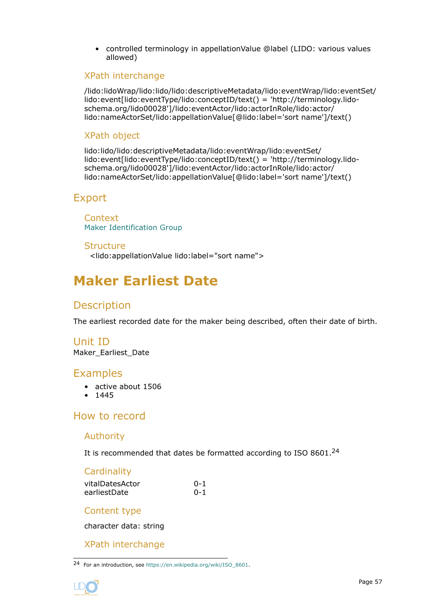<span id="page-56-0"></span>• controlled terminology in appellationValue @label (LIDO: various values allowed)

#### XPath interchange

/lido:lidoWrap/lido:lido/lido:descriptiveMetadata/lido:eventWrap/lido:eventSet/ lido:event[lido:eventType/lido:conceptID/text() = 'http://terminology.lidoschema.org/lido00028']/lido:eventActor/lido:actorInRole/lido:actor/ lido:nameActorSet/lido:appellationValue[@lido:label='sort name']/text()

#### XPath object

lido:lido/lido:descriptiveMetadata/lido:eventWrap/lido:eventSet/ lido:event[lido:eventType/lido:conceptID/text() = 'http://terminology.lidoschema.org/lido00028']/lido:eventActor/lido:actorInRole/lido:actor/ lido:nameActorSet/lido:appellationValue[@lido:label='sort name']/text()

# Export

**Context** [Maker Identification Group](#page-52-0)

#### **Structure** <lido:appellationValue lido:label="sort name">

# **Maker Earliest Date**

## **Description**

The earliest recorded date for the maker being described, often their date of birth.

# Unit ID

Maker\_Earliest\_Date

## Examples

- active about 1506
- 1445

# How to record

#### Authority

It is recommended that dates be formatted according to ISO 8601.<sup>24</sup>

## **Cardinality**

| vitalDatesActor | $0 - 1$ |
|-----------------|---------|
| earliestDate    | $0 - 1$ |

#### Content type

character data: string

#### XPath interchange

<sup>24</sup> For an introduction, see [https://en.wikipedia.org/wiki/ISO\\_8601.](https://en.wikipedia.org/wiki/ISO_8601)

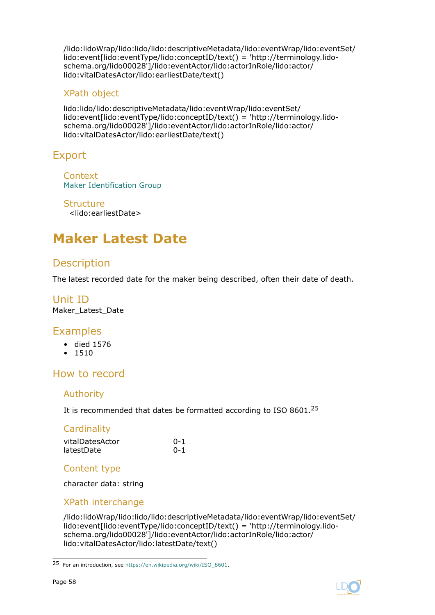<span id="page-57-0"></span>/lido:lidoWrap/lido:lido/lido:descriptiveMetadata/lido:eventWrap/lido:eventSet/ lido:event[lido:eventType/lido:conceptID/text() = 'http://terminology.lidoschema.org/lido00028']/lido:eventActor/lido:actorInRole/lido:actor/ lido:vitalDatesActor/lido:earliestDate/text()

### XPath object

lido:lido/lido:descriptiveMetadata/lido:eventWrap/lido:eventSet/ lido:event[lido:eventType/lido:conceptID/text() = 'http://terminology.lidoschema.org/lido00028']/lido:eventActor/lido:actorInRole/lido:actor/ lido:vitalDatesActor/lido:earliestDate/text()

# Export

**Context** [Maker Identification Group](#page-52-0)

**Structure** <lido:earliestDate>

# **Maker Latest Date**

# **Description**

The latest recorded date for the maker being described, often their date of death.

#### Unit ID Maker Latest Date

# Examples

- died 1576
- 1510

# How to record

#### Authority

It is recommended that dates be formatted according to ISO 8601.<sup>25</sup>

## **Cardinality**

| vitalDatesActor | $0 - 1$ |
|-----------------|---------|
| latestDate      | $0 - 1$ |

#### Content type

character data: string

## XPath interchange

/lido:lidoWrap/lido:lido/lido:descriptiveMetadata/lido:eventWrap/lido:eventSet/ lido:event[lido:eventType/lido:conceptID/text() = 'http://terminology.lidoschema.org/lido00028']/lido:eventActor/lido:actorInRole/lido:actor/ lido:vitalDatesActor/lido:latestDate/text()



<sup>25</sup> For an introduction, see [https://en.wikipedia.org/wiki/ISO\\_8601.](https://en.wikipedia.org/wiki/ISO_8601)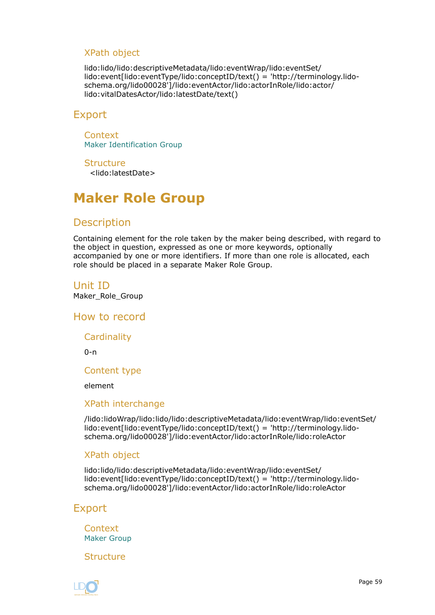### <span id="page-58-0"></span>XPath object

lido:lido/lido:descriptiveMetadata/lido:eventWrap/lido:eventSet/ lido:event[lido:eventType/lido:conceptID/text() = 'http://terminology.lidoschema.org/lido00028']/lido:eventActor/lido:actorInRole/lido:actor/ lido:vitalDatesActor/lido:latestDate/text()

## Export

**Context** [Maker Identification Group](#page-52-0)

**Structure** <lido:latestDate>

# **Maker Role Group**

# **Description**

Containing element for the role taken by the maker being described, with regard to the object in question, expressed as one or more keywords, optionally accompanied by one or more identifiers. If more than one role is allocated, each role should be placed in a separate Maker Role Group.

# Unit ID

Maker\_Role\_Group

How to record

**Cardinality** 

0-n

Content type

element

#### XPath interchange

/lido:lidoWrap/lido:lido/lido:descriptiveMetadata/lido:eventWrap/lido:eventSet/ lido:event[lido:eventType/lido:conceptID/text() = 'http://terminology.lidoschema.org/lido00028']/lido:eventActor/lido:actorInRole/lido:roleActor

#### XPath object

lido:lido/lido:descriptiveMetadata/lido:eventWrap/lido:eventSet/ lido:event[lido:eventType/lido:conceptID/text() = 'http://terminology.lidoschema.org/lido00028']/lido:eventActor/lido:actorInRole/lido:roleActor

# Export

**Context** [Maker Group](#page-51-0)

Structure

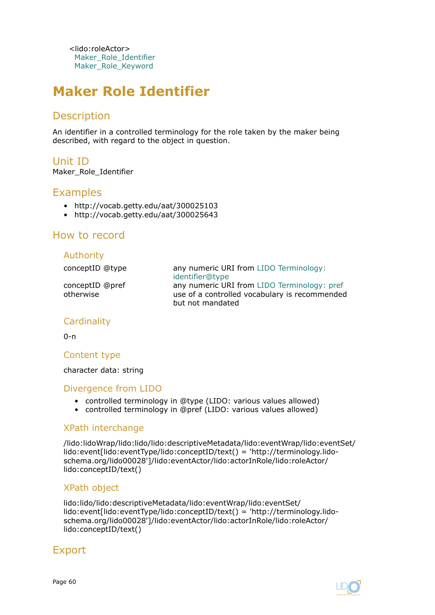<lido:roleActor> Maker Role Identifier [Maker\\_Role\\_Keyword](#page-60-0)

# **Maker Role Identifier**

# Description

An identifier in a controlled terminology for the role taken by the maker being described, with regard to the object in question.

Unit ID Maker Role Identifier

# Examples

- http://vocab.getty.edu/aat/300025103
- http://vocab.getty.edu/aat/300025643

# How to record

#### Authority

| conceptID @type              | any numeric URI from LIDO Terminology:<br>identifier@type                                                        |
|------------------------------|------------------------------------------------------------------------------------------------------------------|
| conceptID @pref<br>otherwise | any numeric URI from LIDO Terminology: pref<br>use of a controlled vocabulary is recommended<br>but not mandated |

## **Cardinality**

 $0 - n$ 

#### Content type

character data: string

#### Divergence from LIDO

- controlled terminology in @type (LIDO: various values allowed)
- controlled terminology in @pref (LIDO: various values allowed)

#### XPath interchange

/lido:lidoWrap/lido:lido/lido:descriptiveMetadata/lido:eventWrap/lido:eventSet/ lido:event[lido:eventType/lido:conceptID/text() = 'http://terminology.lidoschema.org/lido00028']/lido:eventActor/lido:actorInRole/lido:roleActor/ lido:conceptID/text()

#### XPath object

lido:lido/lido:descriptiveMetadata/lido:eventWrap/lido:eventSet/ lido:event[lido:eventType/lido:conceptID/text() = 'http://terminology.lidoschema.org/lido00028']/lido:eventActor/lido:actorInRole/lido:roleActor/ lido:conceptID/text()

# Export

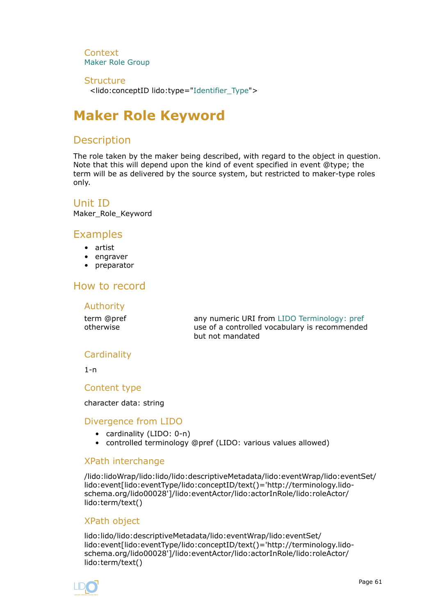<span id="page-60-0"></span>**Context** [Maker Role Group](#page-58-0)

#### **Structure**

<lido:conceptID lido:type="[Identifier\\_Type](#page-134-0)">

# **Maker Role Keyword**

# **Description**

The role taken by the maker being described, with regard to the object in question. Note that this will depend upon the kind of event specified in event @type; the term will be as delivered by the source system, but restricted to maker-type roles only.

Unit ID

Maker\_Role\_Keyword

# Examples

- artist
- engraver
- preparator

# How to record

#### Authority

term @pref any numeric URI from [LIDO Terminology: pref](http://terminology.lido-schema.org/lido00168) otherwise use of a controlled vocabulary is recommended but not mandated

# **Cardinality**

 $1 - n$ 

Content type

#### character data: string

#### Divergence from LIDO

- cardinality (LIDO: 0-n)
- controlled terminology @pref (LIDO: various values allowed)

#### XPath interchange

/lido:lidoWrap/lido:lido/lido:descriptiveMetadata/lido:eventWrap/lido:eventSet/ lido:event[lido:eventType/lido:conceptID/text()='http://terminology.lidoschema.org/lido00028']/lido:eventActor/lido:actorInRole/lido:roleActor/ lido:term/text()

## XPath object

lido:lido/lido:descriptiveMetadata/lido:eventWrap/lido:eventSet/ lido:event[lido:eventType/lido:conceptID/text()='http://terminology.lidoschema.org/lido00028']/lido:eventActor/lido:actorInRole/lido:roleActor/ lido:term/text()

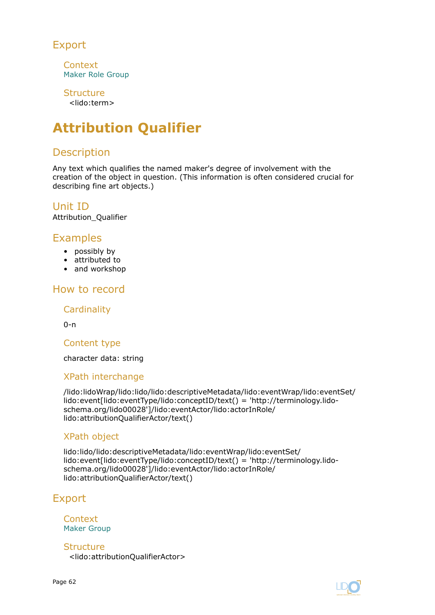# <span id="page-61-0"></span>Export

**Context** [Maker Role Group](#page-58-0)

**Structure** <lido:term>

# **Attribution Qualifier**

# **Description**

Any text which qualifies the named maker's degree of involvement with the creation of the object in question. (This information is often considered crucial for describing fine art objects.)

# Unit ID

Attribution\_Qualifier

# Examples

- possibly by
- attributed to
- and workshop

# How to record

#### **Cardinality**

 $0 - n$ 

#### Content type

character data: string

## XPath interchange

/lido:lidoWrap/lido:lido/lido:descriptiveMetadata/lido:eventWrap/lido:eventSet/ lido:event[lido:eventType/lido:conceptID/text() = 'http://terminology.lidoschema.org/lido00028']/lido:eventActor/lido:actorInRole/ lido:attributionQualifierActor/text()

#### XPath object

lido:lido/lido:descriptiveMetadata/lido:eventWrap/lido:eventSet/ lido:event[lido:eventType/lido:conceptID/text() = 'http://terminology.lidoschema.org/lido00028']/lido:eventActor/lido:actorInRole/ lido:attributionQualifierActor/text()

# Export

Context [Maker Group](#page-51-0)

**Structure** <lido:attributionQualifierActor>

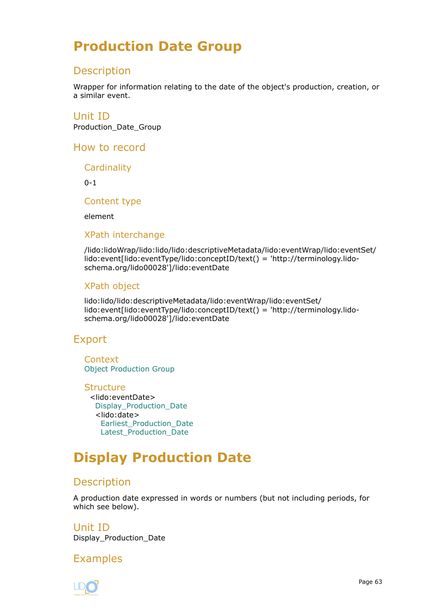# <span id="page-62-0"></span>**Production Date Group**

# Description

Wrapper for information relating to the date of the object's production, creation, or a similar event.

Unit ID Production\_Date\_Group

How to record

**Cardinality** 

 $0 - 1$ 

Content type

element

#### XPath interchange

/lido:lidoWrap/lido:lido/lido:descriptiveMetadata/lido:eventWrap/lido:eventSet/ lido:event[lido:eventType/lido:conceptID/text() = 'http://terminology.lidoschema.org/lido00028']/lido:eventDate

#### XPath object

lido:lido/lido:descriptiveMetadata/lido:eventWrap/lido:eventSet/ lido:event[lido:eventType/lido:conceptID/text() = 'http://terminology.lidoschema.org/lido00028']/lido:eventDate

# Export

**Context** [Object Production Group](#page-50-0)

**Structure** <lido:eventDate> Display\_Production\_Date <lido:date> [Earliest\\_Production\\_Date](#page-63-0) [Latest\\_Production\\_Date](#page-64-0)

# **Display Production Date**

# **Description**

A production date expressed in words or numbers (but not including periods, for which see below).

Unit ID Display\_Production\_Date

Examples

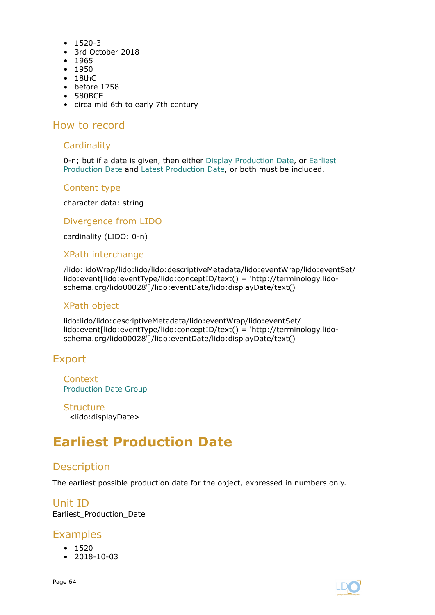- <span id="page-63-0"></span>• 1520-3
- 3rd October 2018
- 1965
- 1950
- 18thC
- before 1758
- 580BCE
- circa mid 6th to early 7th century

#### **Cardinality**

0-n; but if a date is given, then either [Display Production Date](#page-62-0), or Earliest Production Date and [Latest Production Date](#page-64-0), or both must be included.

#### Content type

character data: string

Divergence from LIDO

cardinality (LIDO: 0-n)

#### XPath interchange

/lido:lidoWrap/lido:lido/lido:descriptiveMetadata/lido:eventWrap/lido:eventSet/ lido:event[lido:eventType/lido:conceptID/text() = 'http://terminology.lidoschema.org/lido00028']/lido:eventDate/lido:displayDate/text()

#### XPath object

lido:lido/lido:descriptiveMetadata/lido:eventWrap/lido:eventSet/ lido:event[lido:eventType/lido:conceptID/text() = 'http://terminology.lidoschema.org/lido00028']/lido:eventDate/lido:displayDate/text()

# Export

**Context** [Production Date Group](#page-62-0)

**Structure** <lido:displayDate>

# **Earliest Production Date**

# **Description**

The earliest possible production date for the object, expressed in numbers only.

## Unit ID Earliest\_Production\_Date

# **Examples**

- 1520
- 2018-10-03

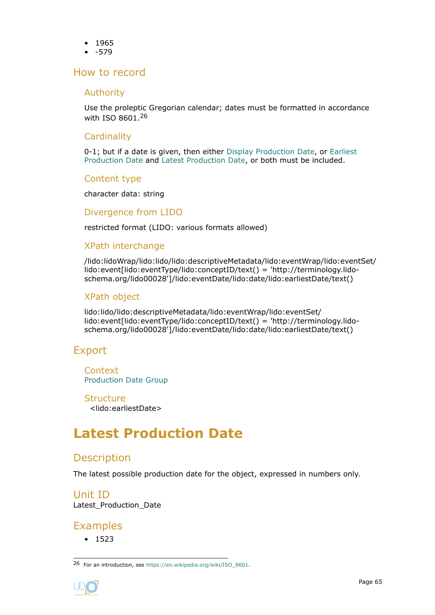- <span id="page-64-0"></span>• 1965
- -579

### Authority

Use the proleptic Gregorian calendar; dates must be formatted in accordance with ISO 8601.<sup>26</sup>

### **Cardinality**

0-1; but if a date is given, then either [Display Production Date](#page-62-0), or [Earliest](#page-63-0) [Production Date](#page-63-0) and Latest Production Date, or both must be included.

#### Content type

character data: string

#### Divergence from LIDO

restricted format (LIDO: various formats allowed)

#### XPath interchange

/lido:lidoWrap/lido:lido/lido:descriptiveMetadata/lido:eventWrap/lido:eventSet/ lido:event[lido:eventType/lido:conceptID/text() = 'http://terminology.lidoschema.org/lido00028']/lido:eventDate/lido:date/lido:earliestDate/text()

## XPath object

lido:lido/lido:descriptiveMetadata/lido:eventWrap/lido:eventSet/ lido:event[lido:eventType/lido:conceptID/text() = 'http://terminology.lidoschema.org/lido00028']/lido:eventDate/lido:date/lido:earliestDate/text()

# Export

**Context** [Production Date Group](#page-62-0)

**Structure** <lido:earliestDate>

# **Latest Production Date**

# **Description**

The latest possible production date for the object, expressed in numbers only.

Unit ID Latest Production Date

# Examples

• 1523

<sup>26</sup> For an introduction, see [https://en.wikipedia.org/wiki/ISO\\_8601.](https://en.wikipedia.org/wiki/ISO_8601)

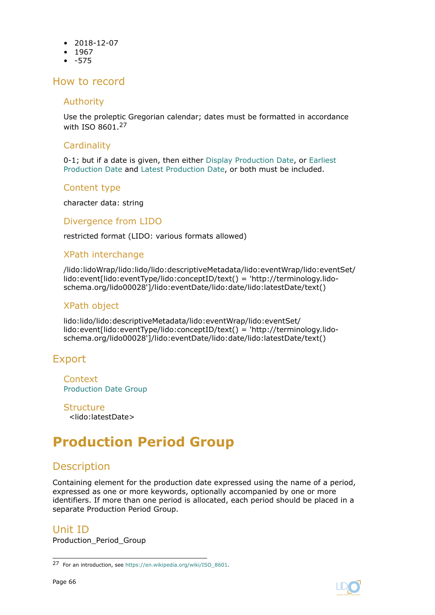- <span id="page-65-0"></span>• 2018-12-07
- 1967
- -575

#### Authority

Use the proleptic Gregorian calendar; dates must be formatted in accordance with ISO 8601.<sup>27</sup>

#### **Cardinality**

0-1; but if a date is given, then either [Display Production Date](#page-62-0), or [Earliest](#page-63-0) [Production Date](#page-63-0) and [Latest Production Date](#page-64-0), or both must be included.

#### Content type

character data: string

#### Divergence from LIDO

restricted format (LIDO: various formats allowed)

#### XPath interchange

/lido:lidoWrap/lido:lido/lido:descriptiveMetadata/lido:eventWrap/lido:eventSet/ lido:event[lido:eventType/lido:conceptID/text() = 'http://terminology.lidoschema.org/lido00028']/lido:eventDate/lido:date/lido:latestDate/text()

#### XPath object

lido:lido/lido:descriptiveMetadata/lido:eventWrap/lido:eventSet/ lido:event[lido:eventType/lido:conceptID/text() = 'http://terminology.lidoschema.org/lido00028']/lido:eventDate/lido:date/lido:latestDate/text()

# Export

**Context** [Production Date Group](#page-62-0)

**Structure** <lido:latestDate>

# **Production Period Group**

# **Description**

Containing element for the production date expressed using the name of a period, expressed as one or more keywords, optionally accompanied by one or more identifiers. If more than one period is allocated, each period should be placed in a separate Production Period Group.

#### Unit ID

Production\_Period\_Group

<sup>27</sup> For an introduction, see [https://en.wikipedia.org/wiki/ISO\\_8601.](https://en.wikipedia.org/wiki/ISO_8601)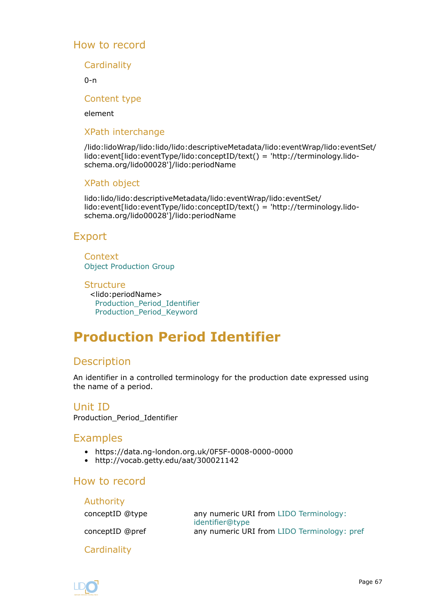**Cardinality** 

 $0 - n$ 

Content type

element

#### XPath interchange

/lido:lidoWrap/lido:lido/lido:descriptiveMetadata/lido:eventWrap/lido:eventSet/ lido:event[lido:eventType/lido:conceptID/text() = 'http://terminology.lidoschema.org/lido00028']/lido:periodName

## XPath object

lido:lido/lido:descriptiveMetadata/lido:eventWrap/lido:eventSet/ lido:event[lido:eventType/lido:conceptID/text() = 'http://terminology.lidoschema.org/lido00028']/lido:periodName

# Export

**Context** [Object Production Group](#page-50-0)

**Structure** <lido:periodName> Production\_Period\_Identifier [Production\\_Period\\_Keyword](#page-67-0)

# **Production Period Identifier**

# Description

An identifier in a controlled terminology for the production date expressed using the name of a period.

## Unit ID

Production\_Period\_Identifier

# Examples

- https://data.ng-london.org.uk/0F5F-0008-0000-0000
- http://vocab.getty.edu/aat/300021142

# How to record

| Authority       |                                                           |
|-----------------|-----------------------------------------------------------|
| conceptID @type | any numeric URI from LIDO Terminology:<br>identifier@type |
| conceptID @pref | any numeric URI from LIDO Terminology: pref               |

**Cardinality** 

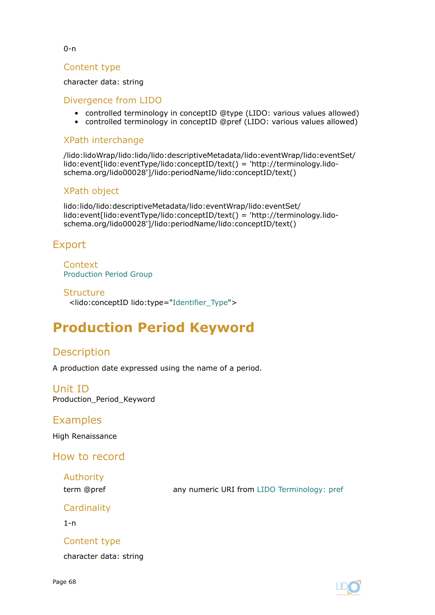#### <span id="page-67-0"></span>0-n

#### Content type

#### character data: string

#### Divergence from LIDO

- controlled terminology in conceptID @type (LIDO: various values allowed)
- controlled terminology in conceptID @pref (LIDO: various values allowed)

#### XPath interchange

/lido:lidoWrap/lido:lido/lido:descriptiveMetadata/lido:eventWrap/lido:eventSet/ lido:event[lido:eventType/lido:conceptID/text() = 'http://terminology.lidoschema.org/lido00028']/lido:periodName/lido:conceptID/text()

#### XPath object

lido:lido/lido:descriptiveMetadata/lido:eventWrap/lido:eventSet/ lido:event[lido:eventType/lido:conceptID/text() = 'http://terminology.lidoschema.org/lido00028']/lido:periodName/lido:conceptID/text()

# Export

Context [Production Period Group](#page-65-0)

#### **Structure**

<lido:conceptID lido:type=["Identifier\\_Type](#page-134-0)">

# **Production Period Keyword**

# Description

A production date expressed using the name of a period.

Unit ID Production\_Period\_Keyword

## Examples

High Renaissance

How to record

Authority

term @pref any numeric URI from [LIDO Terminology: pref](http://terminology.lido-schema.org/lido00168)

**Cardinality** 

1-n

## Content type

character data: string

Page 68

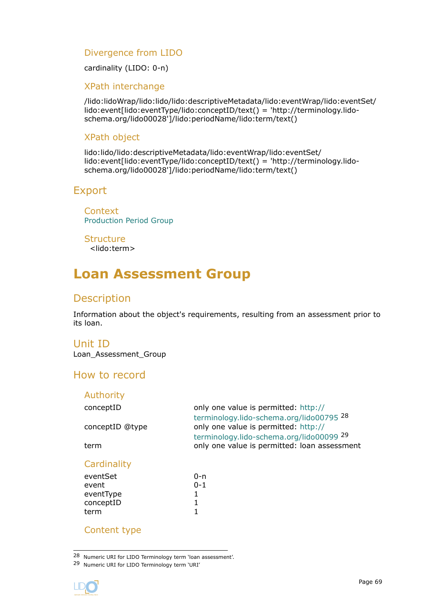## <span id="page-68-0"></span>Divergence from LIDO

cardinality (LIDO: 0-n)

#### XPath interchange

/lido:lidoWrap/lido:lido/lido:descriptiveMetadata/lido:eventWrap/lido:eventSet/ lido:event[lido:eventType/lido:conceptID/text() = 'http://terminology.lidoschema.org/lido00028']/lido:periodName/lido:term/text()

### XPath object

lido:lido/lido:descriptiveMetadata/lido:eventWrap/lido:eventSet/ lido:event[lido:eventType/lido:conceptID/text() = 'http://terminology.lidoschema.org/lido00028']/lido:periodName/lido:term/text()

# Export

**Context** [Production Period Group](#page-65-0)

**Structure** <lido:term>

# **Loan Assessment Group**

# Description

Information about the object's requirements, resulting from an assessment prior to its loan.

#### Unit ID

Loan\_Assessment\_Group

# How to record

| Authority       |                                                                                  |
|-----------------|----------------------------------------------------------------------------------|
| conceptID       | only one value is permitted: http://<br>terminology.lido-schema.org/lido00795 28 |
| conceptID @type | only one value is permitted: http://<br>terminology.lido-schema.org/lido00099 29 |
| term            | only one value is permitted: loan assessment                                     |
| Cardinality     |                                                                                  |
| eventSet        | 0-n                                                                              |
| event           | $0 - 1$                                                                          |
| eventType       |                                                                                  |
| conceptID       |                                                                                  |
| term            |                                                                                  |

## Content type

28 Numeric URI for LIDO Terminology term 'loan assessment'.

<sup>29</sup> Numeric URI for LIDO Terminology term 'URI'



term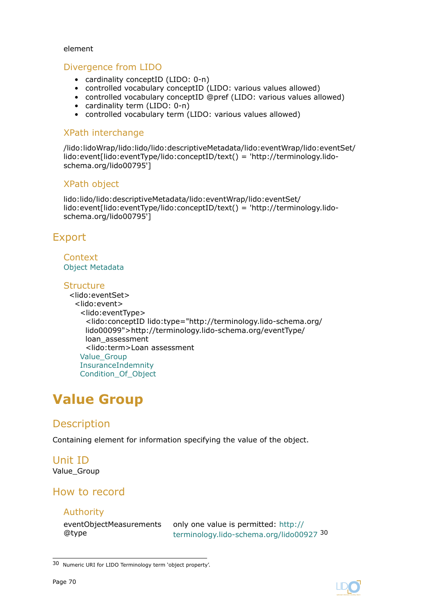#### element

#### Divergence from LIDO

- cardinality conceptID (LIDO: 0-n)
- controlled vocabulary conceptID (LIDO: various values allowed)
- controlled vocabulary conceptID @pref (LIDO: various values allowed)
- cardinality term (LIDO: 0-n)
- controlled vocabulary term (LIDO: various values allowed)

#### XPath interchange

/lido:lidoWrap/lido:lido/lido:descriptiveMetadata/lido:eventWrap/lido:eventSet/ lido:event[lido:eventType/lido:conceptID/text() = 'http://terminology.lidoschema.org/lido00795']

#### XPath object

lido:lido/lido:descriptiveMetadata/lido:eventWrap/lido:eventSet/ lido:event[lido:eventType/lido:conceptID/text() = 'http://terminology.lidoschema.org/lido00795']

# Export

#### **Context** [Object Metadata](#page-27-0)

#### **Structure**

<lido:eventSet> <lido:event> <lido:eventType> <lido:conceptID lido:type="http://terminology.lido-schema.org/ lido00099">http://terminology.lido-schema.org/eventType/ loan assessment <lido:term>Loan assessment Value\_Group [InsuranceIndemnity](#page-73-0) [Condition\\_Of\\_Object](#page-74-0)

# **Value Group**

# **Description**

Containing element for information specifying the value of the object.

#### Unit ID Value\_Group

# How to record

#### Authority

eventObjectMeasurements @type

only one value is permitted: [http://](http://terminology.lido-schema.org/lido00927) [terminology.lido-schema.org/lido00927](http://terminology.lido-schema.org/lido00927) <sup>30</sup>

<sup>30</sup> Numeric URI for LIDO Terminology term 'object property'.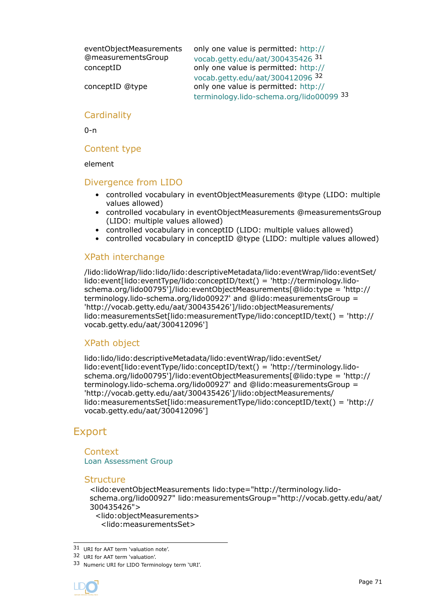eventObjectMeasurements @measurementsGroup

only one value is permitted: [http://](http://vocab.getty.edu/aat/300435426) [vocab.getty.edu/aat/300435426](http://vocab.getty.edu/aat/300435426) <sup>31</sup> conceptID only one value is permitted: [http://](http://vocab.getty.edu/aat/300412096) [vocab.getty.edu/aat/300412096](http://vocab.getty.edu/aat/300412096) <sup>32</sup> conceptID @type only one value is permitted: [http://](http://terminology.lido-schema.org/lido00099) [terminology.lido-schema.org/lido00099](http://terminology.lido-schema.org/lido00099) <sup>33</sup>

#### **Cardinality**

0-n

#### Content type

element

#### Divergence from LIDO

- controlled vocabulary in eventObjectMeasurements @type (LIDO: multiple values allowed)
- controlled vocabulary in eventObjectMeasurements @measurementsGroup (LIDO: multiple values allowed)
- controlled vocabulary in conceptID (LIDO: multiple values allowed)
- controlled vocabulary in conceptID @type (LIDO: multiple values allowed)

#### XPath interchange

/lido:lidoWrap/lido:lido/lido:descriptiveMetadata/lido:eventWrap/lido:eventSet/ lido:event[lido:eventType/lido:conceptID/text() = 'http://terminology.lidoschema.org/lido00795']/lido:eventObjectMeasurements[@lido:type = 'http:// terminology.lido-schema.org/lido00927' and @lido:measurementsGroup = 'http://vocab.getty.edu/aat/300435426']/lido:objectMeasurements/ lido:measurementsSet[lido:measurementType/lido:conceptID/text() = 'http:// vocab.getty.edu/aat/300412096']

## XPath object

lido:lido/lido:descriptiveMetadata/lido:eventWrap/lido:eventSet/ lido:event[lido:eventType/lido:conceptID/text() = 'http://terminology.lidoschema.org/lido00795']/lido:eventObjectMeasurements[@lido:type = 'http:// terminology.lido-schema.org/lido00927' and @lido:measurementsGroup = 'http://vocab.getty.edu/aat/300435426']/lido:objectMeasurements/ lido:measurementsSet[lido:measurementType/lido:conceptID/text() = 'http:// vocab.getty.edu/aat/300412096']

# Export

#### **Context** [Loan Assessment Group](#page-68-0)

#### **Structure**

<lido:eventObjectMeasurements lido:type="http://terminology.lidoschema.org/lido00927" lido:measurementsGroup="http://vocab.getty.edu/aat/ 300435426">

<lido:objectMeasurements> <lido:measurementsSet>

31 URI for AAT term 'valuation note'.

32 URI for AAT term 'valuation'.

<sup>33</sup> Numeric URI for LIDO Terminology term 'URI'.

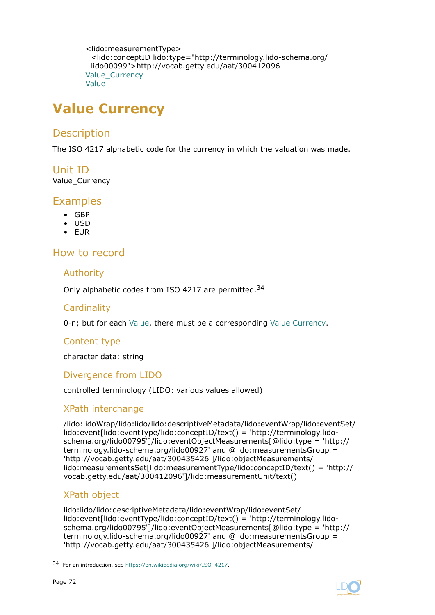```
<lido:measurementType>
 <lido:conceptID lido:type="http://terminology.lido-schema.org/
 lido00099">http://vocab.getty.edu/aat/300412096
Value_Currency
Value
```
# **Value Currency**

# **Description**

The ISO 4217 alphabetic code for the currency in which the valuation was made.

# Unit ID

Value\_Currency

# Examples

- GBP
- USD
- EUR

# How to record

## Authority

Only alphabetic codes from ISO 4217 are permitted.<sup>34</sup>

## **Cardinality**

0-n; but for each [Value](#page-72-0), there must be a corresponding Value Currency.

## Content type

character data: string

## Divergence from LIDO

controlled terminology (LIDO: various values allowed)

## XPath interchange

/lido:lidoWrap/lido:lido/lido:descriptiveMetadata/lido:eventWrap/lido:eventSet/ lido:event[lido:eventType/lido:conceptID/text() = 'http://terminology.lidoschema.org/lido00795']/lido:eventObjectMeasurements[@lido:type = 'http:// terminology.lido-schema.org/lido00927' and @lido:measurementsGroup = 'http://vocab.getty.edu/aat/300435426']/lido:objectMeasurements/ lido:measurementsSet[lido:measurementType/lido:conceptID/text() = 'http:// vocab.getty.edu/aat/300412096']/lido:measurementUnit/text()

## XPath object

lido:lido/lido:descriptiveMetadata/lido:eventWrap/lido:eventSet/ lido:event[lido:eventType/lido:conceptID/text() = 'http://terminology.lidoschema.org/lido00795']/lido:eventObjectMeasurements[@lido:type = 'http:// terminology.lido-schema.org/lido00927' and @lido:measurementsGroup = 'http://vocab.getty.edu/aat/300435426']/lido:objectMeasurements/



<sup>34</sup> For an introduction, see [https://en.wikipedia.org/wiki/ISO\\_4217.](https://en.wikipedia.org/wiki/ISO_4217)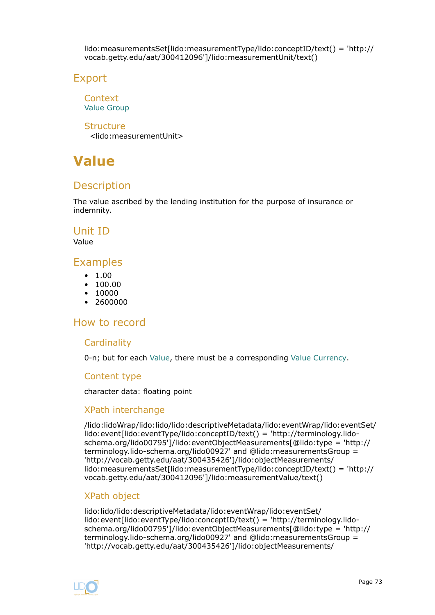lido:measurementsSet[lido:measurementType/lido:conceptID/text() = 'http:// vocab.getty.edu/aat/300412096']/lido:measurementUnit/text()

### Export

**Context** [Value Group](#page-69-0)

Structure <lido:measurementUnit>

# **Value**

# **Description**

The value ascribed by the lending institution for the purpose of insurance or indemnity.

### Unit ID

Value

# Examples

- $1.00$
- 100.00
- $10000$
- 2600000

# How to record

### **Cardinality**

0-n; but for each Value, there must be a corresponding [Value Currency](#page-71-0).

### Content type

character data: floating point

### XPath interchange

/lido:lidoWrap/lido:lido/lido:descriptiveMetadata/lido:eventWrap/lido:eventSet/ lido:event[lido:eventType/lido:conceptID/text() = 'http://terminology.lidoschema.org/lido00795']/lido:eventObjectMeasurements[@lido:type = 'http:// terminology.lido-schema.org/lido00927' and @lido:measurementsGroup = 'http://vocab.getty.edu/aat/300435426']/lido:objectMeasurements/ lido:measurementsSet[lido:measurementType/lido:conceptID/text() = 'http:// vocab.getty.edu/aat/300412096']/lido:measurementValue/text()

### XPath object

lido:lido/lido:descriptiveMetadata/lido:eventWrap/lido:eventSet/ lido:event[lido:eventType/lido:conceptID/text() = 'http://terminology.lidoschema.org/lido00795']/lido:eventObjectMeasurements[@lido:type = 'http:// terminology.lido-schema.org/lido00927' and @lido:measurementsGroup = 'http://vocab.getty.edu/aat/300435426']/lido:objectMeasurements/

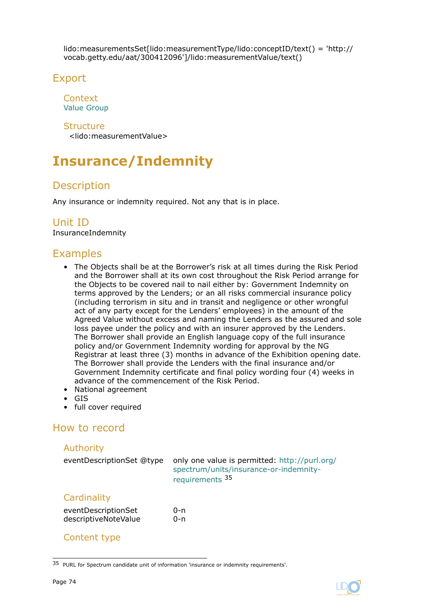lido:measurementsSet[lido:measurementType/lido:conceptID/text() = 'http:// vocab.getty.edu/aat/300412096']/lido:measurementValue/text()

# Export

**Context** [Value Group](#page-69-0)

### **Structure**

<lido:measurementValue>

# **Insurance/Indemnity**

# **Description**

Any insurance or indemnity required. Not any that is in place.

# Unit ID

InsuranceIndemnity

# Examples

- The Objects shall be at the Borrower's risk at all times during the Risk Period and the Borrower shall at its own cost throughout the Risk Period arrange for the Objects to be covered nail to nail either by: Government Indemnity on terms approved by the Lenders; or an all risks commercial insurance policy (including terrorism in situ and in transit and negligence or other wrongful act of any party except for the Lenders' employees) in the amount of the Agreed Value without excess and naming the Lenders as the assured and sole loss payee under the policy and with an insurer approved by the Lenders. The Borrower shall provide an English language copy of the full insurance policy and/or Government Indemnity wording for approval by the NG Registrar at least three (3) months in advance of the Exhibition opening date. The Borrower shall provide the Lenders with the final insurance and/or Government Indemnity certificate and final policy wording four (4) weeks in advance of the commencement of the Risk Period.
- National agreement
- GIS
- full cover required

# How to record

### Authority

| eventDescriptionSet @type | only one value is permitted: http://purl.org/<br>spectrum/units/insurance-or-indemnity-<br>requirements <sup>35</sup> |
|---------------------------|-----------------------------------------------------------------------------------------------------------------------|
| Cardinality               |                                                                                                                       |
|                           | n.                                                                                                                    |

| eventDescriptionSet  | 0-n |
|----------------------|-----|
| descriptiveNoteValue | 0-n |

### Content type

<sup>35</sup> PURL for Spectrum candidate unit of information 'insurance or indemnity requirements'.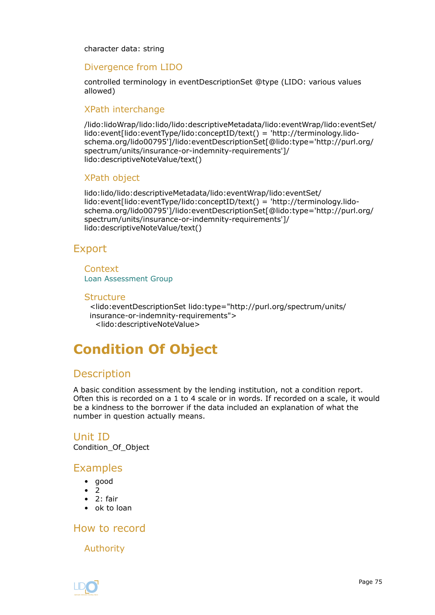character data: string

### Divergence from LIDO

controlled terminology in eventDescriptionSet @type (LIDO: various values allowed)

### XPath interchange

/lido:lidoWrap/lido:lido/lido:descriptiveMetadata/lido:eventWrap/lido:eventSet/ lido:event[lido:eventType/lido:conceptID/text() = 'http://terminology.lidoschema.org/lido00795']/lido:eventDescriptionSet[@lido:type='http://purl.org/ spectrum/units/insurance-or-indemnity-requirements']/ lido:descriptiveNoteValue/text()

### XPath object

lido:lido/lido:descriptiveMetadata/lido:eventWrap/lido:eventSet/ lido:event[lido:eventType/lido:conceptID/text() = 'http://terminology.lidoschema.org/lido00795']/lido:eventDescriptionSet[@lido:type='http://purl.org/ spectrum/units/insurance-or-indemnity-requirements']/ lido:descriptiveNoteValue/text()

### Export

Context [Loan Assessment Group](#page-68-0)

#### **Structure**

<lido:eventDescriptionSet lido:type="http://purl.org/spectrum/units/ insurance-or-indemnity-requirements"> <lido:descriptiveNoteValue>

# **Condition Of Object**

### **Description**

A basic condition assessment by the lending institution, not a condition report. Often this is recorded on a 1 to 4 scale or in words. If recorded on a scale, it would be a kindness to the borrower if the data included an explanation of what the number in question actually means.

### Unit ID Condition\_Of\_Object

### Examples

- good
- 2
- 2: fair
- ok to loan

How to record

Authority

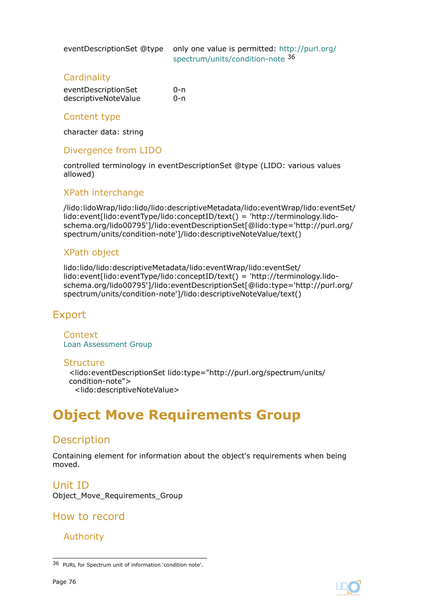<span id="page-75-0"></span>

eventDescriptionSet @type only one value is permitted: [http://purl.org/](http://purl.org/spectrum/units/condition-note) [spectrum/units/condition-note](http://purl.org/spectrum/units/condition-note) <sup>36</sup>

### **Cardinality**

| eventDescriptionSet  | 0-n |
|----------------------|-----|
| descriptiveNoteValue | 0-n |

### Content type

character data: string

### Divergence from LIDO

controlled terminology in eventDescriptionSet @type (LIDO: various values allowed)

### XPath interchange

/lido:lidoWrap/lido:lido/lido:descriptiveMetadata/lido:eventWrap/lido:eventSet/ lido:event[lido:eventType/lido:conceptID/text() = 'http://terminology.lidoschema.org/lido00795']/lido:eventDescriptionSet[@lido:type='http://purl.org/ spectrum/units/condition-note']/lido:descriptiveNoteValue/text()

### XPath object

lido:lido/lido:descriptiveMetadata/lido:eventWrap/lido:eventSet/ lido:event[lido:eventType/lido:conceptID/text() = 'http://terminology.lidoschema.org/lido00795']/lido:eventDescriptionSet[@lido:type='http://purl.org/ spectrum/units/condition-note']/lido:descriptiveNoteValue/text()

# Export

Context [Loan Assessment Group](#page-68-0)

### **Structure**

<lido:eventDescriptionSet lido:type="http://purl.org/spectrum/units/ condition-note"> <lido:descriptiveNoteValue>

# **Object Move Requirements Group**

# **Description**

Containing element for information about the object's requirements when being moved.

Unit ID Object Move Requirements Group

How to record

### Authority



<sup>36</sup> PURL for Spectrum unit of information 'condition note'.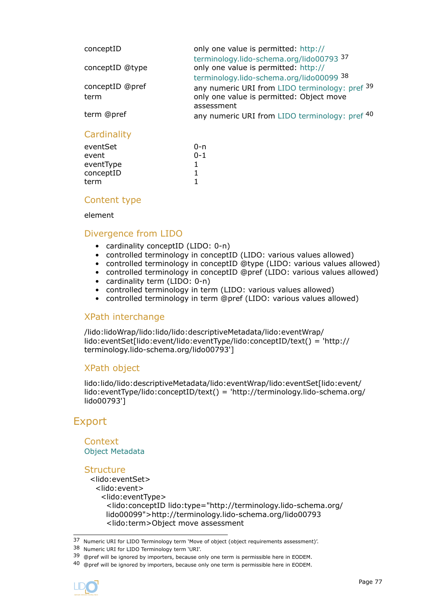| conceptID       | only one value is permitted: http://                                             |
|-----------------|----------------------------------------------------------------------------------|
| conceptID @type | terminology.lido-schema.org/lido00793 37<br>only one value is permitted: http:// |
|                 | terminology.lido-schema.org/lido00099 38                                         |
| conceptID @pref | any numeric URI from LIDO terminology: pref 39                                   |
| term            | only one value is permitted: Object move                                         |
|                 | assessment                                                                       |
| term @pref      | any numeric URI from LIDO terminology: pref 40                                   |
|                 |                                                                                  |

### **Cardinality**

| eventSet  | 0-n     |
|-----------|---------|
| event     | $0 - 1$ |
| eventType |         |
| conceptID | 1       |
| term      | 1       |
|           |         |

### Content type

#### element

### Divergence from LIDO

- cardinality conceptID (LIDO: 0-n)
- controlled terminology in conceptID (LIDO: various values allowed)
- controlled terminology in conceptID @type (LIDO: various values allowed)
- controlled terminology in conceptID @pref (LIDO: various values allowed)
- cardinality term (LIDO: 0-n)
- controlled terminology in term (LIDO: various values allowed)
- controlled terminology in term @pref (LIDO: various values allowed)

### XPath interchange

/lido:lidoWrap/lido:lido/lido:descriptiveMetadata/lido:eventWrap/ lido:eventSet[lido:event/lido:eventType/lido:conceptID/text() = 'http:// terminology.lido-schema.org/lido00793']

### XPath object

lido:lido/lido:descriptiveMetadata/lido:eventWrap/lido:eventSet[lido:event/ lido:eventType/lido:conceptID/text() = 'http://terminology.lido-schema.org/ lido00793']

# Export

### **Context** [Object Metadata](#page-27-0)

### **Structure**

<lido:eventSet> <lido:event> <lido:eventType> <lido:conceptID lido:type="http://terminology.lido-schema.org/ lido00099">http://terminology.lido-schema.org/lido00793 <lido:term>Object move assessment

<sup>40 @</sup>pref will be ignored by importers, because only one term is permissible here in EODEM.



<sup>37</sup> Numeric URI for LIDO Terminology term 'Move of object (object requirements assessment)'.

<sup>38</sup> Numeric URI for LIDO Terminology term 'URI'.

<sup>39 @</sup>pref will be ignored by importers, because only one term is permissible here in EODEM.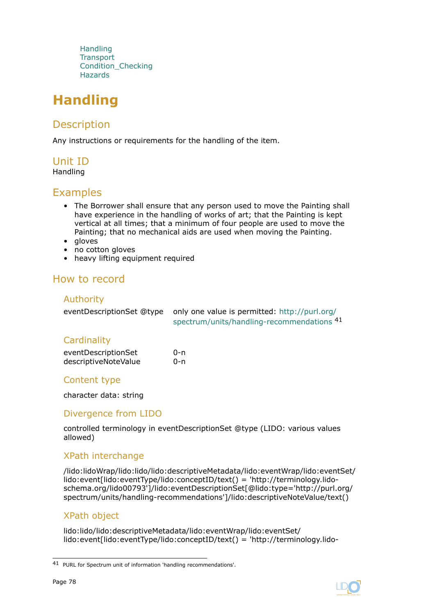**Handling [Transport](#page-78-0)** [Condition\\_Checking](#page-79-0) **[Hazards](#page-80-0)** 

# **Handling**

# **Description**

Any instructions or requirements for the handling of the item.

# Unit ID

Handling

# Examples

- The Borrower shall ensure that any person used to move the Painting shall have experience in the handling of works of art; that the Painting is kept vertical at all times; that a minimum of four people are used to move the Painting; that no mechanical aids are used when moving the Painting.
- gloves
- no cotton gloves
- heavy lifting equipment required

# How to record

### Authority

| eventDescriptionSet @type only one value is permitted: http://purl.org/ |
|-------------------------------------------------------------------------|
| spectrum/units/handling-recommendations 41                              |

### **Cardinality**

| eventDescriptionSet  | 0-n |
|----------------------|-----|
| descriptiveNoteValue | 0-n |

### Content type

character data: string

# Divergence from LIDO

controlled terminology in eventDescriptionSet @type (LIDO: various values allowed)

### XPath interchange

/lido:lidoWrap/lido:lido/lido:descriptiveMetadata/lido:eventWrap/lido:eventSet/ lido:event[lido:eventType/lido:conceptID/text() = 'http://terminology.lidoschema.org/lido00793']/lido:eventDescriptionSet[@lido:type='http://purl.org/ spectrum/units/handling-recommendations']/lido:descriptiveNoteValue/text()

### XPath object

lido:lido/lido:descriptiveMetadata/lido:eventWrap/lido:eventSet/ lido:event[lido:eventType/lido:conceptID/text() = 'http://terminology.lido-



<sup>41</sup> PURL for Spectrum unit of information 'handling recommendations'.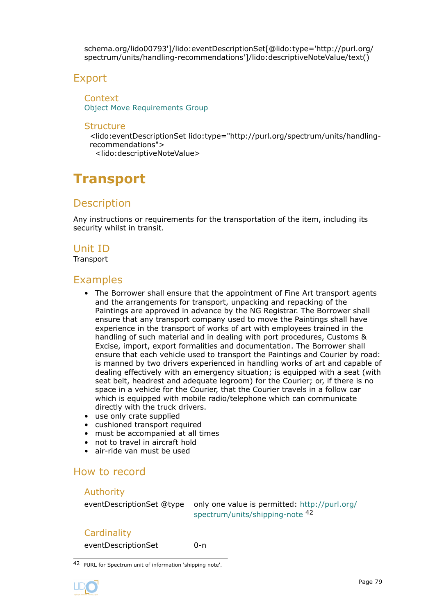<span id="page-78-0"></span>schema.org/lido00793']/lido:eventDescriptionSet[@lido:type='http://purl.org/ spectrum/units/handling-recommendations']/lido:descriptiveNoteValue/text()

### Export

**Context** [Object Move Requirements Group](#page-75-0)

#### **Structure**

<lido:eventDescriptionSet lido:type="http://purl.org/spectrum/units/handlingrecommendations">

<lido:descriptiveNoteValue>

# **Transport**

# **Description**

Any instructions or requirements for the transportation of the item, including its security whilst in transit.

# Unit ID

**Transport** 

### Examples

- The Borrower shall ensure that the appointment of Fine Art transport agents and the arrangements for transport, unpacking and repacking of the Paintings are approved in advance by the NG Registrar. The Borrower shall ensure that any transport company used to move the Paintings shall have experience in the transport of works of art with employees trained in the handling of such material and in dealing with port procedures, Customs & Excise, import, export formalities and documentation. The Borrower shall ensure that each vehicle used to transport the Paintings and Courier by road: is manned by two drivers experienced in handling works of art and capable of dealing effectively with an emergency situation; is equipped with a seat (with seat belt, headrest and adequate legroom) for the Courier; or, if there is no space in a vehicle for the Courier, that the Courier travels in a follow car which is equipped with mobile radio/telephone which can communicate directly with the truck drivers.
- use only crate supplied
- cushioned transport required
- must be accompanied at all times
- not to travel in aircraft hold
- air-ride van must be used

# How to record

### Authority

eventDescriptionSet @type only one value is permitted: [http://purl.org/](http://purl.org/spectrum/units/shipping-note) [spectrum/units/shipping-note](http://purl.org/spectrum/units/shipping-note) <sup>42</sup>

### **Cardinality**

eventDescriptionSet 0-n

42 PURL for Spectrum unit of information 'shipping note'.

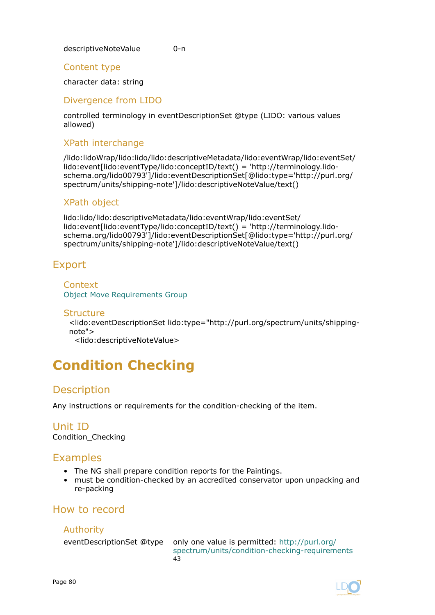<span id="page-79-0"></span>descriptiveNoteValue 0-n

### Content type

character data: string

### Divergence from LIDO

controlled terminology in eventDescriptionSet @type (LIDO: various values allowed)

### XPath interchange

/lido:lidoWrap/lido:lido/lido:descriptiveMetadata/lido:eventWrap/lido:eventSet/ lido:event[lido:eventType/lido:conceptID/text() = 'http://terminology.lidoschema.org/lido00793']/lido:eventDescriptionSet[@lido:type='http://purl.org/ spectrum/units/shipping-note']/lido:descriptiveNoteValue/text()

### XPath object

lido:lido/lido:descriptiveMetadata/lido:eventWrap/lido:eventSet/ lido:event[lido:eventType/lido:conceptID/text() = 'http://terminology.lidoschema.org/lido00793']/lido:eventDescriptionSet[@lido:type='http://purl.org/ spectrum/units/shipping-note']/lido:descriptiveNoteValue/text()

# Export

Context [Object Move Requirements Group](#page-75-0)

### **Structure**

<lido:eventDescriptionSet lido:type="http://purl.org/spectrum/units/shippingnote">

<lido:descriptiveNoteValue>

# **Condition Checking**

# **Description**

Any instructions or requirements for the condition-checking of the item.

Unit ID Condition\_Checking

# Examples

- The NG shall prepare condition reports for the Paintings.
- must be condition-checked by an accredited conservator upon unpacking and re-packing

# How to record

### Authority

eventDescriptionSet @type only one value is permitted: [http://purl.org/](http://purl.org/spectrum/units/condition-checking-requirements) [spectrum/units/condition-checking-requirements](http://purl.org/spectrum/units/condition-checking-requirements) 43

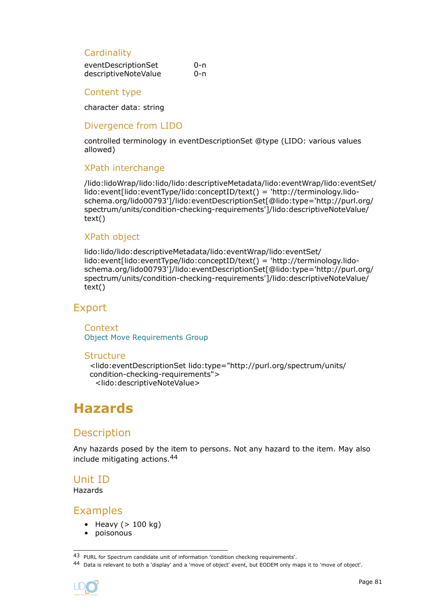### <span id="page-80-0"></span>**Cardinality**

| eventDescriptionSet  | 0-n |
|----------------------|-----|
| descriptiveNoteValue | 0-n |

### Content type

character data: string

### Divergence from LIDO

controlled terminology in eventDescriptionSet @type (LIDO: various values allowed)

### XPath interchange

/lido:lidoWrap/lido:lido/lido:descriptiveMetadata/lido:eventWrap/lido:eventSet/ lido:event[lido:eventType/lido:conceptID/text() = 'http://terminology.lidoschema.org/lido00793']/lido:eventDescriptionSet[@lido:type='http://purl.org/ spectrum/units/condition-checking-requirements']/lido:descriptiveNoteValue/ text()

### XPath object

lido:lido/lido:descriptiveMetadata/lido:eventWrap/lido:eventSet/ lido:event[lido:eventType/lido:conceptID/text() = 'http://terminology.lidoschema.org/lido00793']/lido:eventDescriptionSet[@lido:type='http://purl.org/ spectrum/units/condition-checking-requirements']/lido:descriptiveNoteValue/ text()

### Export

**Context** [Object Move Requirements Group](#page-75-0)

#### **Structure**

```
<lido:eventDescriptionSet lido:type="http://purl.org/spectrum/units/
condition-checking-requirements">
 <lido:descriptiveNoteValue>
```
# **Hazards**

# **Description**

Any hazards posed by the item to persons. Not any hazard to the item. May also include mitigating actions.<sup>44</sup>

### Unit ID

Hazards

### Examples

- Heavy  $(> 100 \text{ kg})$
- poisonous

<sup>44</sup> Data is relevant to both a 'display' and a 'move of object' event, but EODEM only maps it to 'move of object'.



<sup>43</sup> PURL for Spectrum candidate unit of information 'condition checking requirements'.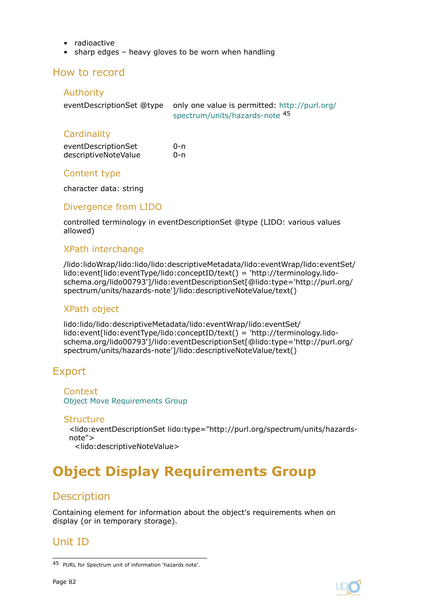- <span id="page-81-0"></span>• radioactive
- sharp edges heavy gloves to be worn when handling

### How to record

### Authority

| eventDescriptionSet @type only one value is permitted: http://purl.org/ |
|-------------------------------------------------------------------------|
| spectrum/units/hazards-note 45                                          |
|                                                                         |

### **Cardinality**

| eventDescriptionSet  | 0-n |
|----------------------|-----|
| descriptiveNoteValue | 0-n |

### Content type

character data: string

### Divergence from LIDO

controlled terminology in eventDescriptionSet @type (LIDO: various values allowed)

### XPath interchange

/lido:lidoWrap/lido:lido/lido:descriptiveMetadata/lido:eventWrap/lido:eventSet/ lido:event[lido:eventType/lido:conceptID/text() = 'http://terminology.lidoschema.org/lido00793']/lido:eventDescriptionSet[@lido:type='http://purl.org/ spectrum/units/hazards-note']/lido:descriptiveNoteValue/text()

### XPath object

lido:lido/lido:descriptiveMetadata/lido:eventWrap/lido:eventSet/ lido:event[lido:eventType/lido:conceptID/text() = 'http://terminology.lidoschema.org/lido00793']/lido:eventDescriptionSet[@lido:type='http://purl.org/ spectrum/units/hazards-note']/lido:descriptiveNoteValue/text()

# Export

**Context** [Object Move Requirements Group](#page-75-0)

#### **Structure**

<lido:eventDescriptionSet lido:type="http://purl.org/spectrum/units/hazardsnote">

### <lido:descriptiveNoteValue>

# **Object Display Requirements Group**

# **Description**

Containing element for information about the object's requirements when on display (or in temporary storage).

# Unit ID



<sup>45</sup> PURL for Spectrum unit of information 'hazards note'.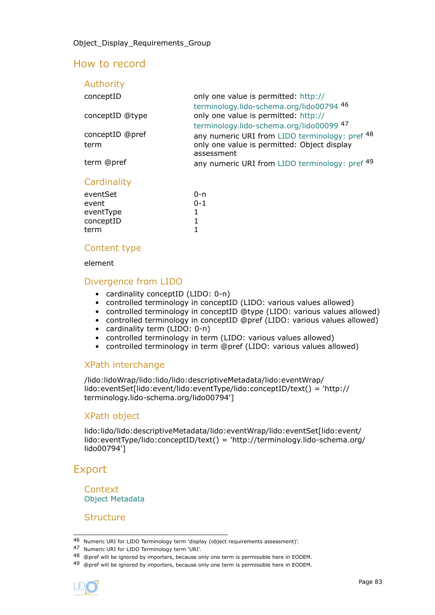# How to record

| Authority               |                                                                                                             |
|-------------------------|-------------------------------------------------------------------------------------------------------------|
| conceptID               | only one value is permitted: http://<br>terminology.lido-schema.org/lido00794 46                            |
| conceptID @type         | only one value is permitted: http://<br>terminology.lido-schema.org/lido00099 47                            |
| conceptID @pref<br>term | any numeric URI from LIDO terminology: pref 48<br>only one value is permitted: Object display<br>assessment |
| term @pref              | any numeric URI from LIDO terminology: pref <sup>49</sup>                                                   |
|                         |                                                                                                             |

### **Cardinality**

| eventSet  | 0-n     |
|-----------|---------|
| event     | $0 - 1$ |
| eventType |         |
| conceptID | 1       |
| term      |         |

### Content type

element

### Divergence from LIDO

- cardinality conceptID (LIDO: 0-n)
- controlled terminology in conceptID (LIDO: various values allowed)
- controlled terminology in conceptID @type (LIDO: various values allowed)
- controlled terminology in conceptID @pref (LIDO: various values allowed)
- cardinality term (LIDO: 0-n)
- controlled terminology in term (LIDO: various values allowed)
- controlled terminology in term @pref (LIDO: various values allowed)

### XPath interchange

/lido:lidoWrap/lido:lido/lido:descriptiveMetadata/lido:eventWrap/ lido:eventSet[lido:event/lido:eventType/lido:conceptID/text() = 'http:// terminology.lido-schema.org/lido00794']

### XPath object

lido:lido/lido:descriptiveMetadata/lido:eventWrap/lido:eventSet[lido:event/ lido:eventType/lido:conceptID/text() = 'http://terminology.lido-schema.org/ lido00794']

# Export

Context [Object Metadata](#page-27-0)

**Structure** 

<sup>49 @</sup>pref will be ignored by importers, because only one term is permissible here in EODEM.



<sup>46</sup> Numeric URI for LIDO Terminology term 'display (object requirements assessment)'.

<sup>47</sup> Numeric URI for LIDO Terminology term 'URI'.

<sup>48 @</sup>pref will be ignored by importers, because only one term is permissible here in EODEM.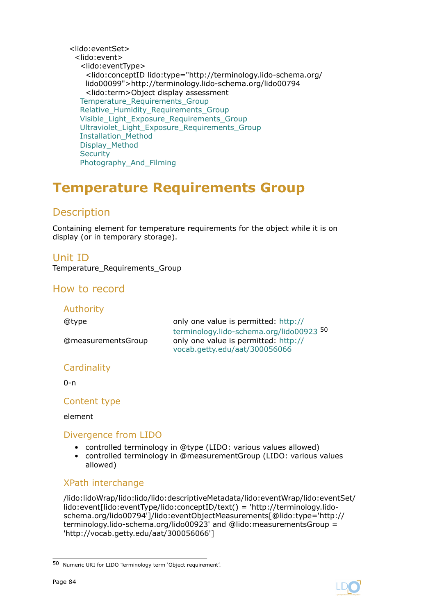<span id="page-83-0"></span><lido:eventSet> <lido:event> <lido:eventType> <lido:conceptID lido:type="http://terminology.lido-schema.org/ lido00099">http://terminology.lido-schema.org/lido00794 <lido:term>Object display assessment Temperature Requirements Group Relative Humidity Requirements Group Visible Light Exposure Requirements Group Ultraviolet Light Exposure Requirements Group [Installation\\_Method](#page-117-0) [Display\\_Method](#page-118-0) **[Security](#page-119-0)** [Photography\\_And\\_Filming](#page-121-0)

# **Temperature Requirements Group**

# **Description**

Containing element for temperature requirements for the object while it is on display (or in temporary storage).

### Unit ID

Temperature Requirements Group

# How to record

| Authority          |                                                                                                                   |
|--------------------|-------------------------------------------------------------------------------------------------------------------|
| @type              | only one value is permitted: http://                                                                              |
| @measurementsGroup | terminology.lido-schema.org/lido00923 50<br>only one value is permitted: http://<br>vocab.getty.edu/aat/300056066 |
| Cardinality        |                                                                                                                   |

 $0 - n$ 

### Content type

element

### Divergence from LIDO

- controlled terminology in @type (LIDO: various values allowed)
- controlled terminology in @measurementGroup (LIDO: various values allowed)

### XPath interchange

/lido:lidoWrap/lido:lido/lido:descriptiveMetadata/lido:eventWrap/lido:eventSet/ lido:event[lido:eventType/lido:conceptID/text() = 'http://terminology.lidoschema.org/lido00794']/lido:eventObjectMeasurements[@lido:type='http:// terminology.lido-schema.org/lido00923' and @lido:measurementsGroup = 'http://vocab.getty.edu/aat/300056066']



<sup>50</sup> Numeric URI for LIDO Terminology term 'Object requirement'.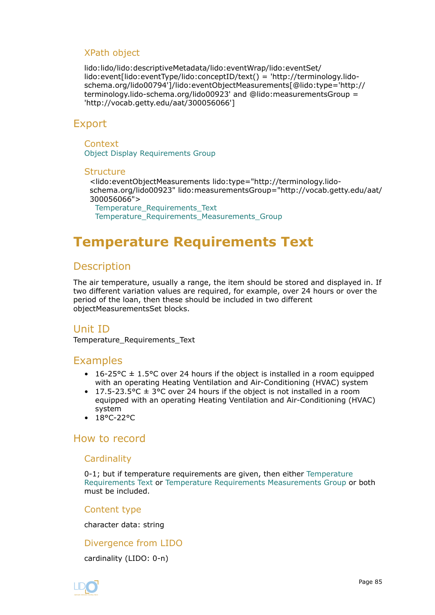### <span id="page-84-0"></span>XPath object

lido:lido/lido:descriptiveMetadata/lido:eventWrap/lido:eventSet/ lido:event[lido:eventType/lido:conceptID/text() = 'http://terminology.lidoschema.org/lido00794']/lido:eventObjectMeasurements[@lido:type='http:// terminology.lido-schema.org/lido00923' and @lido:measurementsGroup = 'http://vocab.getty.edu/aat/300056066']

# Export

#### **Context**

[Object Display Requirements Group](#page-81-0)

#### **Structure**

<lido:eventObjectMeasurements lido:type="http://terminology.lidoschema.org/lido00923" lido:measurementsGroup="http://vocab.getty.edu/aat/ 300056066"> Temperature\_Requirements\_Text Temperature Requirements Measurements Group

# **Temperature Requirements Text**

# **Description**

The air temperature, usually a range, the item should be stored and displayed in. If two different variation values are required, for example, over 24 hours or over the period of the loan, then these should be included in two different objectMeasurementsSet blocks.

# Unit ID

Temperature\_Requirements\_Text

### Examples

- 16-25 °C  $\pm$  1.5 °C over 24 hours if the object is installed in a room equipped with an operating Heating Ventilation and Air-Conditioning (HVAC) system
- 17.5-23.5 °C  $\pm$  3°C over 24 hours if the object is not installed in a room equipped with an operating Heating Ventilation and Air-Conditioning (HVAC) system
- 18°C-22°C

### How to record

### **Cardinality**

0-1; but if temperature requirements are given, then either Temperature Requirements Text or [Temperature Requirements Measurements Group](#page-85-0) or both must be included.

### Content type

character data: string

### Divergence from LIDO

cardinality (LIDO: 0-n)

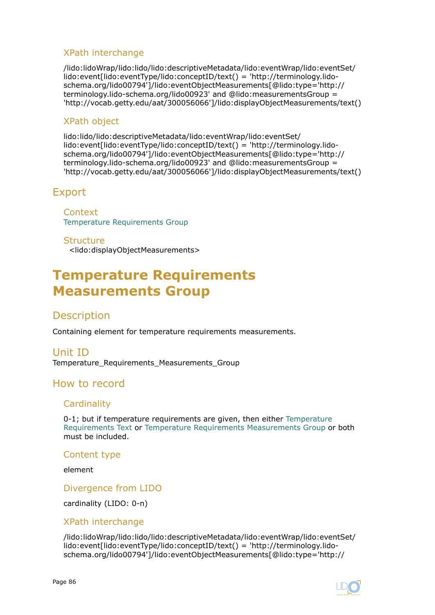### <span id="page-85-0"></span>XPath interchange

/lido:lidoWrap/lido:lido/lido:descriptiveMetadata/lido:eventWrap/lido:eventSet/ lido:event[lido:eventType/lido:conceptID/text() = 'http://terminology.lidoschema.org/lido00794']/lido:eventObjectMeasurements[@lido:type='http:// terminology.lido-schema.org/lido00923' and @lido:measurementsGroup = 'http://vocab.getty.edu/aat/300056066']/lido:displayObjectMeasurements/text()

### XPath object

lido:lido/lido:descriptiveMetadata/lido:eventWrap/lido:eventSet/ lido:event[lido:eventType/lido:conceptID/text() = 'http://terminology.lidoschema.org/lido00794']/lido:eventObjectMeasurements[@lido:type='http:// terminology.lido-schema.org/lido00923' and @lido:measurementsGroup = 'http://vocab.getty.edu/aat/300056066']/lido:displayObjectMeasurements/text()

# Export

**Context** [Temperature Requirements Group](#page-83-0)

**Structure** 

<lido:displayObjectMeasurements>

# **Temperature Requirements Measurements Group**

# **Description**

Containing element for temperature requirements measurements.

Unit ID Temperature\_Requirements\_Measurements\_Group

# How to record

### **Cardinality**

0-1; but if temperature requirements are given, then either [Temperature](#page-84-0) [Requirements Text](#page-84-0) or Temperature Requirements Measurements Group or both must be included.

### Content type

element

Divergence from LIDO

cardinality (LIDO: 0-n)

### XPath interchange

/lido:lidoWrap/lido:lido/lido:descriptiveMetadata/lido:eventWrap/lido:eventSet/ lido:event[lido:eventType/lido:conceptID/text() = 'http://terminology.lidoschema.org/lido00794']/lido:eventObjectMeasurements[@lido:type='http://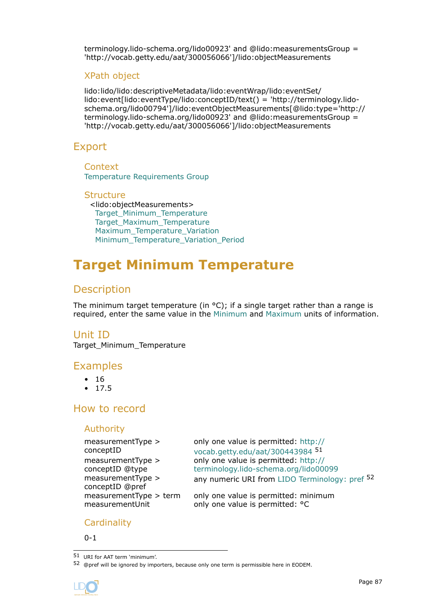<span id="page-86-0"></span>terminology.lido-schema.org/lido00923' and @lido:measurementsGroup = 'http://vocab.getty.edu/aat/300056066']/lido:objectMeasurements

### XPath object

lido:lido/lido:descriptiveMetadata/lido:eventWrap/lido:eventSet/ lido:event[lido:eventType/lido:conceptID/text() = 'http://terminology.lidoschema.org/lido00794']/lido:eventObjectMeasurements[@lido:type='http:// terminology.lido-schema.org/lido00923' and @lido:measurementsGroup = 'http://vocab.getty.edu/aat/300056066']/lido:objectMeasurements

### Export

**Context** [Temperature Requirements Group](#page-83-0)

#### **Structure** <lido:objectMeasurements>

Target Minimum Temperature Target Maximum Temperature Maximum Temperature Variation Minimum Temperature Variation Period

# **Target Minimum Temperature**

# **Description**

The minimum target temperature (in  $\circ$ C); if a single target rather than a range is required, enter the same value in the Minimum and [Maximum](#page-87-0) units of information.

### Unit ID

Target\_Minimum\_Temperature

# Examples

- 16
- 17.5

# How to record

### Authority

```
measurementType >
conceptID
measurementType >
conceptID @type
measurementType >
conceptID @pref
```
only one value is permitted: [http://](http://vocab.getty.edu/aat/300443984) [vocab.getty.edu/aat/300443984](http://vocab.getty.edu/aat/300443984) <sup>51</sup> only one value is permitted: [http://](http://terminology.lido-schema.org/lido00099) [terminology.lido-schema.org/lido00099](http://terminology.lido-schema.org/lido00099) any numeric URI from [LIDO Terminology: pref](http://terminology.lido-schema.org/lido00168) <sup>52</sup>

measurementType  $>$  term only one value is permitted: minimum measurementUnit only one value is permitted:  $°C$ 

### **Cardinality**

 $0 - 1$ 

51 URI for AAT term 'minimum'.

<sup>52 @</sup>pref will be ignored by importers, because only one term is permissible here in EODEM.

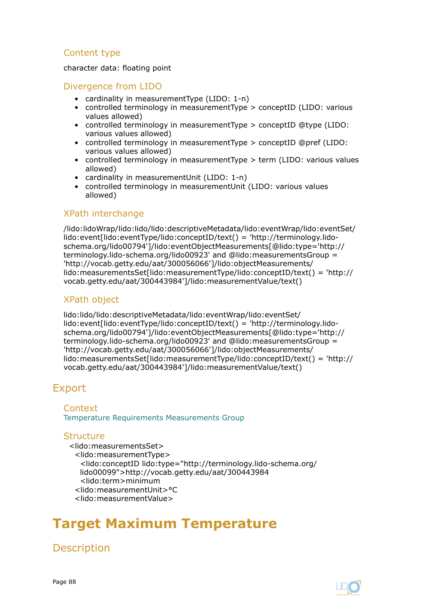### <span id="page-87-0"></span>Content type

character data: floating point

### Divergence from LIDO

- cardinality in measurementType (LIDO: 1-n)
- controlled terminology in measurementType > conceptID (LIDO: various values allowed)
- controlled terminology in measurementType > conceptID @type (LIDO: various values allowed)
- controlled terminology in measurementType > conceptID @pref (LIDO: various values allowed)
- controlled terminology in measurementType > term (LIDO: various values allowed)
- cardinality in measurementUnit (LIDO: 1-n)
- controlled terminology in measurementUnit (LIDO: various values allowed)

### XPath interchange

/lido:lidoWrap/lido:lido/lido:descriptiveMetadata/lido:eventWrap/lido:eventSet/ lido:event[lido:eventType/lido:conceptID/text() = 'http://terminology.lidoschema.org/lido00794']/lido:eventObjectMeasurements[@lido:type='http:// terminology.lido-schema.org/lido00923' and @lido:measurementsGroup = 'http://vocab.getty.edu/aat/300056066']/lido:objectMeasurements/ lido:measurementsSet[lido:measurementType/lido:conceptID/text() = 'http:// vocab.getty.edu/aat/300443984']/lido:measurementValue/text()

### XPath object

lido:lido/lido:descriptiveMetadata/lido:eventWrap/lido:eventSet/ lido:event[lido:eventType/lido:conceptID/text() = 'http://terminology.lidoschema.org/lido00794']/lido:eventObjectMeasurements[@lido:type='http:// terminology.lido-schema.org/lido00923' and @lido:measurementsGroup = 'http://vocab.getty.edu/aat/300056066']/lido:objectMeasurements/ lido:measurementsSet[lido:measurementType/lido:conceptID/text() = 'http:// vocab.getty.edu/aat/300443984']/lido:measurementValue/text()

# Export

#### Context

[Temperature Requirements Measurements Group](#page-85-0)

### **Structure**

<lido:measurementsSet> <lido:measurementType> <lido:conceptID lido:type="http://terminology.lido-schema.org/ lido00099">http://vocab.getty.edu/aat/300443984 <lido:term>minimum <lido:measurementUnit>°C <lido:measurementValue>

# **Target Maximum Temperature**

Description

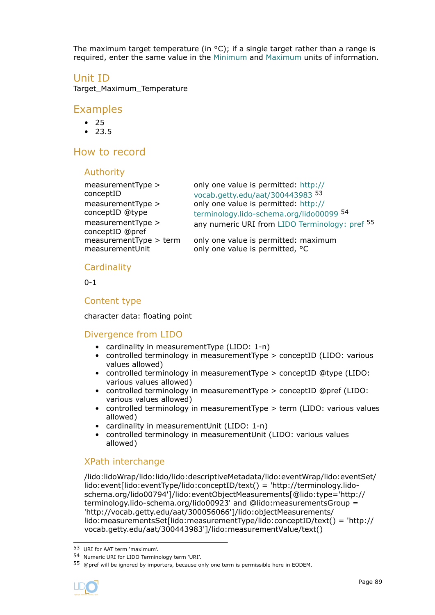The maximum target temperature (in  $\textdegree C$ ); if a single target rather than a range is required, enter the same value in the [Minimum](#page-86-0) and [Maximum](#page-87-0) units of information.

### Unit ID

Target\_Maximum\_Temperature

### Examples

- 25
- 23.5

### How to record

### Authority

| $measurementType$ >                  | only one value is permitted: http://           |
|--------------------------------------|------------------------------------------------|
| conceptID                            | vocab.getty.edu/aat/300443983 53               |
| $measurementType$ >                  | only one value is permitted: http://           |
| conceptID @type                      | terminology.lido-schema.org/lido00099 54       |
| measurementType ><br>conceptID @pref | any numeric URI from LIDO Terminology: pref 55 |
| measurementType > term               | only one value is permitted: maximum           |
| measurementUnit                      | only one value is permitted, °C                |

### **Cardinality**

0-1

### Content type

character data: floating point

### Divergence from LIDO

- cardinality in measurementType (LIDO: 1-n)
- controlled terminology in measurementType > conceptID (LIDO: various values allowed)
- controlled terminology in measurementType > conceptID @type (LIDO: various values allowed)
- controlled terminology in measurementType > conceptID @pref (LIDO: various values allowed)
- controlled terminology in measurementType > term (LIDO: various values allowed)
- cardinality in measurementUnit (LIDO: 1-n)
- controlled terminology in measurementUnit (LIDO: various values allowed)

### XPath interchange

/lido:lidoWrap/lido:lido/lido:descriptiveMetadata/lido:eventWrap/lido:eventSet/ lido:event[lido:eventType/lido:conceptID/text() = 'http://terminology.lidoschema.org/lido00794']/lido:eventObjectMeasurements[@lido:type='http:// terminology.lido-schema.org/lido00923' and @lido:measurementsGroup = 'http://vocab.getty.edu/aat/300056066']/lido:objectMeasurements/ lido:measurementsSet[lido:measurementType/lido:conceptID/text() = 'http:// vocab.getty.edu/aat/300443983']/lido:measurementValue/text()

<sup>55 @</sup>pref will be ignored by importers, because only one term is permissible here in EODEM.



<sup>53</sup> URI for AAT term 'maximum'.

<sup>54</sup> Numeric URI for LIDO Terminology term 'URI'.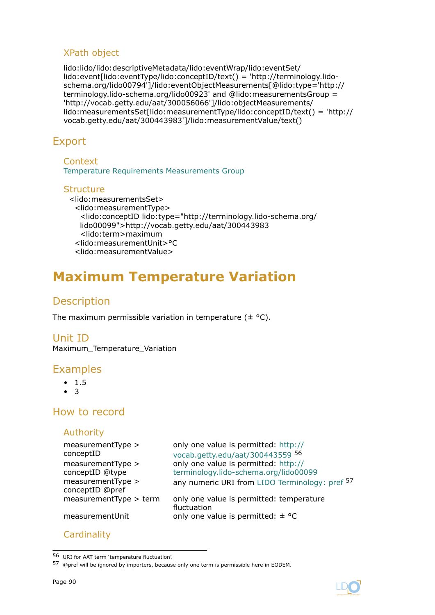### <span id="page-89-0"></span>XPath object

lido:lido/lido:descriptiveMetadata/lido:eventWrap/lido:eventSet/ lido:event[lido:eventType/lido:conceptID/text() = 'http://terminology.lidoschema.org/lido00794']/lido:eventObjectMeasurements[@lido:type='http:// terminology.lido-schema.org/lido00923' and @lido:measurementsGroup = 'http://vocab.getty.edu/aat/300056066']/lido:objectMeasurements/ lido:measurementsSet[lido:measurementType/lido:conceptID/text() = 'http:// vocab.getty.edu/aat/300443983']/lido:measurementValue/text()

# Export

**Context** [Temperature Requirements Measurements Group](#page-85-0)

### **Structure**

<lido:measurementsSet> <lido:measurementType> <lido:conceptID lido:type="http://terminology.lido-schema.org/ lido00099">http://vocab.getty.edu/aat/300443983 <lido:term>maximum <lido:measurementUnit>°C <lido:measurementValue>

# **Maximum Temperature Variation**

# Description

The maximum permissible variation in temperature  $(\pm \text{ }^{\circ}C)$ .

### Unit ID

Maximum\_Temperature\_Variation

### Examples

- 1.5
- 3

# How to record

### Authority

**Cardinality** 

| measurementType ><br>conceptID       | only one value is permitted: http://<br>vocab.getty.edu/aat/300443559 56 |
|--------------------------------------|--------------------------------------------------------------------------|
| measurementType >                    | only one value is permitted: http://                                     |
| conceptID @type                      | terminology.lido-schema.org/lido00099                                    |
| measurementType ><br>conceptID @pref | any numeric URI from LIDO Terminology: pref 57                           |
| measurementType > term               | only one value is permitted: temperature<br>fluctuation                  |
| measurementUnit                      | only one value is permitted: $\pm$ °C                                    |
|                                      |                                                                          |

<sup>56</sup> URI for AAT term 'temperature fluctuation'.

<sup>57 @</sup>pref will be ignored by importers, because only one term is permissible here in EODEM.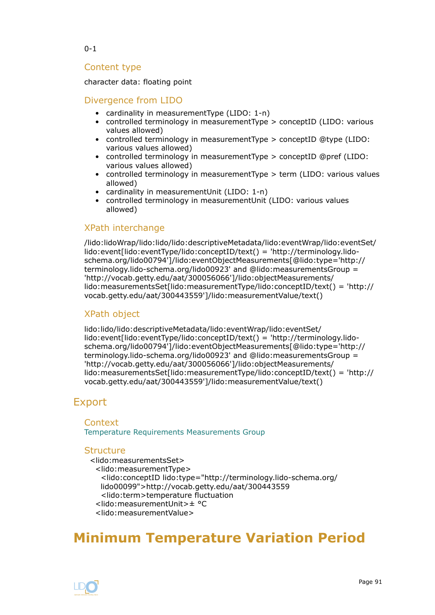<span id="page-90-0"></span>0-1

### Content type

character data: floating point

### Divergence from LIDO

- cardinality in measurementType (LIDO: 1-n)
- controlled terminology in measurementType > conceptID (LIDO: various values allowed)
- controlled terminology in measurementType > conceptID @type (LIDO: various values allowed)
- controlled terminology in measurementType > conceptID @pref (LIDO: various values allowed)
- controlled terminology in measurementType > term (LIDO: various values allowed)
- cardinality in measurementUnit (LIDO: 1-n)
- controlled terminology in measurementUnit (LIDO: various values allowed)

### XPath interchange

/lido:lidoWrap/lido:lido/lido:descriptiveMetadata/lido:eventWrap/lido:eventSet/ lido:event[lido:eventType/lido:conceptID/text() = 'http://terminology.lidoschema.org/lido00794']/lido:eventObjectMeasurements[@lido:type='http:// terminology.lido-schema.org/lido00923' and @lido:measurementsGroup = 'http://vocab.getty.edu/aat/300056066']/lido:objectMeasurements/ lido:measurementsSet[lido:measurementType/lido:conceptID/text() = 'http:// vocab.getty.edu/aat/300443559']/lido:measurementValue/text()

### XPath object

lido:lido/lido:descriptiveMetadata/lido:eventWrap/lido:eventSet/ lido:event[lido:eventType/lido:conceptID/text() = 'http://terminology.lidoschema.org/lido00794']/lido:eventObjectMeasurements[@lido:type='http:// terminology.lido-schema.org/lido00923' and @lido:measurementsGroup = 'http://vocab.getty.edu/aat/300056066']/lido:objectMeasurements/ lido:measurementsSet[lido:measurementType/lido:conceptID/text() = 'http:// vocab.getty.edu/aat/300443559']/lido:measurementValue/text()

# Export

### **Context** [Temperature Requirements Measurements Group](#page-85-0)

### **Structure**

```
<lido:measurementsSet>
 <lido:measurementType>
  <lido:conceptID lido:type="http://terminology.lido-schema.org/
  lido00099">http://vocab.getty.edu/aat/300443559
  <lido:term>temperature fluctuation
 <lido:measurementUnit>± °C
 <lido:measurementValue>
```
# **Minimum Temperature Variation Period**

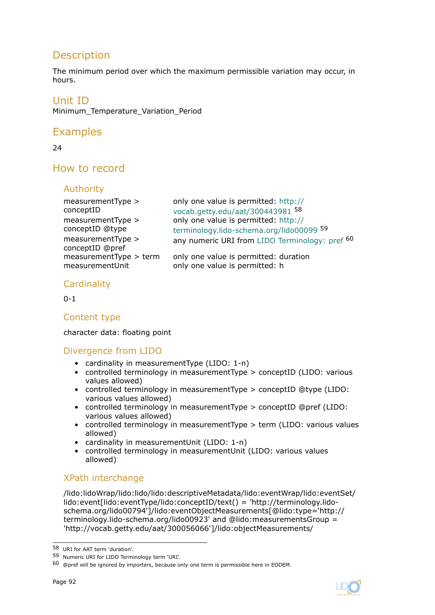# **Description**

The minimum period over which the maximum permissible variation may occur, in hours.

### Unit ID

Minimum Temperature Variation Period

# Examples

24

# How to record

### Authority

| measurementType ><br>conceptID<br>measurementType ><br>conceptID @type<br>measurementType ><br>conceptID @pref | only one value is permitted: http://<br>vocab.getty.edu/aat/300443981 58<br>only one value is permitted: http://<br>terminology.lido-schema.org/lido00099 59<br>any numeric URI from LIDO Terminology: pref <sup>60</sup> |
|----------------------------------------------------------------------------------------------------------------|---------------------------------------------------------------------------------------------------------------------------------------------------------------------------------------------------------------------------|
| measurementType > term                                                                                         | only one value is permitted: duration                                                                                                                                                                                     |
| measurementUnit                                                                                                | only one value is permitted: h                                                                                                                                                                                            |

### **Cardinality**

0-1

### Content type

character data: floating point

### Divergence from LIDO

- cardinality in measurementType (LIDO: 1-n)
- controlled terminology in measurementType > conceptID (LIDO: various values allowed)
- controlled terminology in measurementType > conceptID @type (LIDO: various values allowed)
- controlled terminology in measurementType > conceptID @pref (LIDO: various values allowed)
- controlled terminology in measurementType > term (LIDO: various values allowed)
- cardinality in measurementUnit (LIDO: 1-n)
- controlled terminology in measurementUnit (LIDO: various values allowed)

### XPath interchange

/lido:lidoWrap/lido:lido/lido:descriptiveMetadata/lido:eventWrap/lido:eventSet/ lido:event[lido:eventType/lido:conceptID/text() = 'http://terminology.lidoschema.org/lido00794']/lido:eventObjectMeasurements[@lido:type='http:// terminology.lido-schema.org/lido00923' and @lido:measurementsGroup = 'http://vocab.getty.edu/aat/300056066']/lido:objectMeasurements/



<sup>58</sup> URI for AAT term 'duration'.

<sup>59</sup> Numeric URI for LIDO Terminology term 'URI'.

 $60$  @pref will be ignored by importers, because only one term is permissible here in EODEM.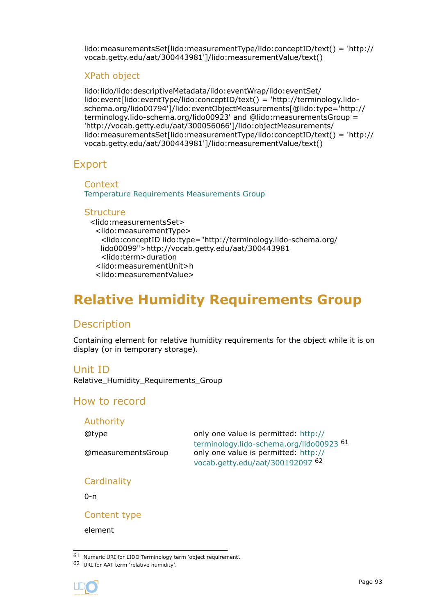<span id="page-92-0"></span>lido:measurementsSet[lido:measurementType/lido:conceptID/text() = 'http:// vocab.getty.edu/aat/300443981']/lido:measurementValue/text()

### XPath object

lido:lido/lido:descriptiveMetadata/lido:eventWrap/lido:eventSet/ lido:event[lido:eventType/lido:conceptID/text() = 'http://terminology.lidoschema.org/lido00794']/lido:eventObjectMeasurements[@lido:type='http:// terminology.lido-schema.org/lido00923' and @lido:measurementsGroup = 'http://vocab.getty.edu/aat/300056066']/lido:objectMeasurements/ lido:measurementsSet[lido:measurementType/lido:conceptID/text() = 'http:// vocab.getty.edu/aat/300443981']/lido:measurementValue/text()

### Export

**Context** [Temperature Requirements Measurements Group](#page-85-0)

### **Structure**

<lido:measurementsSet> <lido:measurementType> <lido:conceptID lido:type="http://terminology.lido-schema.org/ lido00099">http://vocab.getty.edu/aat/300443981 <lido:term>duration <lido:measurementUnit>h <lido:measurementValue>

# **Relative Humidity Requirements Group**

# **Description**

Containing element for relative humidity requirements for the object while it is on display (or in temporary storage).

### Unit ID

Relative\_Humidity\_Requirements\_Group

### How to record

### Authority

@type only one value is permitted: [http://](http://terminology.lido-schema.org/lido00923) [terminology.lido-schema.org/lido00923](http://terminology.lido-schema.org/lido00923) <sup>61</sup> @measurementsGroup only one value is permitted: [http://](http://vocab.getty.edu/aat/300192097) [vocab.getty.edu/aat/300192097](http://vocab.getty.edu/aat/300192097) <sup>62</sup>

**Cardinality** 

 $0 - n$ 

Content type

element

<sup>62</sup> URI for AAT term 'relative humidity'.



<sup>61</sup> Numeric URI for LIDO Terminology term 'object requirement'.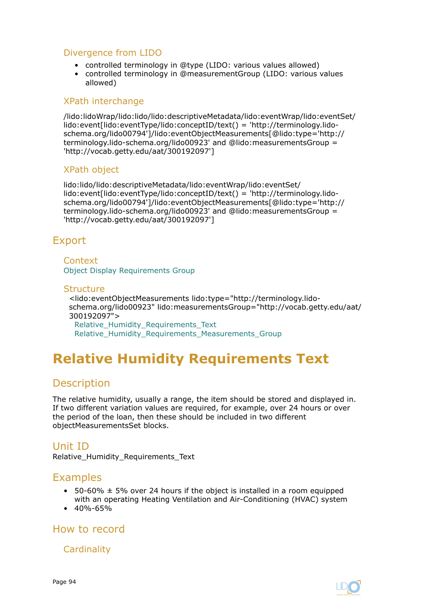### <span id="page-93-0"></span>Divergence from LIDO

- controlled terminology in @type (LIDO: various values allowed)
- controlled terminology in @measurementGroup (LIDO: various values allowed)

### XPath interchange

/lido:lidoWrap/lido:lido/lido:descriptiveMetadata/lido:eventWrap/lido:eventSet/ lido:event[lido:eventType/lido:conceptID/text() = 'http://terminology.lidoschema.org/lido00794']/lido:eventObjectMeasurements[@lido:type='http:// terminology.lido-schema.org/lido00923' and @lido:measurementsGroup = 'http://vocab.getty.edu/aat/300192097']

### XPath object

lido:lido/lido:descriptiveMetadata/lido:eventWrap/lido:eventSet/ lido:event[lido:eventType/lido:conceptID/text() = 'http://terminology.lidoschema.org/lido00794']/lido:eventObjectMeasurements[@lido:type='http:// terminology.lido-schema.org/lido00923' and @lido:measurementsGroup = 'http://vocab.getty.edu/aat/300192097']

# Export

Context [Object Display Requirements Group](#page-81-0)

### **Structure**

<lido:eventObjectMeasurements lido:type="http://terminology.lidoschema.org/lido00923" lido:measurementsGroup="http://vocab.getty.edu/aat/ 300192097"> Relative Humidity Requirements Text Relative Humidity Requirements Measurements Group

# **Relative Humidity Requirements Text**

# **Description**

The relative humidity, usually a range, the item should be stored and displayed in. If two different variation values are required, for example, over 24 hours or over the period of the loan, then these should be included in two different objectMeasurementsSet blocks.

# Unit ID

Relative Humidity Requirements Text

# Examples

- 50-60%  $\pm$  5% over 24 hours if the object is installed in a room equipped with an operating Heating Ventilation and Air-Conditioning (HVAC) system
- $40\% 65\%$

# How to record

**Cardinality** 

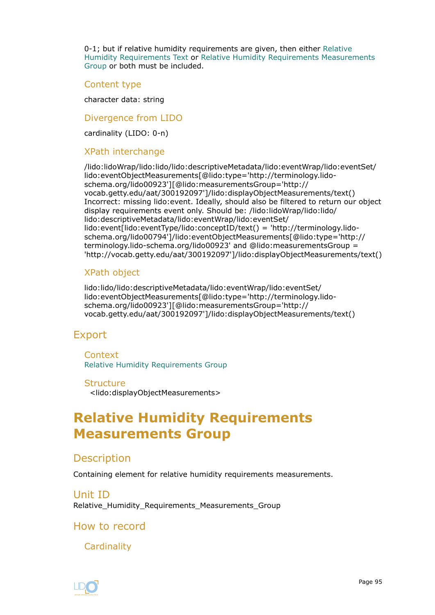<span id="page-94-0"></span>0-1; but if relative humidity requirements are given, then either [Relative](#page-93-0) [Humidity Requirements Text](#page-93-0) or Relative Humidity Requirements Measurements Group or both must be included.

Content type

character data: string

Divergence from LIDO

cardinality (LIDO: 0-n)

### XPath interchange

/lido:lidoWrap/lido:lido/lido:descriptiveMetadata/lido:eventWrap/lido:eventSet/ lido:eventObjectMeasurements[@lido:type='http://terminology.lidoschema.org/lido00923'][@lido:measurementsGroup='http:// vocab.getty.edu/aat/300192097']/lido:displayObjectMeasurements/text() Incorrect: missing lido:event. Ideally, should also be filtered to return our object display requirements event only. Should be: /lido:lidoWrap/lido:lido/ lido:descriptiveMetadata/lido:eventWrap/lido:eventSet/ lido:event[lido:eventType/lido:conceptID/text() = 'http://terminology.lidoschema.org/lido00794']/lido:eventObjectMeasurements[@lido:type='http:// terminology.lido-schema.org/lido00923' and @lido:measurementsGroup = 'http://vocab.getty.edu/aat/300192097']/lido:displayObjectMeasurements/text()

### XPath object

lido:lido/lido:descriptiveMetadata/lido:eventWrap/lido:eventSet/ lido:eventObjectMeasurements[@lido:type='http://terminology.lidoschema.org/lido00923'][@lido:measurementsGroup='http:// vocab.getty.edu/aat/300192097']/lido:displayObjectMeasurements/text()

### Export

**Context** [Relative Humidity Requirements Group](#page-92-0)

#### **Structure**

<lido:displayObjectMeasurements>

# **Relative Humidity Requirements Measurements Group**

### **Description**

Containing element for relative humidity requirements measurements.

Unit ID Relative\_Humidity\_Requirements\_Measurements\_Group

### How to record

**Cardinality** 

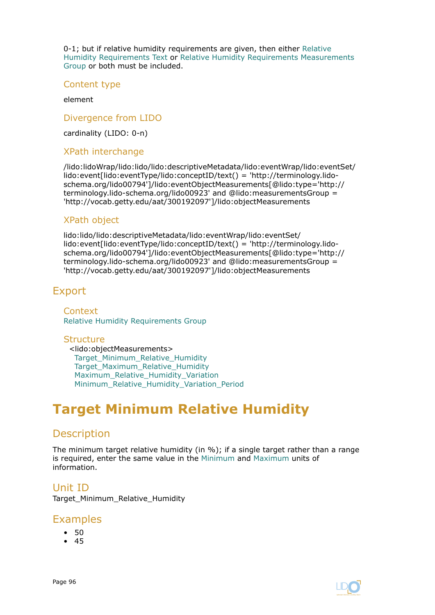<span id="page-95-0"></span>0-1; but if relative humidity requirements are given, then either [Relative](#page-93-0) [Humidity Requirements Text](#page-93-0) or [Relative Humidity Requirements Measurements](#page-94-0) [Group](#page-94-0) or both must be included.

Content type

element

Divergence from LIDO

cardinality (LIDO: 0-n)

#### XPath interchange

/lido:lidoWrap/lido:lido/lido:descriptiveMetadata/lido:eventWrap/lido:eventSet/ lido:event[lido:eventType/lido:conceptID/text() = 'http://terminology.lidoschema.org/lido00794']/lido:eventObjectMeasurements[@lido:type='http:// terminology.lido-schema.org/lido00923' and @lido:measurementsGroup = 'http://vocab.getty.edu/aat/300192097']/lido:objectMeasurements

### XPath object

lido:lido/lido:descriptiveMetadata/lido:eventWrap/lido:eventSet/ lido:event[lido:eventType/lido:conceptID/text() = 'http://terminology.lidoschema.org/lido00794']/lido:eventObjectMeasurements[@lido:type='http:// terminology.lido-schema.org/lido00923' and @lido:measurementsGroup = 'http://vocab.getty.edu/aat/300192097']/lido:objectMeasurements

### Export

**Context** [Relative Humidity Requirements Group](#page-92-0)

### **Structure**

<lido:objectMeasurements> Target Minimum Relative Humidity Target Maximum Relative Humidity Maximum Relative Humidity Variation [Minimum\\_Relative\\_Humidity\\_Variation\\_Period](#page-100-0)

# **Target Minimum Relative Humidity**

# **Description**

The minimum target relative humidity (in %); if a single target rather than a range is required, enter the same value in the Minimum and [Maximum](#page-97-0) units of information.

### Unit ID

Target\_Minimum\_Relative\_Humidity

### Examples

- 50
- 45

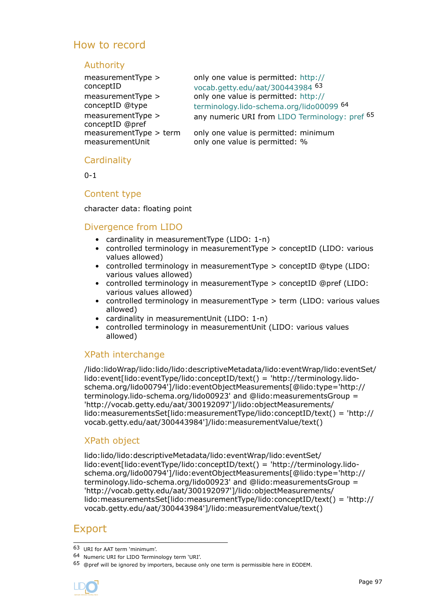# How to record

### Authority

measurementType > conceptID measurementType > conceptID @type measurementType > conceptID @pref

only one value is permitted: [http://](http://vocab.getty.edu/aat/300443984) [vocab.getty.edu/aat/300443984](http://vocab.getty.edu/aat/300443984) <sup>63</sup> only one value is permitted: [http://](http://terminology.lido-schema.org/lido00099) [terminology.lido-schema.org/lido00099](http://terminology.lido-schema.org/lido00099) <sup>64</sup> any numeric URI from [LIDO Terminology: pref](http://terminology.lido-schema.org/lido00168) 65

measurementType > term only one value is permitted: minimum measurementUnit only one value is permitted: %

### **Cardinality**

 $0 - 1$ 

### Content type

### character data: floating point

### Divergence from LIDO

- cardinality in measurementType (LIDO: 1-n)
- controlled terminology in measurementType > conceptID (LIDO: various values allowed)
- controlled terminology in measurementType > conceptID @type (LIDO: various values allowed)
- controlled terminology in measurementType > conceptID @pref (LIDO: various values allowed)
- controlled terminology in measurementType > term (LIDO: various values allowed)
- cardinality in measurementUnit (LIDO: 1-n)
- controlled terminology in measurementUnit (LIDO: various values allowed)

### XPath interchange

/lido:lidoWrap/lido:lido/lido:descriptiveMetadata/lido:eventWrap/lido:eventSet/ lido:event[lido:eventType/lido:conceptID/text() = 'http://terminology.lidoschema.org/lido00794']/lido:eventObjectMeasurements[@lido:type='http:// terminology.lido-schema.org/lido00923' and @lido:measurementsGroup = 'http://vocab.getty.edu/aat/300192097']/lido:objectMeasurements/ lido:measurementsSet[lido:measurementType/lido:conceptID/text() = 'http:// vocab.getty.edu/aat/300443984']/lido:measurementValue/text()

### XPath object

lido:lido/lido:descriptiveMetadata/lido:eventWrap/lido:eventSet/ lido:event[lido:eventType/lido:conceptID/text() = 'http://terminology.lidoschema.org/lido00794']/lido:eventObjectMeasurements[@lido:type='http:// terminology.lido-schema.org/lido00923' and @lido:measurementsGroup = 'http://vocab.getty.edu/aat/300192097']/lido:objectMeasurements/ lido:measurementsSet[lido:measurementType/lido:conceptID/text() = 'http:// vocab.getty.edu/aat/300443984']/lido:measurementValue/text()

# Export

<sup>65 @</sup>pref will be ignored by importers, because only one term is permissible here in EODEM.



<sup>63</sup> URI for AAT term 'minimum'.

<sup>64</sup> Numeric URI for LIDO Terminology term 'URI'.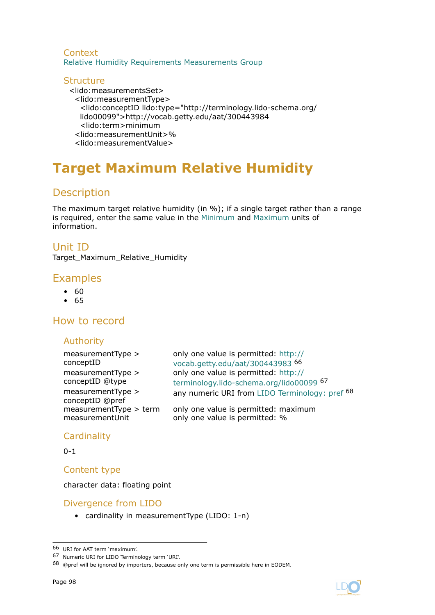### <span id="page-97-0"></span>**Context** [Relative Humidity Requirements Measurements Group](#page-94-0)

#### **Structure** <lido:measurementsSet> <lido:measurementType> <lido:conceptID lido:type="http://terminology.lido-schema.org/ lido00099">http://vocab.getty.edu/aat/300443984 <lido:term>minimum <lido:measurementUnit>% <lido:measurementValue>

# **Target Maximum Relative Humidity**

# Description

The maximum target relative humidity (in %); if a single target rather than a range is required, enter the same value in the [Minimum](#page-95-0) and Maximum units of information.

# Unit ID

Target\_Maximum\_Relative\_Humidity

# Examples

- 60
- 65

# How to record

### Authority

| measurementType ><br>conceptID<br>measurementType ><br>conceptID @type<br>measurementType ><br>conceptID @pref | only one value is permitted: http://<br>vocab.getty.edu/aat/300443983 <sup>66</sup><br>only one value is permitted: http://<br>terminology.lido-schema.org/lido00099 67<br>any numeric URI from LIDO Terminology: pref 68 |
|----------------------------------------------------------------------------------------------------------------|---------------------------------------------------------------------------------------------------------------------------------------------------------------------------------------------------------------------------|
| measurementType > term                                                                                         | only one value is permitted: maximum                                                                                                                                                                                      |
| measurementUnit                                                                                                | only one value is permitted: %                                                                                                                                                                                            |

### **Cardinality**

 $0 - 1$ 

Content type

character data: floating point

# Divergence from LIDO

• cardinality in measurementType (LIDO: 1-n)

<sup>66</sup> URI for AAT term 'maximum'.

<sup>67</sup> Numeric URI for LIDO Terminology term 'URI'.

<sup>68 @</sup>pref will be ignored by importers, because only one term is permissible here in EODEM.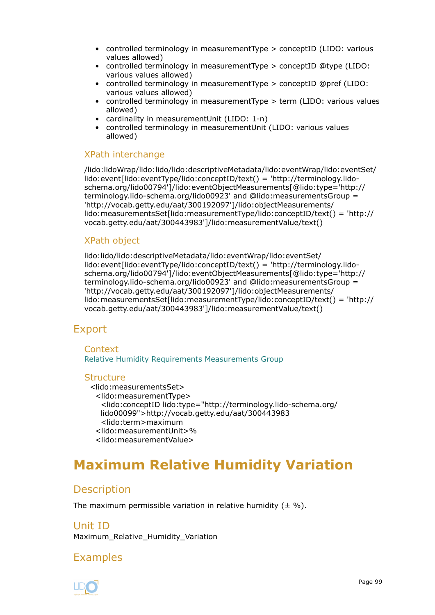- <span id="page-98-0"></span>• controlled terminology in measurementType > conceptID (LIDO: various values allowed)
- controlled terminology in measurementType > conceptID @type (LIDO: various values allowed)
- controlled terminology in measurementType > conceptID @pref (LIDO: various values allowed)
- controlled terminology in measurementType > term (LIDO: various values allowed)
- cardinality in measurementUnit (LIDO: 1-n)
- controlled terminology in measurementUnit (LIDO: various values allowed)

### XPath interchange

/lido:lidoWrap/lido:lido/lido:descriptiveMetadata/lido:eventWrap/lido:eventSet/ lido:event[lido:eventType/lido:conceptID/text() = 'http://terminology.lidoschema.org/lido00794']/lido:eventObjectMeasurements[@lido:type='http:// terminology.lido-schema.org/lido00923' and @lido:measurementsGroup = 'http://vocab.getty.edu/aat/300192097']/lido:objectMeasurements/ lido:measurementsSet[lido:measurementType/lido:conceptID/text() = 'http:// vocab.getty.edu/aat/300443983']/lido:measurementValue/text()

### XPath object

lido:lido/lido:descriptiveMetadata/lido:eventWrap/lido:eventSet/ lido:event[lido:eventType/lido:conceptID/text() = 'http://terminology.lidoschema.org/lido00794']/lido:eventObjectMeasurements[@lido:type='http:// terminology.lido-schema.org/lido00923' and @lido:measurementsGroup = 'http://vocab.getty.edu/aat/300192097']/lido:objectMeasurements/ lido:measurementsSet[lido:measurementType/lido:conceptID/text() = 'http:// vocab.getty.edu/aat/300443983']/lido:measurementValue/text()

# Export

**Context** [Relative Humidity Requirements Measurements Group](#page-94-0)

### **Structure**

<lido:measurementsSet>

- <lido:measurementType>
	- <lido:conceptID lido:type="http://terminology.lido-schema.org/ lido00099">http://vocab.getty.edu/aat/300443983
- <lido:term>maximum
- <lido:measurementUnit>%
- <lido:measurementValue>

# **Maximum Relative Humidity Variation**

# **Description**

The maximum permissible variation in relative humidity  $(± %).$ 

### Unit ID

Maximum Relative Humidity Variation

# Examples

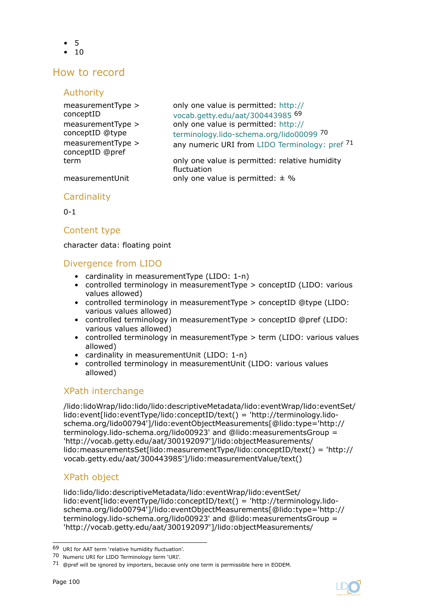- 5
- $10$

# How to record

### Authority

| measurementType ><br>conceptID<br>measurementType ><br>conceptID @type<br>measurementType ><br>conceptID @pref | only one value is permitted: http://<br>vocab.getty.edu/aat/300443985 69<br>only one value is permitted: http://<br>terminology.lido-schema.org/lido00099 70<br>any numeric URI from LIDO Terminology: pref 71 |
|----------------------------------------------------------------------------------------------------------------|----------------------------------------------------------------------------------------------------------------------------------------------------------------------------------------------------------------|
| term                                                                                                           | only one value is permitted: relative humidity<br>fluctuation                                                                                                                                                  |
| measurementUnit                                                                                                | only one value is permitted: $\pm$ %                                                                                                                                                                           |

### **Cardinality**

 $0 - 1$ 

### Content type

character data: floating point

### Divergence from LIDO

- cardinality in measurementType (LIDO: 1-n)
- controlled terminology in measurementType > conceptID (LIDO: various values allowed)
- controlled terminology in measurementType > conceptID @type (LIDO: various values allowed)
- controlled terminology in measurementType > conceptID @pref (LIDO: various values allowed)
- controlled terminology in measurementType > term (LIDO: various values allowed)
- cardinality in measurementUnit (LIDO: 1-n)
- controlled terminology in measurementUnit (LIDO: various values allowed)

# XPath interchange

/lido:lidoWrap/lido:lido/lido:descriptiveMetadata/lido:eventWrap/lido:eventSet/ lido:event[lido:eventType/lido:conceptID/text() = 'http://terminology.lidoschema.org/lido00794']/lido:eventObjectMeasurements[@lido:type='http:// terminology.lido-schema.org/lido00923' and @lido:measurementsGroup = 'http://vocab.getty.edu/aat/300192097']/lido:objectMeasurements/ lido:measurementsSet[lido:measurementType/lido:conceptID/text() = 'http:// vocab.getty.edu/aat/300443985']/lido:measurementValue/text()

# XPath object

lido:lido/lido:descriptiveMetadata/lido:eventWrap/lido:eventSet/ lido:event[lido:eventType/lido:conceptID/text() = 'http://terminology.lidoschema.org/lido00794']/lido:eventObjectMeasurements[@lido:type='http:// terminology.lido-schema.org/lido00923' and @lido:measurementsGroup = 'http://vocab.getty.edu/aat/300192097']/lido:objectMeasurements/



<sup>69</sup> URI for AAT term 'relative humidity fluctuation'.

<sup>70</sup> Numeric URI for LIDO Terminology term 'URI'.

<sup>71 @</sup>pref will be ignored by importers, because only one term is permissible here in EODEM.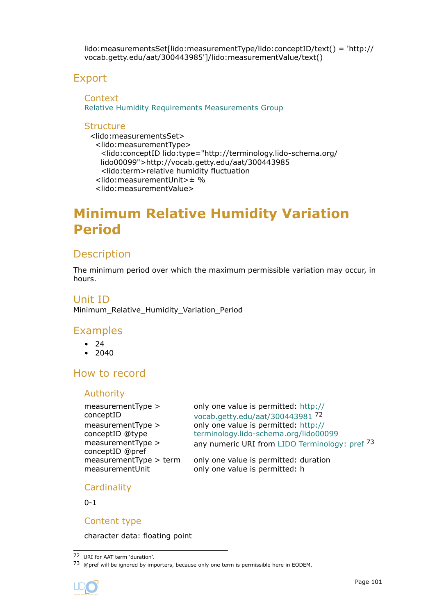<span id="page-100-0"></span>lido:measurementsSet[lido:measurementType/lido:conceptID/text() = 'http:// vocab.getty.edu/aat/300443985']/lido:measurementValue/text()

# Export

**Context** [Relative Humidity Requirements Measurements Group](#page-94-0)

### **Structure**

<lido:measurementsSet> <lido:measurementType> <lido:conceptID lido:type="http://terminology.lido-schema.org/ lido00099">http://vocab.getty.edu/aat/300443985 <lido:term>relative humidity fluctuation <lido:measurementUnit>± % <lido:measurementValue>

# **Minimum Relative Humidity Variation Period**

### **Description**

The minimum period over which the maximum permissible variation may occur, in hours.

### Unit ID

Minimum\_Relative\_Humidity\_Variation\_Period

### Examples

- $24$
- $2040$

# How to record

### Authority

measurementType > conceptID measurementType > conceptID @type measurementType > conceptID @pref

only one value is permitted: [http://](http://vocab.getty.edu/aat/300443981) [vocab.getty.edu/aat/300443981](http://vocab.getty.edu/aat/300443981) <sup>72</sup> only one value is permitted: [http://](http://terminology.lido-schema.org/lido00099) [terminology.lido-schema.org/lido00099](http://terminology.lido-schema.org/lido00099) any numeric URI from [LIDO Terminology: pref](http://terminology.lido-schema.org/lido00168) 73

measurementType > term only one value is permitted: duration measurementUnit only one value is permitted: h

### **Cardinality**

 $0 - 1$ 

### Content type

character data: floating point

<sup>73 @</sup>pref will be ignored by importers, because only one term is permissible here in EODEM.



<sup>72</sup> URI for AAT term 'duration'.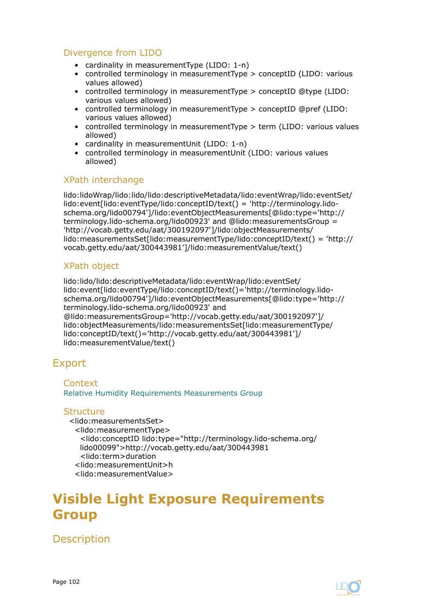### <span id="page-101-0"></span>Divergence from LIDO

- cardinality in measurementType (LIDO: 1-n)
- controlled terminology in measurementType > conceptID (LIDO: various values allowed)
- controlled terminology in measurementType > conceptID @type (LIDO: various values allowed)
- controlled terminology in measurementType > conceptID @pref (LIDO: various values allowed)
- controlled terminology in measurementType > term (LIDO: various values allowed)
- cardinality in measurementUnit (LIDO: 1-n)
- controlled terminology in measurementUnit (LIDO: various values allowed)

### XPath interchange

lido:lidoWrap/lido:lido/lido:descriptiveMetadata/lido:eventWrap/lido:eventSet/ lido:event[lido:eventType/lido:conceptID/text() = 'http://terminology.lidoschema.org/lido00794']/lido:eventObjectMeasurements[@lido:type='http:// terminology.lido-schema.org/lido00923' and @lido:measurementsGroup = 'http://vocab.getty.edu/aat/300192097']/lido:objectMeasurements/ lido:measurementsSet[lido:measurementType/lido:conceptID/text() = 'http:// vocab.getty.edu/aat/300443981']/lido:measurementValue/text()

### XPath object

lido:lido/lido:descriptiveMetadata/lido:eventWrap/lido:eventSet/ lido:event[lido:eventType/lido:conceptID/text()='http://terminology.lidoschema.org/lido00794']/lido:eventObjectMeasurements[@lido:type='http:// terminology.lido-schema.org/lido00923' and @lido:measurementsGroup='http://vocab.getty.edu/aat/300192097']/ lido:objectMeasurements/lido:measurementsSet[lido:measurementType/ lido:conceptID/text()='http://vocab.getty.edu/aat/300443981']/ lido:measurementValue/text()

# Export

Context [Relative Humidity Requirements Measurements Group](#page-94-0)

### **Structure**

<lido:measurementsSet> <lido:measurementType> <lido:conceptID lido:type="http://terminology.lido-schema.org/ lido00099">http://vocab.getty.edu/aat/300443981 <lido:term>duration <lido:measurementUnit>h <lido:measurementValue>

# **Visible Light Exposure Requirements Group**

**Description**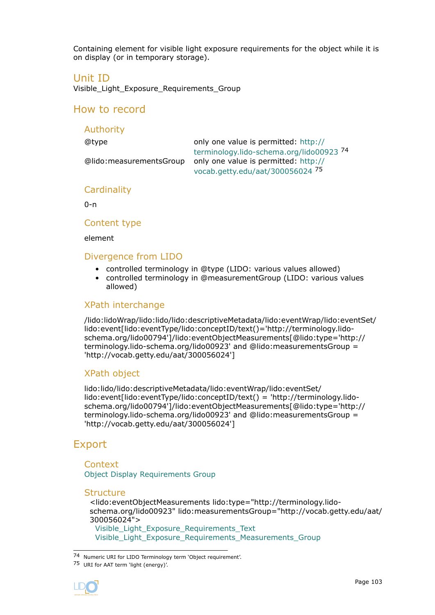Containing element for visible light exposure requirements for the object while it is on display (or in temporary storage).

### Unit ID

Visible\_Light\_Exposure\_Requirements\_Group

### How to record

### Authority

@type only one value is permitted: [http://](http://terminology.lido-schema.org/lido00923) [terminology.lido-schema.org/lido00923](http://terminology.lido-schema.org/lido00923) <sup>74</sup> @lido:measurementsGroup only one value is permitted: [http://](http://vocab.getty.edu/aat/300056024) [vocab.getty.edu/aat/300056024](http://vocab.getty.edu/aat/300056024) <sup>75</sup>

### **Cardinality**

0-n

### Content type

element

### Divergence from LIDO

- controlled terminology in @type (LIDO: various values allowed)
- controlled terminology in @measurementGroup (LIDO: various values allowed)

### XPath interchange

/lido:lidoWrap/lido:lido/lido:descriptiveMetadata/lido:eventWrap/lido:eventSet/ lido:event[lido:eventType/lido:conceptID/text()='http://terminology.lidoschema.org/lido00794']/lido:eventObjectMeasurements[@lido:type='http:// terminology.lido-schema.org/lido00923' and @lido:measurementsGroup = 'http://vocab.getty.edu/aat/300056024']

### XPath object

lido:lido/lido:descriptiveMetadata/lido:eventWrap/lido:eventSet/ lido:event[lido:eventType/lido:conceptID/text() = 'http://terminology.lidoschema.org/lido00794']/lido:eventObjectMeasurements[@lido:type='http:// terminology.lido-schema.org/lido00923' and @lido:measurementsGroup = 'http://vocab.getty.edu/aat/300056024']

# Export

**Context** [Object Display Requirements Group](#page-81-0)

#### **Structure**

<lido:eventObjectMeasurements lido:type="http://terminology.lidoschema.org/lido00923" lido:measurementsGroup="http://vocab.getty.edu/aat/ 300056024"> [Visible\\_Light\\_Exposure\\_Requirements\\_Text](#page-103-0)

Visible Light Exposure Requirements Measurements Group

<sup>75</sup> URI for AAT term 'light (energy)'.



<sup>74</sup> Numeric URI for LIDO Terminology term 'Object requirement'.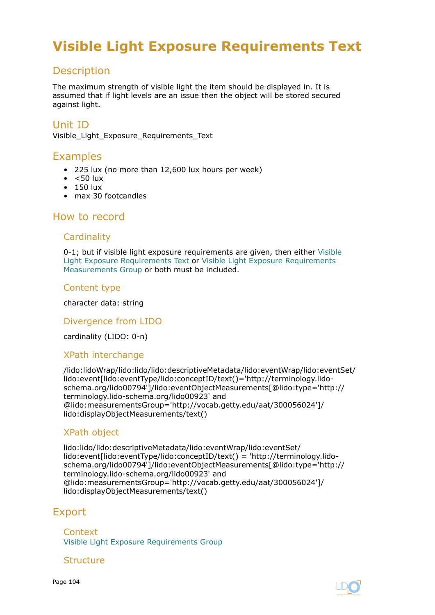# <span id="page-103-0"></span>**Visible Light Exposure Requirements Text**

# **Description**

The maximum strength of visible light the item should be displayed in. It is assumed that if light levels are an issue then the object will be stored secured against light.

# Unit ID

Visible\_Light\_Exposure\_Requirements\_Text

# Examples

- 225 lux (no more than 12,600 lux hours per week)
- $\bullet$  <50 lux
- 150 lux
- max 30 footcandles

### How to record

### **Cardinality**

0-1; but if visible light exposure requirements are given, then either Visible Light Exposure Requirements Text or [Visible Light Exposure Requirements](#page-104-0) [Measurements Group](#page-104-0) or both must be included.

### Content type

character data: string

### Divergence from LIDO

cardinality (LIDO: 0-n)

### XPath interchange

/lido:lidoWrap/lido:lido/lido:descriptiveMetadata/lido:eventWrap/lido:eventSet/ lido:event[lido:eventType/lido:conceptID/text()='http://terminology.lidoschema.org/lido00794']/lido:eventObjectMeasurements[@lido:type='http:// terminology.lido-schema.org/lido00923' and @lido:measurementsGroup='http://vocab.getty.edu/aat/300056024']/ lido:displayObjectMeasurements/text()

### XPath object

lido:lido/lido:descriptiveMetadata/lido:eventWrap/lido:eventSet/ lido:event[lido:eventType/lido:conceptID/text() = 'http://terminology.lidoschema.org/lido00794']/lido:eventObjectMeasurements[@lido:type='http:// terminology.lido-schema.org/lido00923' and @lido:measurementsGroup='http://vocab.getty.edu/aat/300056024']/ lido:displayObjectMeasurements/text()

### Export

**Context** [Visible Light Exposure Requirements Group](#page-101-0)

### **Structure**

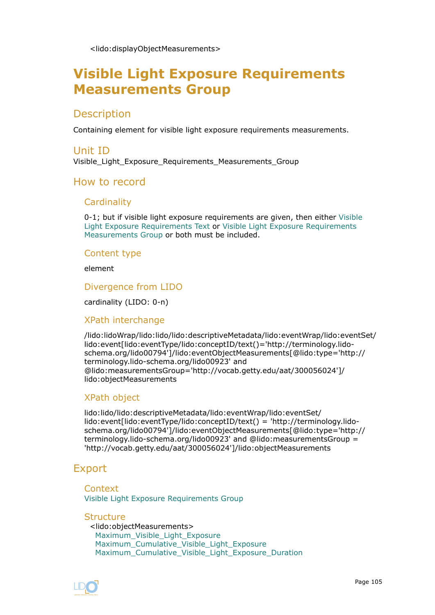<lido:displayObjectMeasurements>

# <span id="page-104-0"></span>**Visible Light Exposure Requirements Measurements Group**

# **Description**

Containing element for visible light exposure requirements measurements.

### Unit ID

Visible Light Exposure Requirements Measurements Group

### How to record

### **Cardinality**

0-1; but if visible light exposure requirements are given, then either [Visible](#page-103-0) [Light Exposure Requirements Text](#page-103-0) or Visible Light Exposure Requirements Measurements Group or both must be included.

### Content type

element

Divergence from LIDO

cardinality (LIDO: 0-n)

### XPath interchange

/lido:lidoWrap/lido:lido/lido:descriptiveMetadata/lido:eventWrap/lido:eventSet/ lido:event[lido:eventType/lido:conceptID/text()='http://terminology.lidoschema.org/lido00794']/lido:eventObjectMeasurements[@lido:type='http:// terminology.lido-schema.org/lido00923' and @lido:measurementsGroup='http://vocab.getty.edu/aat/300056024']/ lido:objectMeasurements

### XPath object

lido:lido/lido:descriptiveMetadata/lido:eventWrap/lido:eventSet/ lido:event[lido:eventType/lido:conceptID/text() = 'http://terminology.lidoschema.org/lido00794']/lido:eventObjectMeasurements[@lido:type='http:// terminology.lido-schema.org/lido00923' and @lido:measurementsGroup = 'http://vocab.getty.edu/aat/300056024']/lido:objectMeasurements

### Export

Context [Visible Light Exposure Requirements Group](#page-101-0)

**Structure** <lido:objectMeasurements> [Maximum\\_Visible\\_Light\\_Exposure](#page-105-0) Maximum Cumulative Visible Light Exposure Maximum Cumulative Visible Light Exposure Duration

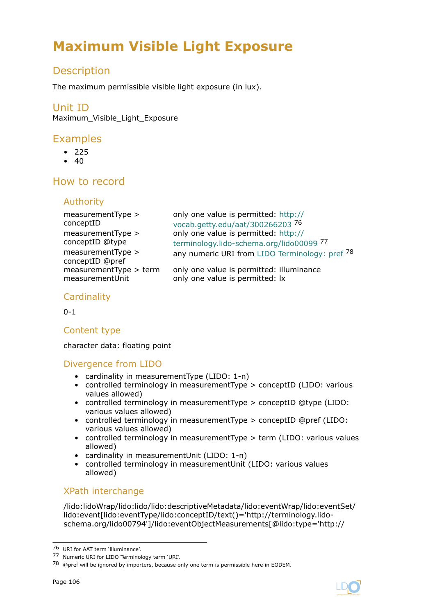# <span id="page-105-0"></span>**Maximum Visible Light Exposure**

# Description

The maximum permissible visible light exposure (in lux).

# Unit ID

Maximum Visible Light Exposure

# Examples

- 225
- $40$

# How to record

### Authority

| measurementType >                    | only one value is permitted: http://           |
|--------------------------------------|------------------------------------------------|
| conceptID                            | vocab.getty.edu/aat/300266203 76               |
| measurementType >                    | only one value is permitted: http://           |
| conceptID @type                      | terminology.lido-schema.org/lido00099 77       |
| measurementType ><br>conceptID @pref | any numeric URI from LIDO Terminology: pref 78 |
| measurementType > term               | only one value is permitted: illuminance       |
| measurementUnit                      | only one value is permitted: lx                |

# **Cardinality**

 $0 - 1$ 

### Content type

character data: floating point

### Divergence from LIDO

- cardinality in measurementType (LIDO: 1-n)
- controlled terminology in measurementType > conceptID (LIDO: various values allowed)
- controlled terminology in measurementType > conceptID @type (LIDO: various values allowed)
- controlled terminology in measurementType > conceptID @pref (LIDO: various values allowed)
- controlled terminology in measurementType > term (LIDO: various values allowed)
- cardinality in measurementUnit (LIDO: 1-n)
- controlled terminology in measurementUnit (LIDO: various values allowed)

### XPath interchange

/lido:lidoWrap/lido:lido/lido:descriptiveMetadata/lido:eventWrap/lido:eventSet/ lido:event[lido:eventType/lido:conceptID/text()='http://terminology.lidoschema.org/lido00794']/lido:eventObjectMeasurements[@lido:type='http://

<sup>76</sup> URI for AAT term 'illuminance'.

<sup>77</sup> Numeric URI for LIDO Terminology term 'URI'.

<sup>78 @</sup>pref will be ignored by importers, because only one term is permissible here in EODEM.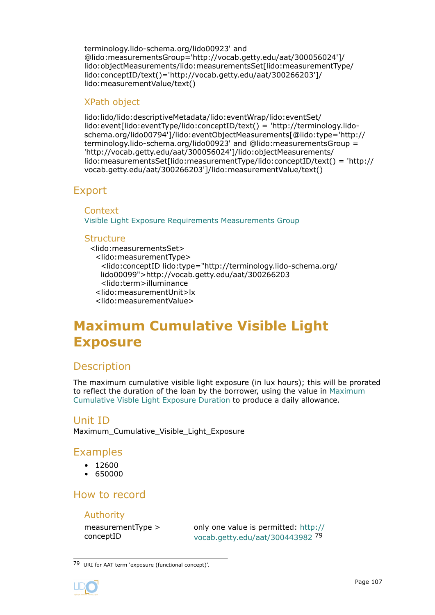<span id="page-106-0"></span>terminology.lido-schema.org/lido00923' and @lido:measurementsGroup='http://vocab.getty.edu/aat/300056024']/ lido:objectMeasurements/lido:measurementsSet[lido:measurementType/ lido:conceptID/text()='http://vocab.getty.edu/aat/300266203']/ lido:measurementValue/text()

### XPath object

lido:lido/lido:descriptiveMetadata/lido:eventWrap/lido:eventSet/ lido:event[lido:eventType/lido:conceptID/text() = 'http://terminology.lidoschema.org/lido00794']/lido:eventObjectMeasurements[@lido:type='http:// terminology.lido-schema.org/lido00923' and @lido:measurementsGroup = 'http://vocab.getty.edu/aat/300056024']/lido:objectMeasurements/ lido:measurementsSet[lido:measurementType/lido:conceptID/text() = 'http:// vocab.getty.edu/aat/300266203']/lido:measurementValue/text()

# Export

**Context** [Visible Light Exposure Requirements Measurements Group](#page-104-0)

### **Structure**

<lido:measurementsSet> <lido:measurementType> <lido:conceptID lido:type="http://terminology.lido-schema.org/ lido00099">http://vocab.getty.edu/aat/300266203 <lido:term>illuminance <lido:measurementUnit>lx <lido:measurementValue>

# **Maximum Cumulative Visible Light Exposure**

# **Description**

The maximum cumulative visible light exposure (in lux hours); this will be prorated to reflect the duration of the loan by the borrower, using the value in [Maximum](#page-108-0) [Cumulative Visble Light Exposure Duration](#page-108-0) to produce a daily allowance.

### Unit ID

Maximum Cumulative Visible Light Exposure

# Examples

- 12600
- 650000

# How to record

### Authority

measurementType > conceptID

only one value is permitted: [http://](http://vocab.getty.edu/aat/300443982) [vocab.getty.edu/aat/300443982](http://vocab.getty.edu/aat/300443982) <sup>79</sup>

<sup>79</sup> URI for AAT term 'exposure (functional concept)'.

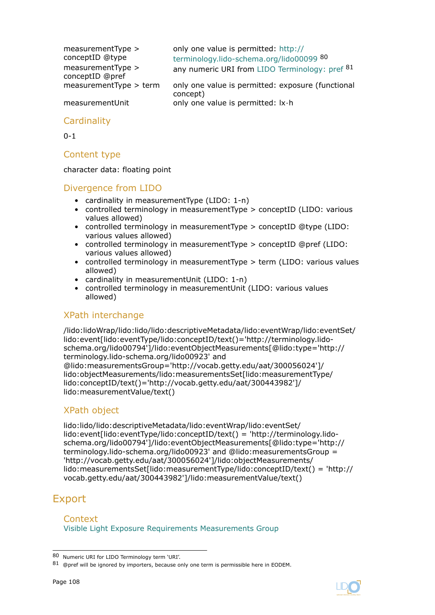| $measurementType$ ><br>conceptID @type | only one value is permitted: http://<br>terminology.lido-schema.org/lido00099 80 |
|----------------------------------------|----------------------------------------------------------------------------------|
| $measurementType$ ><br>conceptID @pref | any numeric URI from LIDO Terminology: pref 81                                   |
| measurementType > term                 | only one value is permitted: exposure (functional<br>concept)                    |
| measurementUnit                        | only one value is permitted: lx·h                                                |

### **Cardinality**

 $0 - 1$ 

### Content type

character data: floating point

### Divergence from LIDO

- cardinality in measurementType (LIDO: 1-n)
- controlled terminology in measurementType > conceptID (LIDO: various values allowed)
- controlled terminology in measurementType > conceptID @type (LIDO: various values allowed)
- controlled terminology in measurementType > conceptID @pref (LIDO: various values allowed)
- controlled terminology in measurementType > term (LIDO: various values allowed)
- cardinality in measurementUnit (LIDO: 1-n)
- controlled terminology in measurementUnit (LIDO: various values allowed)

### XPath interchange

/lido:lidoWrap/lido:lido/lido:descriptiveMetadata/lido:eventWrap/lido:eventSet/ lido:event[lido:eventType/lido:conceptID/text()='http://terminology.lidoschema.org/lido00794']/lido:eventObjectMeasurements[@lido:type='http:// terminology.lido-schema.org/lido00923' and @lido:measurementsGroup='http://vocab.getty.edu/aat/300056024']/ lido:objectMeasurements/lido:measurementsSet[lido:measurementType/ lido:conceptID/text()='http://vocab.getty.edu/aat/300443982']/ lido:measurementValue/text()

### XPath object

lido:lido/lido:descriptiveMetadata/lido:eventWrap/lido:eventSet/ lido:event[lido:eventType/lido:conceptID/text() = 'http://terminology.lidoschema.org/lido00794']/lido:eventObjectMeasurements[@lido:type='http:// terminology.lido-schema.org/lido00923' and @lido:measurementsGroup = 'http://vocab.getty.edu/aat/300056024']/lido:objectMeasurements/ lido:measurementsSet[lido:measurementType/lido:conceptID/text() = 'http:// vocab.getty.edu/aat/300443982']/lido:measurementValue/text()

# Export

Context [Visible Light Exposure Requirements Measurements Group](#page-104-0)

<sup>80</sup> Numeric URI for LIDO Terminology term 'URI'.

<sup>81 @</sup>pref will be ignored by importers, because only one term is permissible here in EODEM.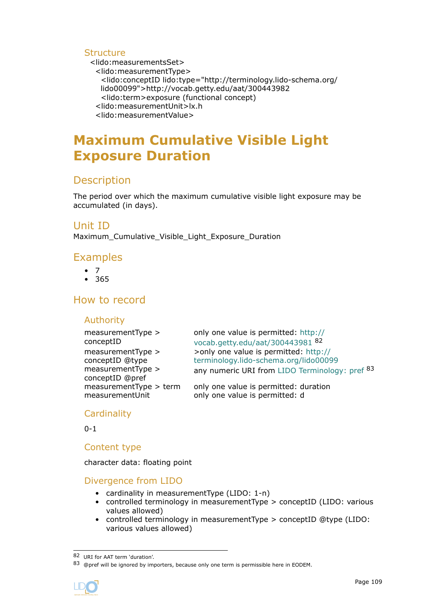## <span id="page-108-0"></span>**Structure**

<lido:measurementsSet>

<lido:measurementType>

<lido:conceptID lido:type="http://terminology.lido-schema.org/ lido00099">http://vocab.getty.edu/aat/300443982

<lido:term>exposure (functional concept)

<lido:measurementUnit>lx.h

<lido:measurementValue>

# **Maximum Cumulative Visible Light Exposure Duration**

# Description

The period over which the maximum cumulative visible light exposure may be accumulated (in days).

## Unit ID

Maximum\_Cumulative\_Visible\_Light\_Exposure\_Duration

## Examples

- 7
- 365

# How to record

## Authority

| $measurementType$ ><br>conceptID | only one value is permitted: http://<br>vocab.getty.edu/aat/300443981 82 |
|----------------------------------|--------------------------------------------------------------------------|
| measurementType >                | >only one value is permitted: http://                                    |
| conceptID @type                  | terminology.lido-schema.org/lido00099                                    |
| measurementType >                | any numeric URI from LIDO Terminology: pref 83                           |
| conceptID @pref                  |                                                                          |
| measurementType > term           | only one value is permitted: duration                                    |
| measurementUnit                  | only one value is permitted: d                                           |

## **Cardinality**

 $0 - 1$ 

## Content type

character data: floating point

## Divergence from LIDO

- cardinality in measurementType (LIDO: 1-n)
- controlled terminology in measurementType > conceptID (LIDO: various values allowed)
- controlled terminology in measurementType > conceptID @type (LIDO: various values allowed)

<sup>83 @</sup>pref will be ignored by importers, because only one term is permissible here in EODEM.



<sup>82</sup> URI for AAT term 'duration'.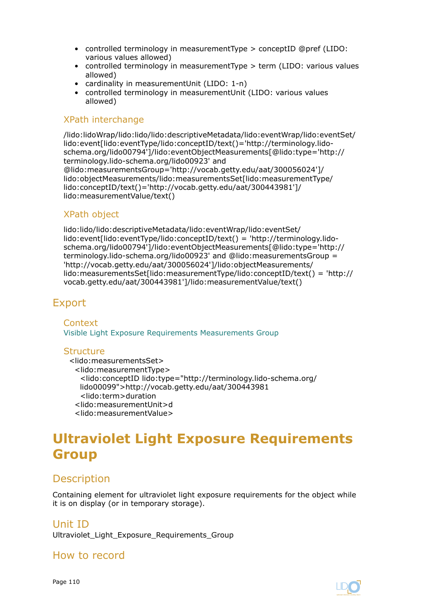- <span id="page-109-0"></span>• controlled terminology in measurementType > conceptID @pref (LIDO: various values allowed)
- controlled terminology in measurementType > term (LIDO: various values allowed)
- cardinality in measurementUnit (LIDO: 1-n)
- controlled terminology in measurementUnit (LIDO: various values allowed)

#### XPath interchange

/lido:lidoWrap/lido:lido/lido:descriptiveMetadata/lido:eventWrap/lido:eventSet/ lido:event[lido:eventType/lido:conceptID/text()='http://terminology.lidoschema.org/lido00794']/lido:eventObjectMeasurements[@lido:type='http:// terminology.lido-schema.org/lido00923' and @lido:measurementsGroup='http://vocab.getty.edu/aat/300056024']/ lido:objectMeasurements/lido:measurementsSet[lido:measurementType/ lido:conceptID/text()='http://vocab.getty.edu/aat/300443981']/ lido:measurementValue/text()

## XPath object

lido:lido/lido:descriptiveMetadata/lido:eventWrap/lido:eventSet/ lido:event[lido:eventType/lido:conceptID/text() = 'http://terminology.lidoschema.org/lido00794']/lido:eventObjectMeasurements[@lido:type='http:// terminology.lido-schema.org/lido00923' and @lido:measurementsGroup = 'http://vocab.getty.edu/aat/300056024']/lido:objectMeasurements/ lido:measurementsSet[lido:measurementType/lido:conceptID/text() = 'http:// vocab.getty.edu/aat/300443981']/lido:measurementValue/text()

# Export

**Context** [Visible Light Exposure Requirements Measurements Group](#page-104-0)

#### Structure

<lido:measurementsSet> <lido:measurementType> <lido:conceptID lido:type="http://terminology.lido-schema.org/ lido00099">http://vocab.getty.edu/aat/300443981 <lido:term>duration <lido:measurementUnit>d <lido:measurementValue>

# **Ultraviolet Light Exposure Requirements Group**

# **Description**

Containing element for ultraviolet light exposure requirements for the object while it is on display (or in temporary storage).

#### Unit ID

Ultraviolet Light Exposure Requirements Group

## How to record

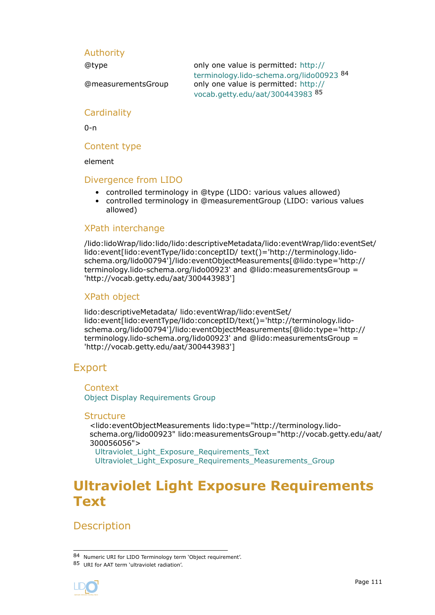## <span id="page-110-0"></span>Authority

@type only one value is permitted: http:// terminology.lido-schema.org/lido00923 <sup>84</sup> @measurementsGroup only one value is permitted: [http://](http://vocab.getty.edu/aat/300443983) [vocab.getty.edu/aat/300443983](http://vocab.getty.edu/aat/300443983) <sup>85</sup>

## **Cardinality**

0-n

## Content type

element

### Divergence from LIDO

- controlled terminology in @type (LIDO: various values allowed)
- controlled terminology in @measurementGroup (LIDO: various values allowed)

## XPath interchange

/lido:lidoWrap/lido:lido/lido:descriptiveMetadata/lido:eventWrap/lido:eventSet/ lido:event[lido:eventType/lido:conceptID/ text()='http://terminology.lidoschema.org/lido00794']/lido:eventObjectMeasurements[@lido:type='http:// terminology.lido-schema.org/lido00923' and @lido:measurementsGroup = 'http://vocab.getty.edu/aat/300443983']

## XPath object

lido:descriptiveMetadata/ lido:eventWrap/lido:eventSet/ lido:event[lido:eventType/lido:conceptID/text()='http://terminology.lidoschema.org/lido00794']/lido:eventObjectMeasurements[@lido:type='http:// terminology.lido-schema.org/lido00923' and @lido:measurementsGroup = 'http://vocab.getty.edu/aat/300443983']

# Export

**Context** [Object Display Requirements Group](#page-81-0)

#### **Structure**

<lido:eventObjectMeasurements lido:type="http://terminology.lidoschema.org/lido00923" lido:measurementsGroup="http://vocab.getty.edu/aat/ 300056056">

Ultraviolet Light Exposure Requirements Text [Ultraviolet\\_Light\\_Exposure\\_Requirements\\_Measurements\\_Group](#page-111-0)

# **Ultraviolet Light Exposure Requirements Text**

**Description** 

<sup>85</sup> URI for AAT term 'ultraviolet radiation'.



<sup>84</sup> Numeric URI for LIDO Terminology term 'Object requirement'.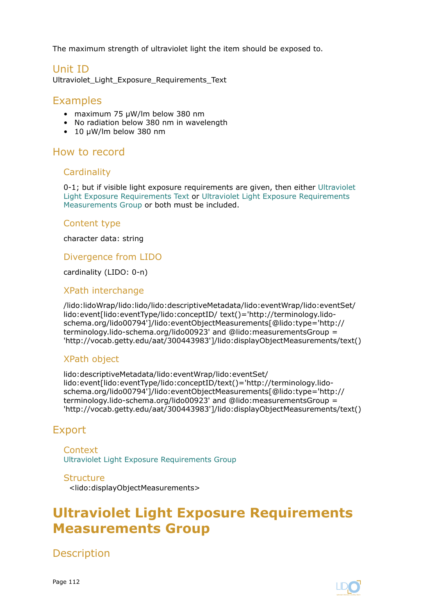<span id="page-111-0"></span>The maximum strength of ultraviolet light the item should be exposed to.

# Unit ID

Ultraviolet\_Light\_Exposure\_Requirements\_Text

## Examples

- maximum 75 μW/lm below 380 nm
- No radiation below 380 nm in wavelength
- 10 μW/lm below 380 nm

## How to record

### **Cardinality**

0-1; but if visible light exposure requirements are given, then either [Ultraviolet](#page-110-0) [Light Exposure Requirements Text](#page-110-0) or Ultraviolet Light Exposure Requirements Measurements Group or both must be included.

### Content type

character data: string

## Divergence from LIDO

cardinality (LIDO: 0-n)

## XPath interchange

/lido:lidoWrap/lido:lido/lido:descriptiveMetadata/lido:eventWrap/lido:eventSet/ lido:event[lido:eventType/lido:conceptID/ text()='http://terminology.lidoschema.org/lido00794']/lido:eventObjectMeasurements[@lido:type='http:// terminology.lido-schema.org/lido00923' and @lido:measurementsGroup = 'http://vocab.getty.edu/aat/300443983']/lido:displayObjectMeasurements/text()

## XPath object

lido:descriptiveMetadata/lido:eventWrap/lido:eventSet/ lido:event[lido:eventType/lido:conceptID/text()='http://terminology.lidoschema.org/lido00794']/lido:eventObjectMeasurements[@lido:type='http:// terminology.lido-schema.org/lido00923' and @lido:measurementsGroup = 'http://vocab.getty.edu/aat/300443983']/lido:displayObjectMeasurements/text()

# Export

**Context** [Ultraviolet Light Exposure Requirements Group](#page-109-0)

#### **Structure**

<lido:displayObjectMeasurements>

# **Ultraviolet Light Exposure Requirements Measurements Group**

**Description** 



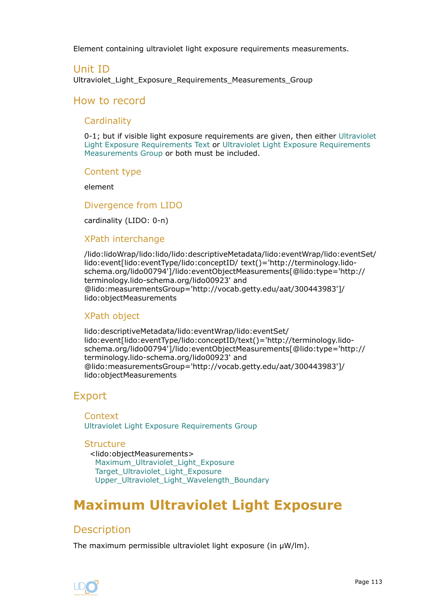<span id="page-112-0"></span>Element containing ultraviolet light exposure requirements measurements.

## Unit ID

Ultraviolet Light Exposure Requirements Measurements Group

## How to record

### **Cardinality**

0-1; but if visible light exposure requirements are given, then either [Ultraviolet](#page-110-0) [Light Exposure Requirements Text](#page-110-0) or [Ultraviolet Light Exposure Requirements](#page-111-0) [Measurements Group](#page-111-0) or both must be included.

#### Content type

element

#### Divergence from LIDO

cardinality (LIDO: 0-n)

### XPath interchange

/lido:lidoWrap/lido:lido/lido:descriptiveMetadata/lido:eventWrap/lido:eventSet/ lido:event[lido:eventType/lido:conceptID/ text()='http://terminology.lidoschema.org/lido00794']/lido:eventObjectMeasurements[@lido:type='http:// terminology.lido-schema.org/lido00923' and @lido:measurementsGroup='http://vocab.getty.edu/aat/300443983']/ lido:objectMeasurements

## XPath object

lido:descriptiveMetadata/lido:eventWrap/lido:eventSet/ lido:event[lido:eventType/lido:conceptID/text()='http://terminology.lidoschema.org/lido00794']/lido:eventObjectMeasurements[@lido:type='http:// terminology.lido-schema.org/lido00923' and @lido:measurementsGroup='http://vocab.getty.edu/aat/300443983']/ lido:objectMeasurements

# Export

Context [Ultraviolet Light Exposure Requirements Group](#page-109-0)

#### **Structure**

<lido:objectMeasurements> Maximum\_Ultraviolet\_Light\_Exposure [Target\\_Ultraviolet\\_Light\\_Exposure](#page-114-0) [Upper\\_Ultraviolet\\_Light\\_Wavelength\\_Boundary](#page-116-0)

# **Maximum Ultraviolet Light Exposure**

# **Description**

The maximum permissible ultraviolet light exposure (in μW/lm).

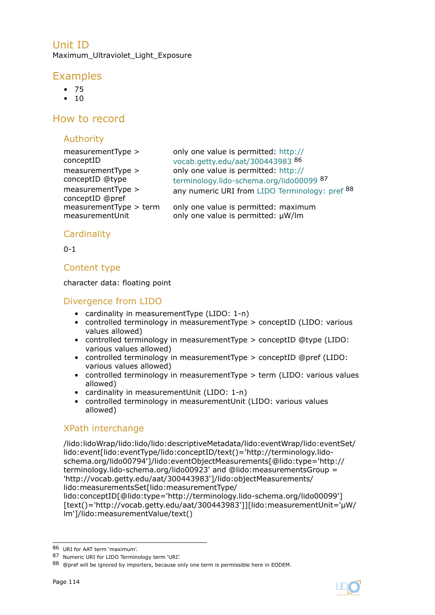Unit ID Maximum\_Ultraviolet\_Light\_Exposure

# Examples

- 75
- $10$

# How to record

# Authority

# **Cardinality**

 $0 - 1$ 

## Content type

character data: floating point

# Divergence from LIDO

- cardinality in measurementType (LIDO: 1-n)
- controlled terminology in measurementType > conceptID (LIDO: various values allowed)
- controlled terminology in measurementType > conceptID @type (LIDO: various values allowed)
- controlled terminology in measurementType > conceptID @pref (LIDO: various values allowed)
- controlled terminology in measurementType > term (LIDO: various values allowed)
- cardinality in measurementUnit (LIDO: 1-n)
- controlled terminology in measurementUnit (LIDO: various values allowed)

# XPath interchange

/lido:lidoWrap/lido:lido/lido:descriptiveMetadata/lido:eventWrap/lido:eventSet/ lido:event[lido:eventType/lido:conceptID/text()='http://terminology.lidoschema.org/lido00794']/lido:eventObjectMeasurements[@lido:type='http:// terminology.lido-schema.org/lido00923' and @lido:measurementsGroup = 'http://vocab.getty.edu/aat/300443983']/lido:objectMeasurements/ lido:measurementsSet[lido:measurementType/ lido:conceptID[@lido:type='http://terminology.lido-schema.org/lido00099'] [text()='http://vocab.getty.edu/aat/300443983']][lido:measurementUnit='μW/

lm']/lido:measurementValue/text()



<sup>86</sup> URI for AAT term 'maximum'.

<sup>87</sup> Numeric URI for LIDO Terminology term 'URI'.

<sup>88 @</sup>pref will be ignored by importers, because only one term is permissible here in EODEM.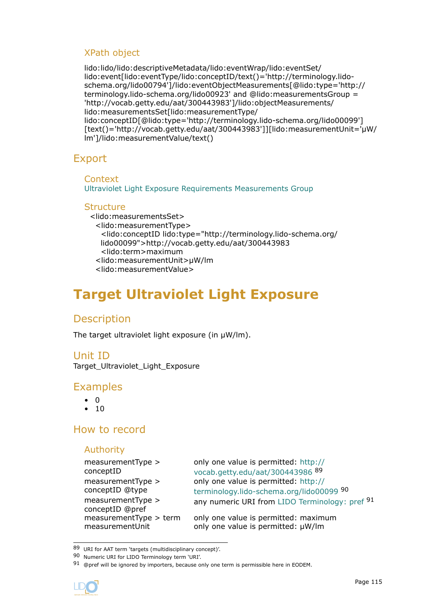## <span id="page-114-0"></span>XPath object

lido:lido/lido:descriptiveMetadata/lido:eventWrap/lido:eventSet/ lido:event[lido:eventType/lido:conceptID/text()='http://terminology.lidoschema.org/lido00794']/lido:eventObjectMeasurements[@lido:type='http:// terminology.lido-schema.org/lido00923' and @lido:measurementsGroup = 'http://vocab.getty.edu/aat/300443983']/lido:objectMeasurements/ lido:measurementsSet[lido:measurementType/ lido:conceptID[@lido:type='http://terminology.lido-schema.org/lido00099'] [text()='http://vocab.getty.edu/aat/300443983']][lido:measurementUnit='μW/ lm']/lido:measurementValue/text()

# Export

### **Context**

[Ultraviolet Light Exposure Requirements Measurements Group](#page-111-0)

## **Structure**

<lido:measurementsSet> <lido:measurementType> <lido:conceptID lido:type="http://terminology.lido-schema.org/ lido00099">http://vocab.getty.edu/aat/300443983 <lido:term>maximum <lido:measurementUnit>μW/lm <lido:measurementValue>

# **Target Ultraviolet Light Exposure**

# **Description**

The target ultraviolet light exposure (in  $\mu$ W/lm).

# Unit ID

Target\_Ultraviolet\_Light\_Exposure

## Examples

- 0
- 10

# How to record

## Authority

```
measurementType >
conceptID
measurementType >
conceptID @type
measurementType >
conceptID @pref
```
only one value is permitted: [http://](http://vocab.getty.edu/aat/300443986) [vocab.getty.edu/aat/300443986](http://vocab.getty.edu/aat/300443986) <sup>89</sup> only one value is permitted: [http://](http://terminology.lido-schema.org/lido00099) [terminology.lido-schema.org/lido00099](http://terminology.lido-schema.org/lido00099) <sup>90</sup> any numeric URI from LIDO Terminology: pref 91

 $measurementType > term$  only one value is permitted: maximum measurementUnit only one value is permitted: μW/lm

<sup>91 @</sup>pref will be ignored by importers, because only one term is permissible here in EODEM.



<sup>89</sup> URI for AAT term 'targets (multidisciplinary concept)'.

<sup>90</sup> Numeric URI for LIDO Terminology term 'URI'.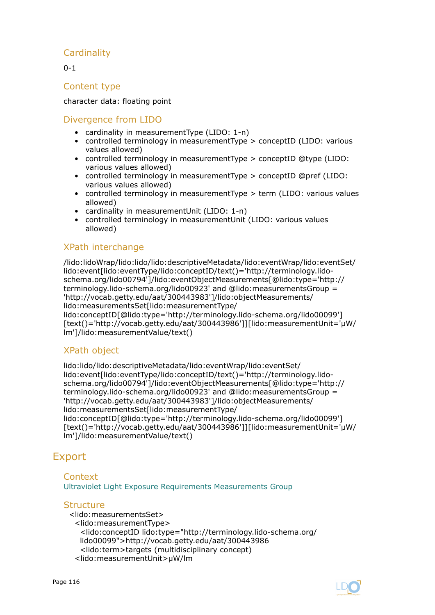## **Cardinality**

 $0 - 1$ 

### Content type

character data: floating point

## Divergence from LIDO

- cardinality in measurementType (LIDO: 1-n)
- controlled terminology in measurementType > conceptID (LIDO: various values allowed)
- controlled terminology in measurementType > conceptID @type (LIDO: various values allowed)
- controlled terminology in measurementType > conceptID @pref (LIDO: various values allowed)
- controlled terminology in measurementType > term (LIDO: various values allowed)
- cardinality in measurementUnit (LIDO: 1-n)
- controlled terminology in measurementUnit (LIDO: various values allowed)

## XPath interchange

/lido:lidoWrap/lido:lido/lido:descriptiveMetadata/lido:eventWrap/lido:eventSet/ lido:event[lido:eventType/lido:conceptID/text()='http://terminology.lidoschema.org/lido00794']/lido:eventObjectMeasurements[@lido:type='http:// terminology.lido-schema.org/lido00923' and @lido:measurementsGroup = 'http://vocab.getty.edu/aat/300443983']/lido:objectMeasurements/ lido:measurementsSet[lido:measurementType/ lido:conceptID[@lido:type='http://terminology.lido-schema.org/lido00099'] [text()='http://vocab.getty.edu/aat/300443986']][lido:measurementUnit='μW/

# lm']/lido:measurementValue/text()

## XPath object

lido:lido/lido:descriptiveMetadata/lido:eventWrap/lido:eventSet/ lido:event[lido:eventType/lido:conceptID/text()='http://terminology.lidoschema.org/lido00794']/lido:eventObjectMeasurements[@lido:type='http:// terminology.lido-schema.org/lido00923' and @lido:measurementsGroup = 'http://vocab.getty.edu/aat/300443983']/lido:objectMeasurements/ lido:measurementsSet[lido:measurementType/ lido:conceptID[@lido:type='http://terminology.lido-schema.org/lido00099'] [text()='http://vocab.getty.edu/aat/300443986']][lido:measurementUnit='μW/ lm']/lido:measurementValue/text()

# Export

## Context

[Ultraviolet Light Exposure Requirements Measurements Group](#page-111-0)

#### **Structure**

<lido:measurementsSet> <lido:measurementType> <lido:conceptID lido:type="http://terminology.lido-schema.org/ lido00099">http://vocab.getty.edu/aat/300443986 <lido:term>targets (multidisciplinary concept) <lido:measurementUnit>μW/lm



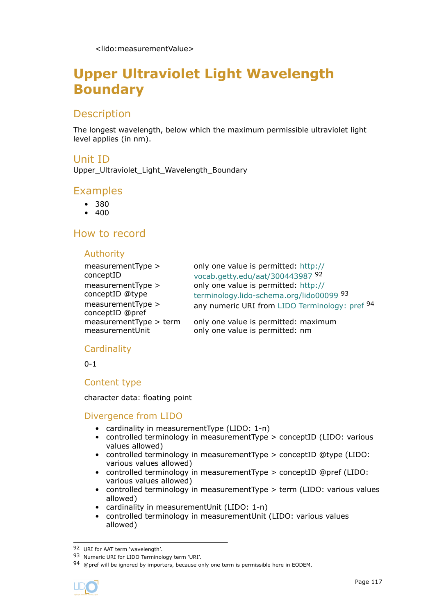# <span id="page-116-0"></span>**Upper Ultraviolet Light Wavelength Boundary**

# Description

The longest wavelength, below which the maximum permissible ultraviolet light level applies (in nm).

## Unit ID

Upper\_Ultraviolet\_Light\_Wavelength\_Boundary

## Examples

- 380
- $400$

## How to record

### Authority

| $measurementType$ ><br>conceptID       | only one value is permitted: http://<br>vocab.getty.edu/aat/300443987 92 |
|----------------------------------------|--------------------------------------------------------------------------|
| $measurementType$ >                    | only one value is permitted: http://                                     |
| conceptID @type                        | terminology.lido-schema.org/lido00099 93                                 |
| $measurementType$ ><br>conceptID @pref | any numeric URI from LIDO Terminology: pref 94                           |
| measurementType > term                 | only one value is permitted: maximum                                     |
| measurementUnit                        | only one value is permitted: nm                                          |

## **Cardinality**

0-1

## Content type

character data: floating point

## Divergence from LIDO

- cardinality in measurementType (LIDO: 1-n)
- controlled terminology in measurementType > conceptID (LIDO: various values allowed)
- controlled terminology in measurementType > conceptID @type (LIDO: various values allowed)
- controlled terminology in measurementType > conceptID @pref (LIDO: various values allowed)
- controlled terminology in measurementType > term (LIDO: various values allowed)
- cardinality in measurementUnit (LIDO: 1-n)
- controlled terminology in measurementUnit (LIDO: various values allowed)

<sup>94 @</sup>pref will be ignored by importers, because only one term is permissible here in EODEM.



<sup>92</sup> URI for AAT term 'wavelength'.

<sup>93</sup> Numeric URI for LIDO Terminology term 'URI'.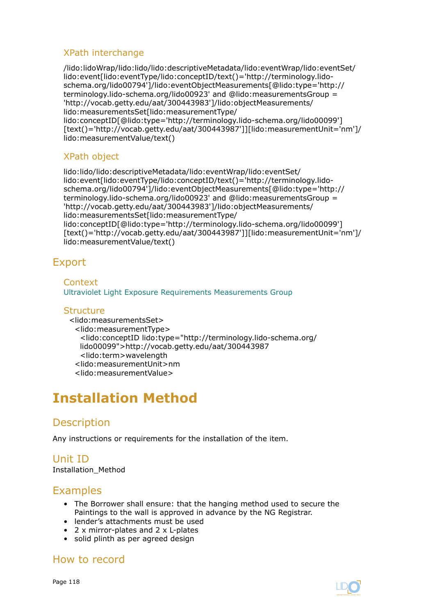## <span id="page-117-0"></span>XPath interchange

/lido:lidoWrap/lido:lido/lido:descriptiveMetadata/lido:eventWrap/lido:eventSet/ lido:event[lido:eventType/lido:conceptID/text()='http://terminology.lidoschema.org/lido00794']/lido:eventObjectMeasurements[@lido:type='http:// terminology.lido-schema.org/lido00923' and @lido:measurementsGroup = 'http://vocab.getty.edu/aat/300443983']/lido:objectMeasurements/ lido:measurementsSet[lido:measurementType/ lido:conceptID[@lido:type='http://terminology.lido-schema.org/lido00099'] [text()='http://vocab.getty.edu/aat/300443987']][lido:measurementUnit='nm']/ lido:measurementValue/text()

## XPath object

lido:lido/lido:descriptiveMetadata/lido:eventWrap/lido:eventSet/ lido:event[lido:eventType/lido:conceptID/text()='http://terminology.lidoschema.org/lido00794']/lido:eventObjectMeasurements[@lido:type='http:// terminology.lido-schema.org/lido00923' and @lido:measurementsGroup = 'http://vocab.getty.edu/aat/300443983']/lido:objectMeasurements/ lido:measurementsSet[lido:measurementType/ lido:conceptID[@lido:type='http://terminology.lido-schema.org/lido00099'] [text()='http://vocab.getty.edu/aat/300443987']][lido:measurementUnit='nm']/ lido:measurementValue/text()

# Export

**Context** [Ultraviolet Light Exposure Requirements Measurements Group](#page-111-0)

## **Structure**

<lido:measurementsSet> <lido:measurementType> <lido:conceptID lido:type="http://terminology.lido-schema.org/ lido00099">http://vocab.getty.edu/aat/300443987 <lido:term>wavelength <lido:measurementUnit>nm <lido:measurementValue>

# **Installation Method**

# **Description**

Any instructions or requirements for the installation of the item.

#### Unit ID Installation\_Method

# Examples

- The Borrower shall ensure: that the hanging method used to secure the Paintings to the wall is approved in advance by the NG Registrar.
- lender's attachments must be used
- 2 x mirror-plates and 2 x L-plates
- solid plinth as per agreed design

# How to record

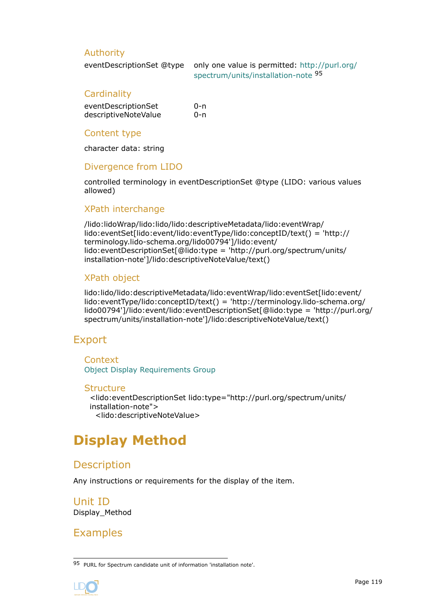### <span id="page-118-0"></span>Authority

eventDescriptionSet @type only one value is permitted: [http://purl.org/](http://purl.org/spectrum/units/installation-note) [spectrum/units/installation-note](http://purl.org/spectrum/units/installation-note) <sup>95</sup>

#### **Cardinality**

| eventDescriptionSet  | 0-n |
|----------------------|-----|
| descriptiveNoteValue | 0-n |

#### Content type

character data: string

### Divergence from LIDO

controlled terminology in eventDescriptionSet @type (LIDO: various values allowed)

### XPath interchange

/lido:lidoWrap/lido:lido/lido:descriptiveMetadata/lido:eventWrap/ lido:eventSet[lido:event/lido:eventType/lido:conceptID/text() = 'http:// terminology.lido-schema.org/lido00794']/lido:event/ lido:eventDescriptionSet[@lido:type = 'http://purl.org/spectrum/units/ installation-note']/lido:descriptiveNoteValue/text()

## XPath object

lido:lido/lido:descriptiveMetadata/lido:eventWrap/lido:eventSet[lido:event/ lido:eventType/lido:conceptID/text() = 'http://terminology.lido-schema.org/ lido00794']/lido:event/lido:eventDescriptionSet[@lido:type = 'http://purl.org/ spectrum/units/installation-note']/lido:descriptiveNoteValue/text()

# Export

**Context** [Object Display Requirements Group](#page-81-0)

#### **Structure**

<lido:eventDescriptionSet lido:type="http://purl.org/spectrum/units/ installation-note"> <lido:descriptiveNoteValue>

# **Display Method**

# **Description**

Any instructions or requirements for the display of the item.

Unit ID Display\_Method

# Examples

<sup>95</sup> PURL for Spectrum candidate unit of information 'installation note'.

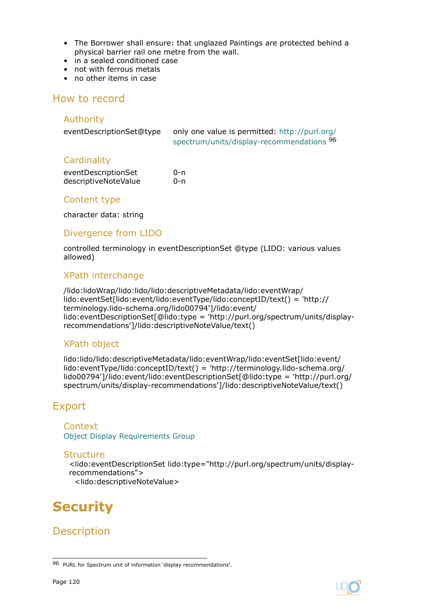- <span id="page-119-0"></span>• The Borrower shall ensure: that unglazed Paintings are protected behind a physical barrier rail one metre from the wall.
- in a sealed conditioned case
- not with ferrous metals
- no other items in case

## How to record

### Authority

| eventDescriptionSet@type | only one value is permitted: http://purl.org/ |
|--------------------------|-----------------------------------------------|
|                          | spectrum/units/display-recommendations 96     |

## **Cardinality**

| eventDescriptionSet  | 0-n |
|----------------------|-----|
| descriptiveNoteValue | 0-n |

### Content type

character data: string

## Divergence from LIDO

controlled terminology in eventDescriptionSet @type (LIDO: various values allowed)

## XPath interchange

/lido:lidoWrap/lido:lido/lido:descriptiveMetadata/lido:eventWrap/ lido:eventSet[lido:event/lido:eventType/lido:conceptID/text() = 'http:// terminology.lido-schema.org/lido00794']/lido:event/ lido:eventDescriptionSet[@lido:type = 'http://purl.org/spectrum/units/displayrecommendations']/lido:descriptiveNoteValue/text()

## XPath object

lido:lido/lido:descriptiveMetadata/lido:eventWrap/lido:eventSet[lido:event/ lido:eventType/lido:conceptID/text() = 'http://terminology.lido-schema.org/ lido00794']/lido:event/lido:eventDescriptionSet[@lido:type = 'http://purl.org/ spectrum/units/display-recommendations']/lido:descriptiveNoteValue/text()

# Export

**Context** [Object Display Requirements Group](#page-81-0)

#### **Structure**

<lido:eventDescriptionSet lido:type="http://purl.org/spectrum/units/displayrecommendations"> <lido:descriptiveNoteValue>

# **Security**

**Description** 

<sup>96</sup> PURL for Spectrum unit of information 'display recommendations'.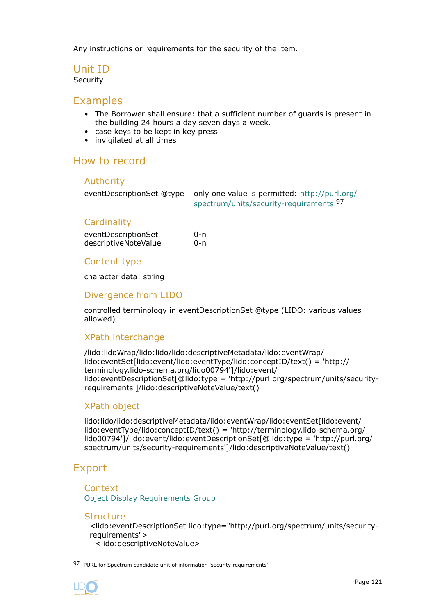Any instructions or requirements for the security of the item.

## Unit ID

Security

## Examples

- The Borrower shall ensure: that a sufficient number of guards is present in the building 24 hours a day seven days a week.
- case keys to be kept in key press
- invigilated at all times

# How to record

#### Authority

| eventDescriptionSet @type only one value is permitted: http://purl.org/ |
|-------------------------------------------------------------------------|
| spectrum/units/security-requirements 97                                 |

## **Cardinality**

| eventDescriptionSet  | 0-n |
|----------------------|-----|
| descriptiveNoteValue | 0-n |

### Content type

character data: string

## Divergence from LIDO

controlled terminology in eventDescriptionSet @type (LIDO: various values allowed)

## XPath interchange

/lido:lidoWrap/lido:lido/lido:descriptiveMetadata/lido:eventWrap/ lido:eventSet[lido:event/lido:eventType/lido:conceptID/text() = 'http:// terminology.lido-schema.org/lido00794']/lido:event/ lido:eventDescriptionSet[@lido:type = 'http://purl.org/spectrum/units/securityrequirements']/lido:descriptiveNoteValue/text()

## XPath object

lido:lido/lido:descriptiveMetadata/lido:eventWrap/lido:eventSet[lido:event/ lido:eventType/lido:conceptID/text() = 'http://terminology.lido-schema.org/ lido00794']/lido:event/lido:eventDescriptionSet[@lido:type = 'http://purl.org/ spectrum/units/security-requirements']/lido:descriptiveNoteValue/text()

# Export

**Context** [Object Display Requirements Group](#page-81-0)

#### **Structure**

<lido:eventDescriptionSet lido:type="http://purl.org/spectrum/units/securityrequirements"> <lido:descriptiveNoteValue>

<sup>97</sup> PURL for Spectrum candidate unit of information 'security requirements'.

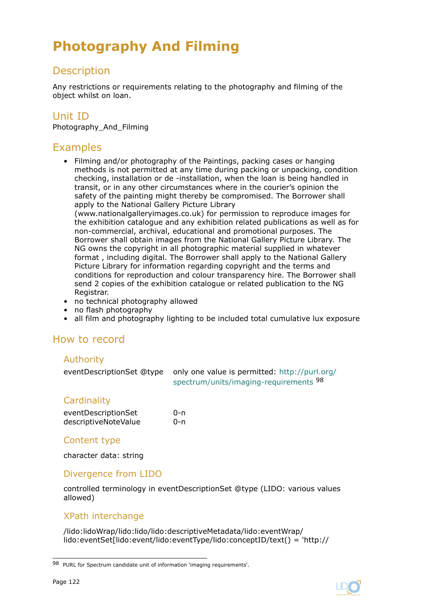# <span id="page-121-0"></span>**Photography And Filming**

# **Description**

Any restrictions or requirements relating to the photography and filming of the object whilst on loan.

# Unit ID

Photography\_And\_Filming

# Examples

- Filming and/or photography of the Paintings, packing cases or hanging methods is not permitted at any time during packing or unpacking, condition checking, installation or de -installation, when the loan is being handled in transit, or in any other circumstances where in the courier's opinion the safety of the painting might thereby be compromised. The Borrower shall apply to the National Gallery Picture Library (www.nationalgalleryimages.co.uk) for permission to reproduce images for the exhibition catalogue and any exhibition related publications as well as for non-commercial, archival, educational and promotional purposes. The Borrower shall obtain images from the National Gallery Picture Library. The NG owns the copyright in all photographic material supplied in whatever format , including digital. The Borrower shall apply to the National Gallery Picture Library for information regarding copyright and the terms and conditions for reproduction and colour transparency hire. The Borrower shall send 2 copies of the exhibition catalogue or related publication to the NG Registrar.
- no technical photography allowed
- no flash photography
- all film and photography lighting to be included total cumulative lux exposure

# How to record

## Authority

eventDescriptionSet @type only one value is permitted: [http://purl.org/](http://purl.org/spectrum/units/imaging-requirements) [spectrum/units/imaging-requirements](http://purl.org/spectrum/units/imaging-requirements) <sup>98</sup>

## **Cardinality**

| eventDescriptionSet  | $0 - n$ |
|----------------------|---------|
| descriptiveNoteValue | $0 - n$ |

## Content type

character data: string

## Divergence from LIDO

controlled terminology in eventDescriptionSet @type (LIDO: various values allowed)

## XPath interchange

/lido:lidoWrap/lido:lido/lido:descriptiveMetadata/lido:eventWrap/ lido:eventSet[lido:event/lido:eventType/lido:conceptID/text() = 'http://



<sup>98</sup> PURL for Spectrum candidate unit of information 'imaging requirements'.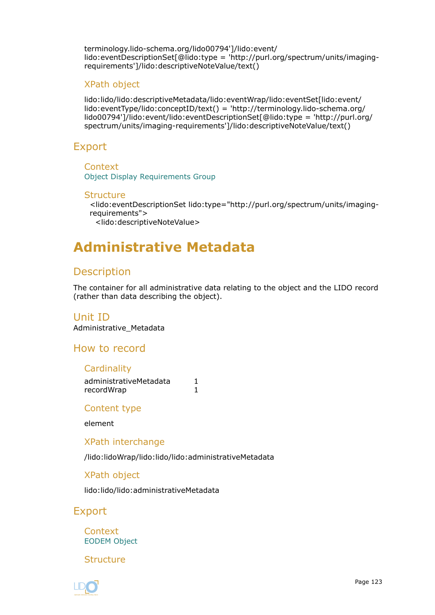<span id="page-122-0"></span>terminology.lido-schema.org/lido00794']/lido:event/ lido:eventDescriptionSet[@lido:type = 'http://purl.org/spectrum/units/imagingrequirements']/lido:descriptiveNoteValue/text()

### XPath object

lido:lido/lido:descriptiveMetadata/lido:eventWrap/lido:eventSet[lido:event/ lido:eventType/lido:conceptID/text() = 'http://terminology.lido-schema.org/ lido00794']/lido:event/lido:eventDescriptionSet[@lido:type = 'http://purl.org/ spectrum/units/imaging-requirements']/lido:descriptiveNoteValue/text()

## Export

**Context** [Object Display Requirements Group](#page-81-0)

#### **Structure**

<lido:eventDescriptionSet lido:type="http://purl.org/spectrum/units/imagingrequirements">

<lido:descriptiveNoteValue>

# **Administrative Metadata**

# **Description**

The container for all administrative data relating to the object and the LIDO record (rather than data describing the object).

## Unit ID

Administrative\_Metadata

How to record

#### **Cardinality**

| administrativeMetadata |  |
|------------------------|--|
| recordWrap             |  |

Content type

element

XPath interchange

/lido:lidoWrap/lido:lido/lido:administrativeMetadata

XPath object

lido:lido/lido:administrativeMetadata

Export

**Context** [EODEM Object](#page-23-0)

**Structure** 

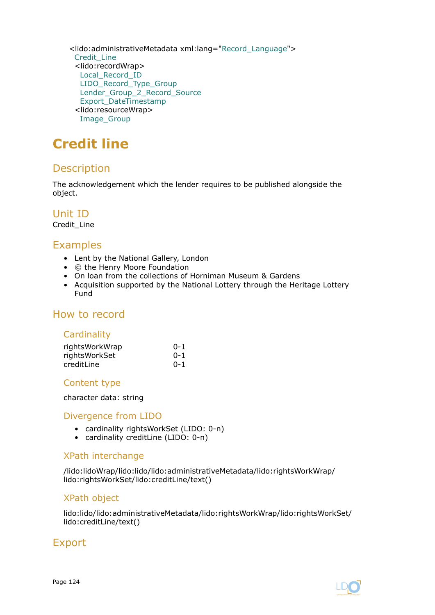<span id="page-123-0"></span><lido:administrativeMetadata xml:lang="[Record\\_Language](#page-136-0)"> Credit\_Line <lido:recordWrap> [Local\\_Record\\_ID](#page-124-0) [LIDO\\_Record\\_Type\\_Group](#page-125-0) [Lender\\_Group\\_2\\_Record\\_Source](#page-127-0) [Export\\_DateTimestamp](#page-130-0) <lido:resourceWrap> [Image\\_Group](#page-131-0)

# **Credit line**

# **Description**

The acknowledgement which the lender requires to be published alongside the object.

Unit ID

Credit\_Line

# Examples

- Lent by the National Gallery, London
- © the Henry Moore Foundation
- On loan from the collections of Horniman Museum & Gardens
- Acquisition supported by the National Lottery through the Heritage Lottery Fund

# How to record

## **Cardinality**

| rightsWorkWrap | $0 - 1$ |
|----------------|---------|
| rightsWorkSet  | $0 - 1$ |
| creditLine     | $0 - 1$ |

## Content type

character data: string

## Divergence from LIDO

- cardinality rightsWorkSet (LIDO: 0-n)
- cardinality creditLine (LIDO: 0-n)

## XPath interchange

/lido:lidoWrap/lido:lido/lido:administrativeMetadata/lido:rightsWorkWrap/ lido:rightsWorkSet/lido:creditLine/text()

## XPath object

lido:lido/lido:administrativeMetadata/lido:rightsWorkWrap/lido:rightsWorkSet/ lido:creditLine/text()

# Export

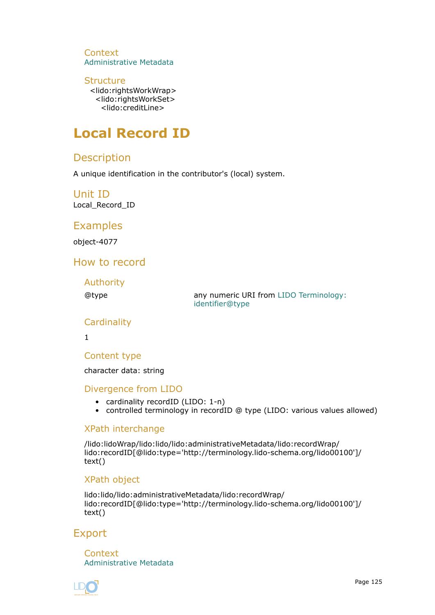<span id="page-124-0"></span>**Context** [Administrative Metadata](#page-122-0)

### **Structure**

<lido:rightsWorkWrap> <lido:rightsWorkSet> <lido:creditLine>

# **Local Record ID**

# **Description**

A unique identification in the contributor's (local) system.

Unit ID Local\_Record\_ID

# Examples

object-4077

# How to record

Authority

@type any numeric URI from [LIDO Terminology:](http://terminology.lido-schema.org/lido00098) [identifier@type](http://terminology.lido-schema.org/lido00098)

## **Cardinality**

1

Content type

character data: string

## Divergence from LIDO

- cardinality recordID (LIDO: 1-n)
- controlled terminology in recordID @ type (LIDO: various values allowed)

## XPath interchange

/lido:lidoWrap/lido:lido/lido:administrativeMetadata/lido:recordWrap/ lido:recordID[@lido:type='http://terminology.lido-schema.org/lido00100']/ text()

## XPath object

lido:lido/lido:administrativeMetadata/lido:recordWrap/ lido:recordID[@lido:type='http://terminology.lido-schema.org/lido00100']/ text()

# Export

**Context** [Administrative Metadata](#page-122-0)

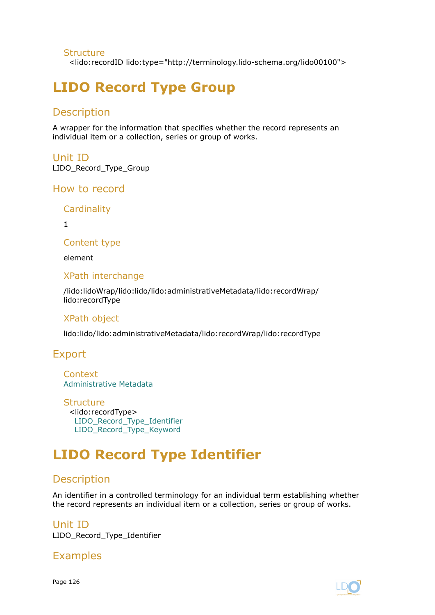### <span id="page-125-0"></span>**Structure**

<lido:recordID lido:type="http://terminology.lido-schema.org/lido00100">

# **LIDO Record Type Group**

# **Description**

A wrapper for the information that specifies whether the record represents an individual item or a collection, series or group of works.

# Unit ID

LIDO\_Record\_Type\_Group

## How to record

**Cardinality** 

1

Content type

element

## XPath interchange

/lido:lidoWrap/lido:lido/lido:administrativeMetadata/lido:recordWrap/ lido:recordType

## XPath object

lido:lido/lido:administrativeMetadata/lido:recordWrap/lido:recordType

# Export

Context [Administrative Metadata](#page-122-0)

**Structure** <lido:recordType> LIDO Record Type Identifier [LIDO\\_Record\\_Type\\_Keyword](#page-126-0)

# **LIDO Record Type Identifier**

# Description

An identifier in a controlled terminology for an individual term establishing whether the record represents an individual item or a collection, series or group of works.

#### Unit ID LIDO\_Record\_Type\_Identifier

Examples

Page 126

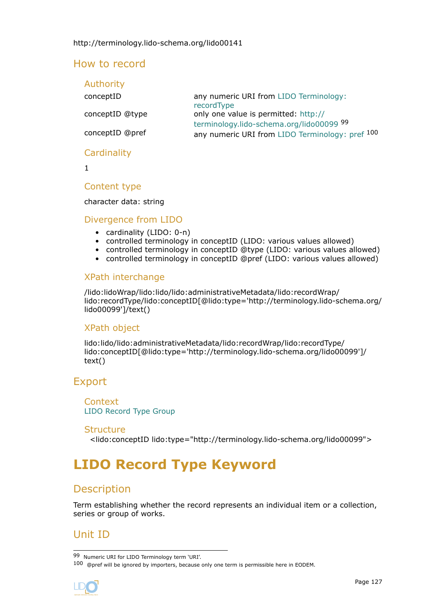## <span id="page-126-0"></span>How to record

| Authority       |                                                                                  |
|-----------------|----------------------------------------------------------------------------------|
| conceptID       | any numeric URI from LIDO Terminology:<br>recordType                             |
| conceptID @type | only one value is permitted: http://<br>terminology.lido-schema.org/lido00099 99 |
| conceptID @pref | any numeric URI from LIDO Terminology: pref 100                                  |
| Cardinality     |                                                                                  |

1

### Content type

character data: string

### Divergence from LIDO

- cardinality (LIDO: 0-n)
- controlled terminology in conceptID (LIDO: various values allowed)
- controlled terminology in conceptID @type (LIDO: various values allowed)
- controlled terminology in conceptID @pref (LIDO: various values allowed)

## XPath interchange

/lido:lidoWrap/lido:lido/lido:administrativeMetadata/lido:recordWrap/ lido:recordType/lido:conceptID[@lido:type='http://terminology.lido-schema.org/ lido00099']/text()

## XPath object

lido:lido/lido:administrativeMetadata/lido:recordWrap/lido:recordType/ lido:conceptID[@lido:type='http://terminology.lido-schema.org/lido00099']/ text()

## Export

**Context** [LIDO Record Type Group](#page-125-0)

#### Structure

<lido:conceptID lido:type="http://terminology.lido-schema.org/lido00099">

# **LIDO Record Type Keyword**

## **Description**

Term establishing whether the record represents an individual item or a collection, series or group of works.

# Unit ID

<sup>100 @</sup>pref will be ignored by importers, because only one term is permissible here in EODEM.



<sup>99</sup> Numeric URI for LIDO Terminology term 'URI'.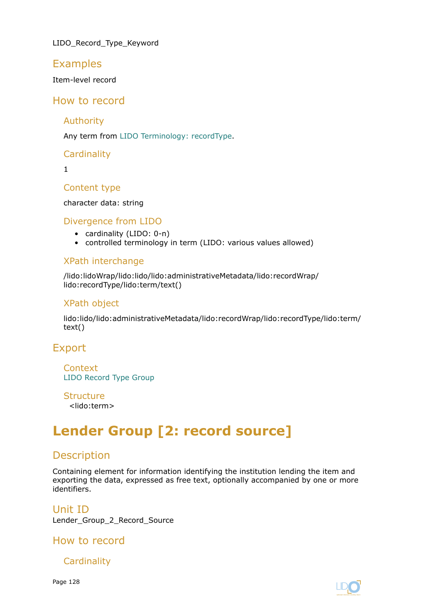<span id="page-127-0"></span>LIDO\_Record\_Type\_Keyword

## Examples

Item-level record

# How to record

Authority

Any term from [LIDO Terminology: recordType](http://terminology.lido-schema.org/lido00140).

**Cardinality** 

1

Content type

character data: string

## Divergence from LIDO

- cardinality (LIDO: 0-n)
- controlled terminology in term (LIDO: various values allowed)

## XPath interchange

/lido:lidoWrap/lido:lido/lido:administrativeMetadata/lido:recordWrap/ lido:recordType/lido:term/text()

## XPath object

lido:lido/lido:administrativeMetadata/lido:recordWrap/lido:recordType/lido:term/ text()

# Export

**Context** [LIDO Record Type Group](#page-125-0)

**Structure** 

<lido:term>

# **Lender Group [2: record source]**

# **Description**

Containing element for information identifying the institution lending the item and exporting the data, expressed as free text, optionally accompanied by one or more identifiers.

Unit ID Lender\_Group\_2\_Record\_Source

How to record

**Cardinality** 

Page 128

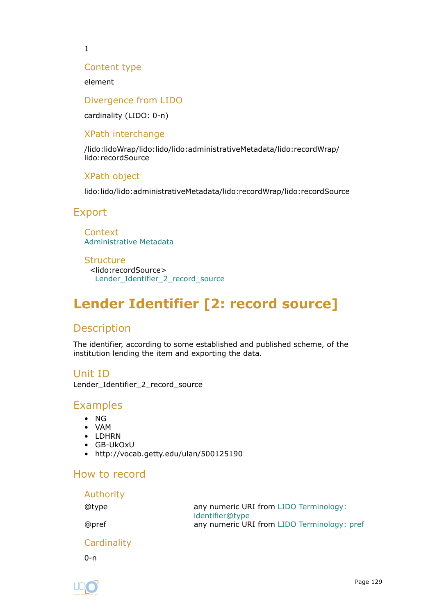<span id="page-128-0"></span>1

### Content type

element

#### Divergence from LIDO

cardinality (LIDO: 0-n)

## XPath interchange

/lido:lidoWrap/lido:lido/lido:administrativeMetadata/lido:recordWrap/ lido:recordSource

## XPath object

lido:lido/lido:administrativeMetadata/lido:recordWrap/lido:recordSource

## Export

**Context** [Administrative Metadata](#page-122-0)

#### **Structure**

<lido:recordSource> Lender\_Identifier\_2\_record\_source

# **Lender Identifier [2: record source]**

# Description

The identifier, according to some established and published scheme, of the institution lending the item and exporting the data.

Unit ID Lender\_Identifier\_2\_record\_source

# Examples

- NG
- VAM
- LDHRN
- GB-UkOxU
- http://vocab.getty.edu/ulan/500125190

## How to record

| Authority |                                                           |
|-----------|-----------------------------------------------------------|
| @type     | any numeric URI from LIDO Terminology:<br>identifier@type |
| @pref     | any numeric URI from LIDO Terminology: pref               |

# **Cardinality**

 $0 - n$ 

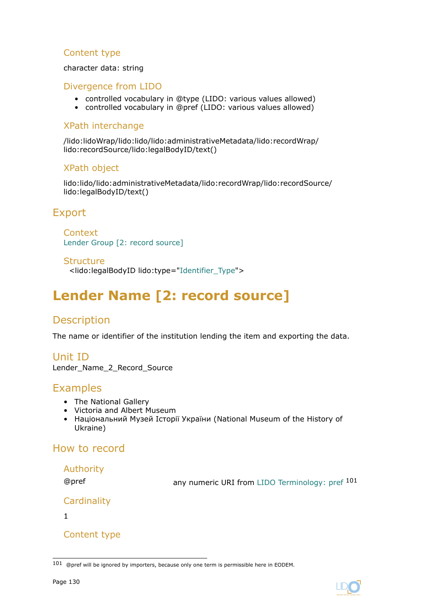## <span id="page-129-0"></span>Content type

character data: string

## Divergence from LIDO

- controlled vocabulary in @type (LIDO: various values allowed)
- controlled vocabulary in @pref (LIDO: various values allowed)

### XPath interchange

/lido:lidoWrap/lido:lido/lido:administrativeMetadata/lido:recordWrap/ lido:recordSource/lido:legalBodyID/text()

## XPath object

lido:lido/lido:administrativeMetadata/lido:recordWrap/lido:recordSource/ lido:legalBodyID/text()

# Export

**Context** [Lender Group \[2: record source\]](#page-127-0)

Structure

<lido:legalBodyID lido:type=["Identifier\\_Type"](#page-134-0)>

# **Lender Name [2: record source]**

# **Description**

The name or identifier of the institution lending the item and exporting the data.

Unit ID Lender\_Name\_2\_Record\_Source

# Examples

- The National Gallery
- Victoria and Albert Museum
- Національний Музей Історії України (National Museum of the History of Ukraine)

# How to record

## Authority

@pref any numeric URI from [LIDO Terminology: pref](http://terminology.lido-schema.org/lido00168) <sup>101</sup>

```
Cardinality
```
1

## Content type



<sup>101 @</sup>pref will be ignored by importers, because only one term is permissible here in EODEM.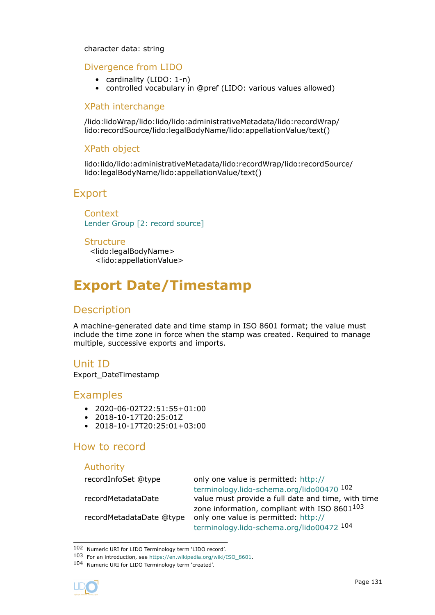#### <span id="page-130-0"></span>character data: string

### Divergence from LIDO

- cardinality (LIDO: 1-n)
- controlled vocabulary in @pref (LIDO: various values allowed)

### XPath interchange

/lido:lidoWrap/lido:lido/lido:administrativeMetadata/lido:recordWrap/ lido:recordSource/lido:legalBodyName/lido:appellationValue/text()

### XPath object

lido:lido/lido:administrativeMetadata/lido:recordWrap/lido:recordSource/ lido:legalBodyName/lido:appellationValue/text()

## Export

**Context** [Lender Group \[2: record source\]](#page-127-0)

#### **Structure**

<lido:legalBodyName> <lido:appellationValue>

# **Export Date/Timestamp**

## Description

A machine-generated date and time stamp in ISO 8601 format; the value must include the time zone in force when the stamp was created. Required to manage multiple, successive exports and imports.

## Unit ID

Export\_DateTimestamp

## Examples

- 2020-06-02T22:51:55+01:00
- 2018-10-17T20:25:01Z
- 2018-10-17T20:25:01+03:00

## How to record

# Authority

recordInfoSet @type only one value is permitted: [http://](http://terminology.lido-schema.org/lido00470) [terminology.lido-schema.org/lido00470](http://terminology.lido-schema.org/lido00470) <sup>102</sup> recordMetadataDate value must provide a full date and time, with time zone information, compliant with ISO 8601103 recordMetadataDate @type only one value is permitted: [http://](http://terminology.lido-schema.org/lido00472) [terminology.lido-schema.org/lido00472](http://terminology.lido-schema.org/lido00472) <sup>104</sup>

<sup>104</sup> Numeric URI for LIDO Terminology term 'created'.



<sup>102</sup> Numeric URI for LIDO Terminology term 'LIDO record'.

<sup>103</sup> For an introduction, see [https://en.wikipedia.org/wiki/ISO\\_8601](https://en.wikipedia.org/wiki/ISO_8601).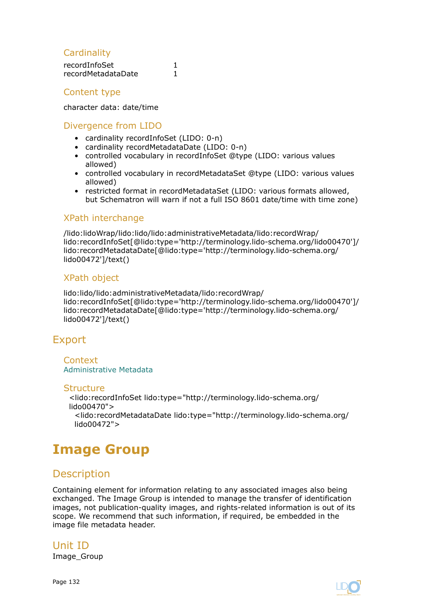## <span id="page-131-0"></span>**Cardinality**

| recordInfoSet      |  |
|--------------------|--|
| recordMetadataDate |  |

## Content type

character data: date/time

### Divergence from LIDO

- cardinality recordInfoSet (LIDO: 0-n)
- cardinality recordMetadataDate (LIDO: 0-n)
- controlled vocabulary in recordInfoSet @type (LIDO: various values allowed)
- controlled vocabulary in recordMetadataSet @type (LIDO: various values allowed)
- restricted format in recordMetadataSet (LIDO: various formats allowed, but Schematron will warn if not a full ISO 8601 date/time with time zone)

### XPath interchange

/lido:lidoWrap/lido:lido/lido:administrativeMetadata/lido:recordWrap/ lido:recordInfoSet[@lido:type='http://terminology.lido-schema.org/lido00470']/ lido:recordMetadataDate[@lido:type='http://terminology.lido-schema.org/ lido00472']/text()

### XPath object

lido:lido/lido:administrativeMetadata/lido:recordWrap/ lido:recordInfoSet[@lido:type='http://terminology.lido-schema.org/lido00470']/ lido:recordMetadataDate[@lido:type='http://terminology.lido-schema.org/ lido00472']/text()

# Export

**Context** [Administrative Metadata](#page-122-0)

#### **Structure**

<lido:recordInfoSet lido:type="http://terminology.lido-schema.org/ lido00470"> <lido:recordMetadataDate lido:type="http://terminology.lido-schema.org/ lido00472">

# **Image Group**

# **Description**

Containing element for information relating to any associated images also being exchanged. The Image Group is intended to manage the transfer of identification images, not publication-quality images, and rights-related information is out of its scope. We recommend that such information, if required, be embedded in the image file metadata header.

Unit ID Image Group

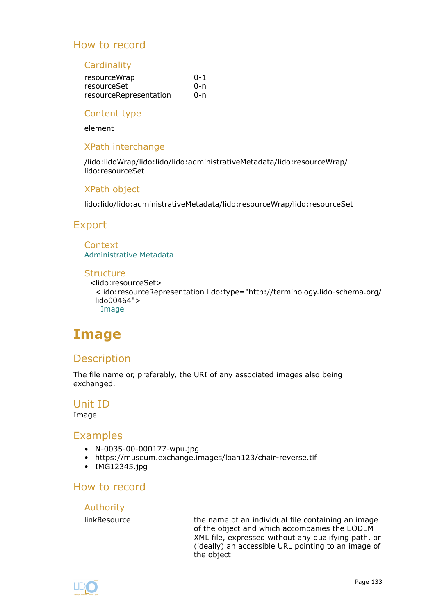# <span id="page-132-0"></span>How to record

#### **Cardinality**

| resourceWrap           | $0 - 1$ |
|------------------------|---------|
| resourceSet            | 0-n     |
| resourceRepresentation | 0-n     |

#### Content type

element

### XPath interchange

/lido:lidoWrap/lido:lido/lido:administrativeMetadata/lido:resourceWrap/ lido:resourceSet

### XPath object

lido:lido/lido:administrativeMetadata/lido:resourceWrap/lido:resourceSet

## Export

# **Context**

[Administrative Metadata](#page-122-0)

#### **Structure**

<lido:resourceSet> <lido:resourceRepresentation lido:type="http://terminology.lido-schema.org/ lido00464"> Image

# **Image**

# **Description**

The file name or, preferably, the URI of any associated images also being exchanged.

## Unit ID

#### Image

## **Examples**

- N-0035-00-000177-wpu.jpg
- https://museum.exchange.images/loan123/chair-reverse.tif
- IMG12345.jpg

# How to record

#### Authority

linkResource **the name of an individual file containing an image** of the object and which accompanies the EODEM XML file, expressed without any qualifying path, or (ideally) an accessible URL pointing to an image of the object

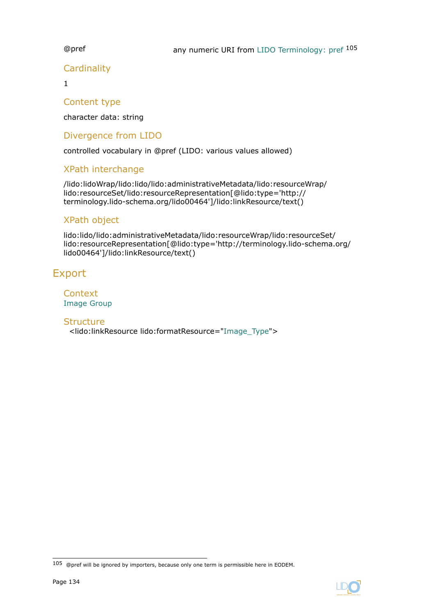## **Cardinality**

1

## Content type

character data: string

## Divergence from LIDO

controlled vocabulary in @pref (LIDO: various values allowed)

## XPath interchange

/lido:lidoWrap/lido:lido/lido:administrativeMetadata/lido:resourceWrap/ lido:resourceSet/lido:resourceRepresentation[@lido:type='http:// terminology.lido-schema.org/lido00464']/lido:linkResource/text()

## XPath object

lido:lido/lido:administrativeMetadata/lido:resourceWrap/lido:resourceSet/ lido:resourceRepresentation[@lido:type='http://terminology.lido-schema.org/ lido00464']/lido:linkResource/text()

# Export

**Context** [Image Group](#page-131-0)

## **Structure**

<lido:linkResource lido:formatResource=["Image\\_Type](#page-137-0)">



<sup>105 @</sup>pref will be ignored by importers, because only one term is permissible here in EODEM.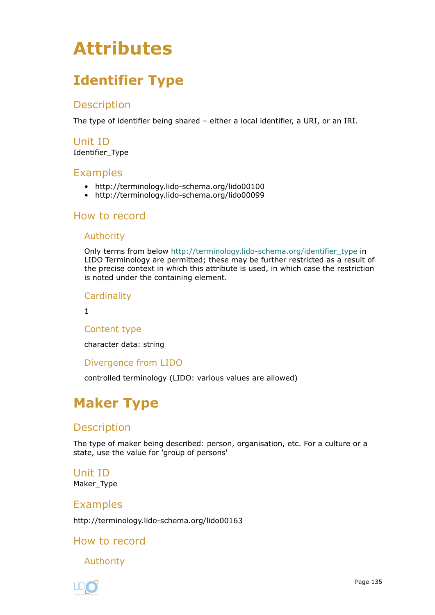# <span id="page-134-0"></span>**Attributes**

# **Identifier Type**

# Description

The type of identifier being shared – either a local identifier, a URI, or an IRI.

# Unit ID

Identifier\_Type

# **Examples**

- http://terminology.lido-schema.org/lido00100
- http://terminology.lido-schema.org/lido00099

# How to record

## Authority

Only terms from below [http://terminology.lido-schema.org/identifier\\_type](http://terminology.lido-schema.org/identifier_type) in LIDO Terminology are permitted; these may be further restricted as a result of the precise context in which this attribute is used, in which case the restriction is noted under the containing element.

**Cardinality** 

1

## Content type

character data: string

## Divergence from LIDO

controlled terminology (LIDO: various values are allowed)

# **Maker Type**

# Description

The type of maker being described: person, organisation, etc. For a culture or a state, use the value for 'group of persons'

## Unit ID Maker\_Type

# Examples

http://terminology.lido-schema.org/lido00163

# How to record

Authority

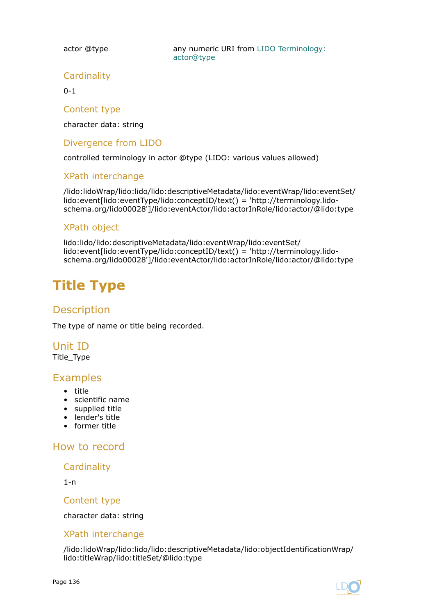<span id="page-135-0"></span>actor @type **any numeric URI from [LIDO Terminology:](http://terminology.lido-schema.org/lido00162)** [actor@type](http://terminology.lido-schema.org/lido00162)

## **Cardinality**

 $0 - 1$ 

### Content type

character data: string

## Divergence from LIDO

controlled terminology in actor @type (LIDO: various values allowed)

## XPath interchange

/lido:lidoWrap/lido:lido/lido:descriptiveMetadata/lido:eventWrap/lido:eventSet/ lido:event[lido:eventType/lido:conceptID/text() = 'http://terminology.lidoschema.org/lido00028']/lido:eventActor/lido:actorInRole/lido:actor/@lido:type

## XPath object

lido:lido/lido:descriptiveMetadata/lido:eventWrap/lido:eventSet/ lido:event[lido:eventType/lido:conceptID/text() = 'http://terminology.lidoschema.org/lido00028']/lido:eventActor/lido:actorInRole/lido:actor/@lido:type

# **Title Type**

# **Description**

The type of name or title being recorded.

## Unit ID Title\_Type

# Examples

- title
- scientific name
- supplied title
- lender's title
- former title

How to record

## **Cardinality**

1-n

## Content type

character data: string

## XPath interchange

/lido:lidoWrap/lido:lido/lido:descriptiveMetadata/lido:objectIdentificationWrap/ lido:titleWrap/lido:titleSet/@lido:type

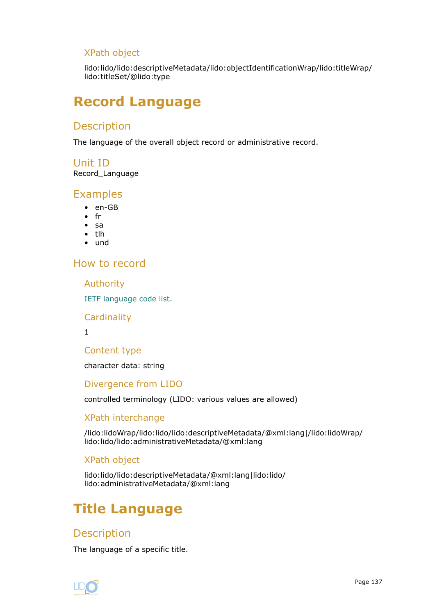## <span id="page-136-0"></span>XPath object

lido:lido/lido:descriptiveMetadata/lido:objectIdentificationWrap/lido:titleWrap/ lido:titleSet/@lido:type

# **Record Language**

# **Description**

The language of the overall object record or administrative record.

## Unit ID

Record\_Language

## **Examples**

- en-GB
- fr
- sa
- tlh
- und

## How to record

Authority

[IETF language code list](https://www.iana.org/assignments/language-subtag-registry/language-subtag-registry).

### **Cardinality**

1

## Content type

character data: string

## Divergence from LIDO

controlled terminology (LIDO: various values are allowed)

## XPath interchange

/lido:lidoWrap/lido:lido/lido:descriptiveMetadata/@xml:lang|/lido:lidoWrap/ lido:lido/lido:administrativeMetadata/@xml:lang

## XPath object

lido:lido/lido:descriptiveMetadata/@xml:lang|lido:lido/ lido:administrativeMetadata/@xml:lang

# **Title Language**

# **Description**

The language of a specific title.

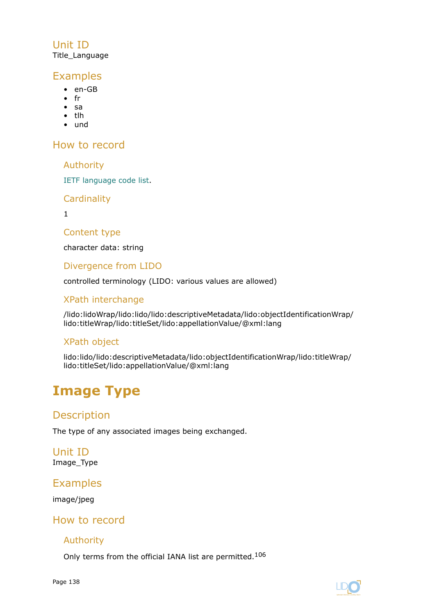# <span id="page-137-0"></span>Unit ID Title\_Language

# Examples

- en-GB
- fr
- sa
- tlh
- und

How to record

Authority

[IETF language code list.](https://www.iana.org/assignments/language-subtag-registry/language-subtag-registry)

**Cardinality** 

1

Content type

character data: string

Divergence from LIDO

controlled terminology (LIDO: various values are allowed)

# XPath interchange

/lido:lidoWrap/lido:lido/lido:descriptiveMetadata/lido:objectIdentificationWrap/ lido:titleWrap/lido:titleSet/lido:appellationValue/@xml:lang

# XPath object

lido:lido/lido:descriptiveMetadata/lido:objectIdentificationWrap/lido:titleWrap/ lido:titleSet/lido:appellationValue/@xml:lang

# **Image Type**

# Description

The type of any associated images being exchanged.

Unit ID Image\_Type

# Examples

image/jpeg

# How to record

## Authority

Only terms from the official IANA list are permitted.<sup>106</sup>

Page 138

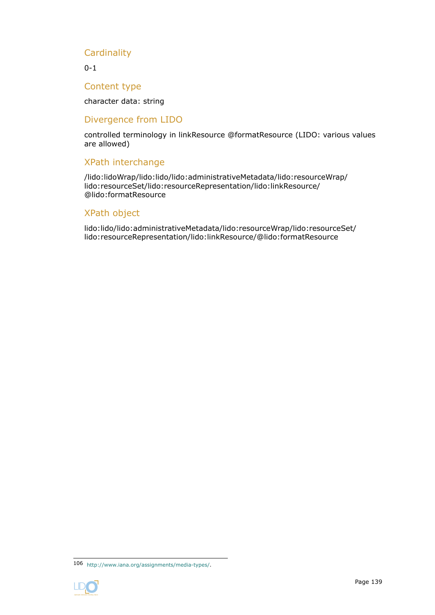## **Cardinality**

0-1

### Content type

character data: string

### Divergence from LIDO

controlled terminology in linkResource @formatResource (LIDO: various values are allowed)

## XPath interchange

/lido:lidoWrap/lido:lido/lido:administrativeMetadata/lido:resourceWrap/ lido:resourceSet/lido:resourceRepresentation/lido:linkResource/ @lido:formatResource

#### XPath object

lido:lido/lido:administrativeMetadata/lido:resourceWrap/lido:resourceSet/ lido:resourceRepresentation/lido:linkResource/@lido:formatResource

<sup>106</sup> <http://www.iana.org/assignments/media-types/>.

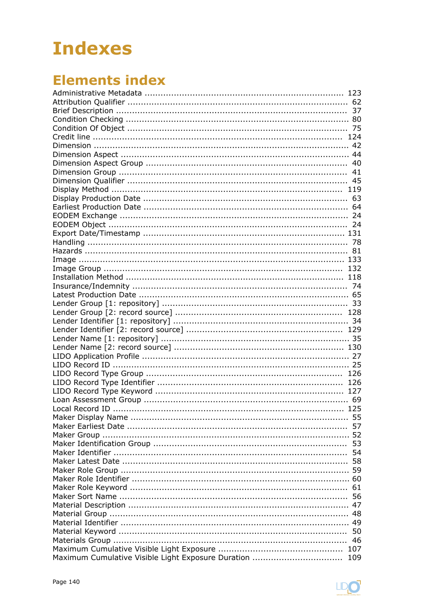# **Indexes**

# **Elements index**

| 55 |
|----|
|    |
|    |
|    |
|    |
|    |
|    |
|    |
|    |
|    |
|    |
|    |
|    |
|    |
|    |
|    |
|    |
|    |